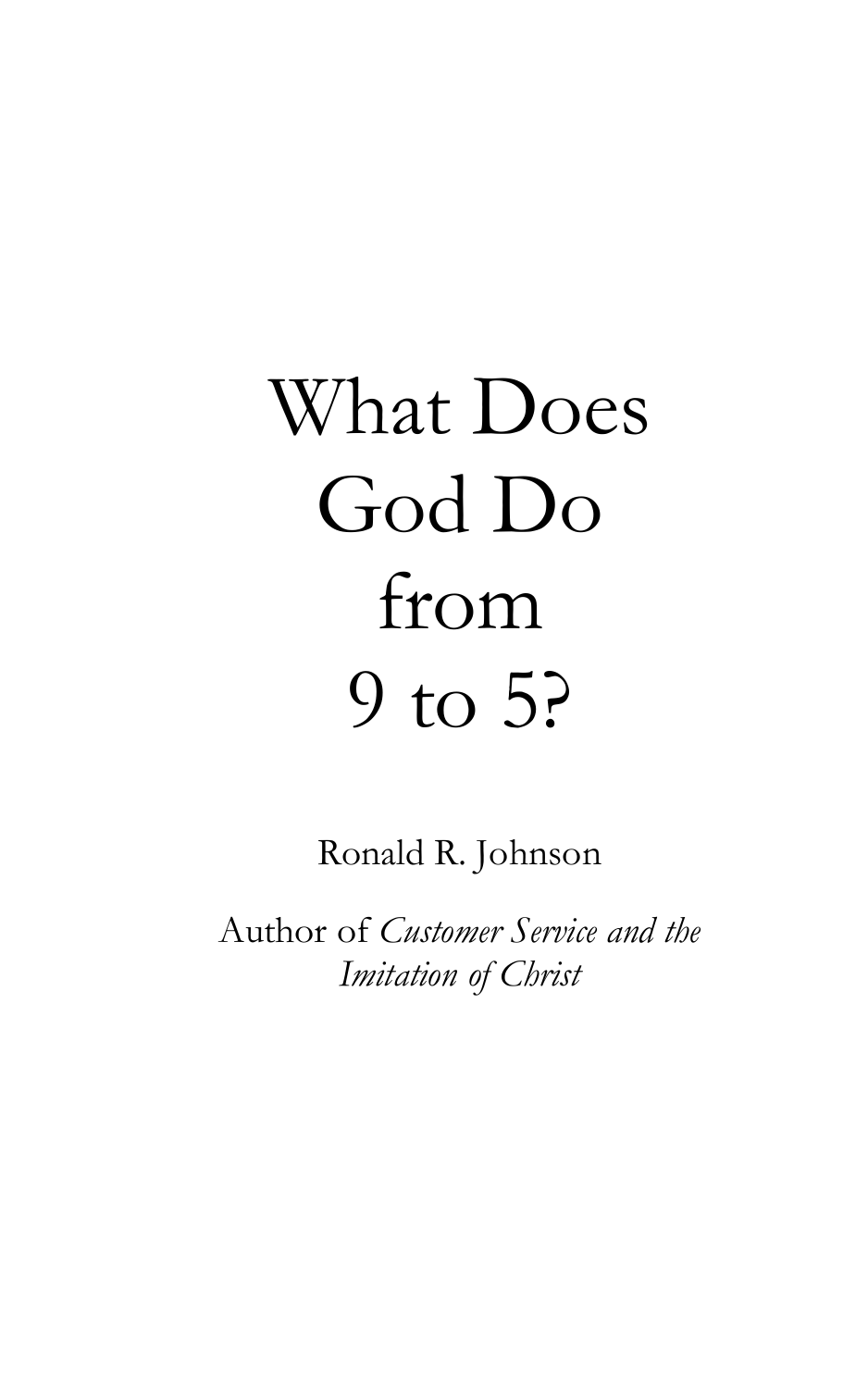# What Does God Do from 9 to 5?

Ronald R. Johnson

Author of *Customer Service and the Imitation of Christ*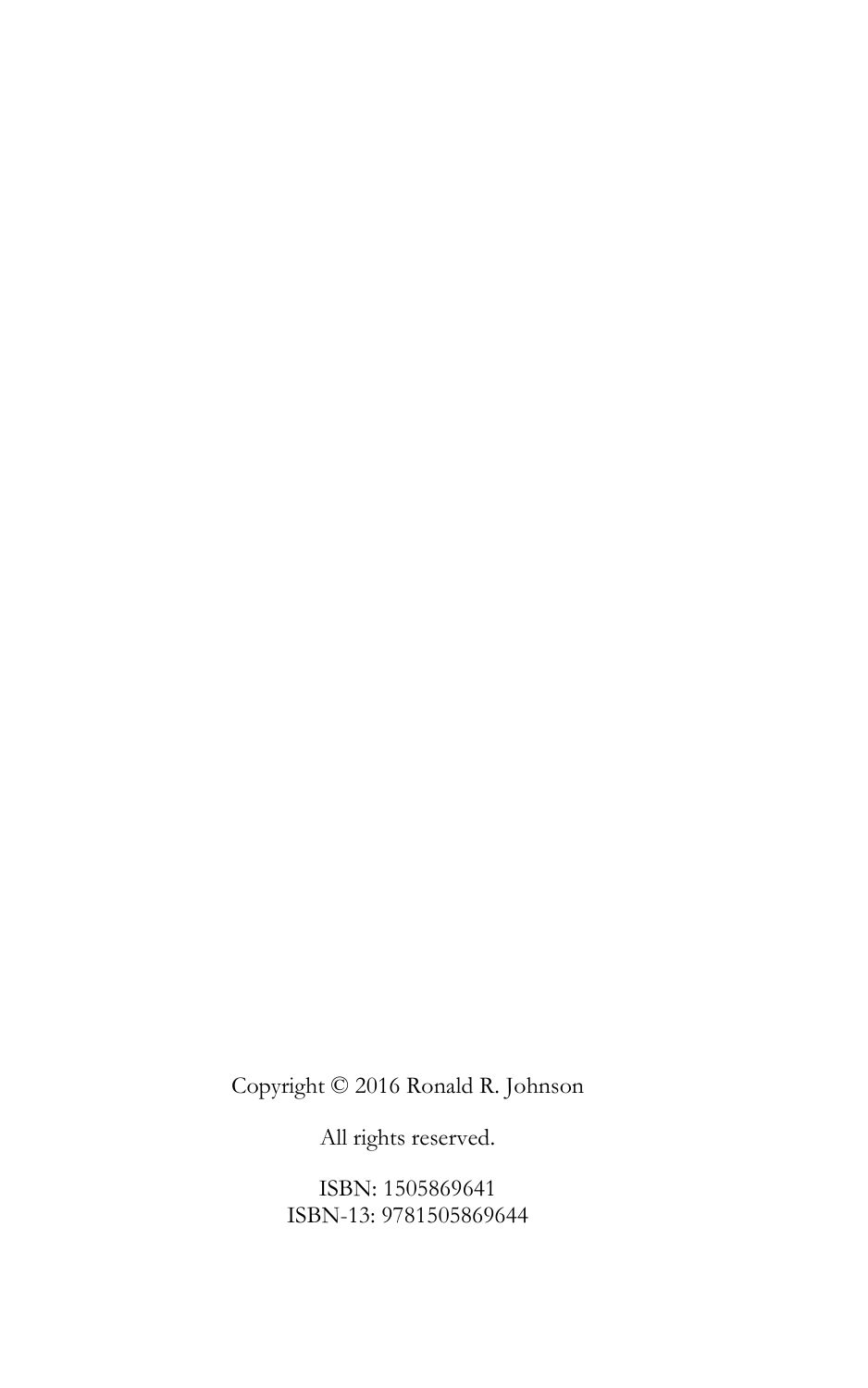Copyright © 2016 Ronald R. Johnson

All rights reserved.

ISBN: 1505869641 ISBN-13: 9781505869644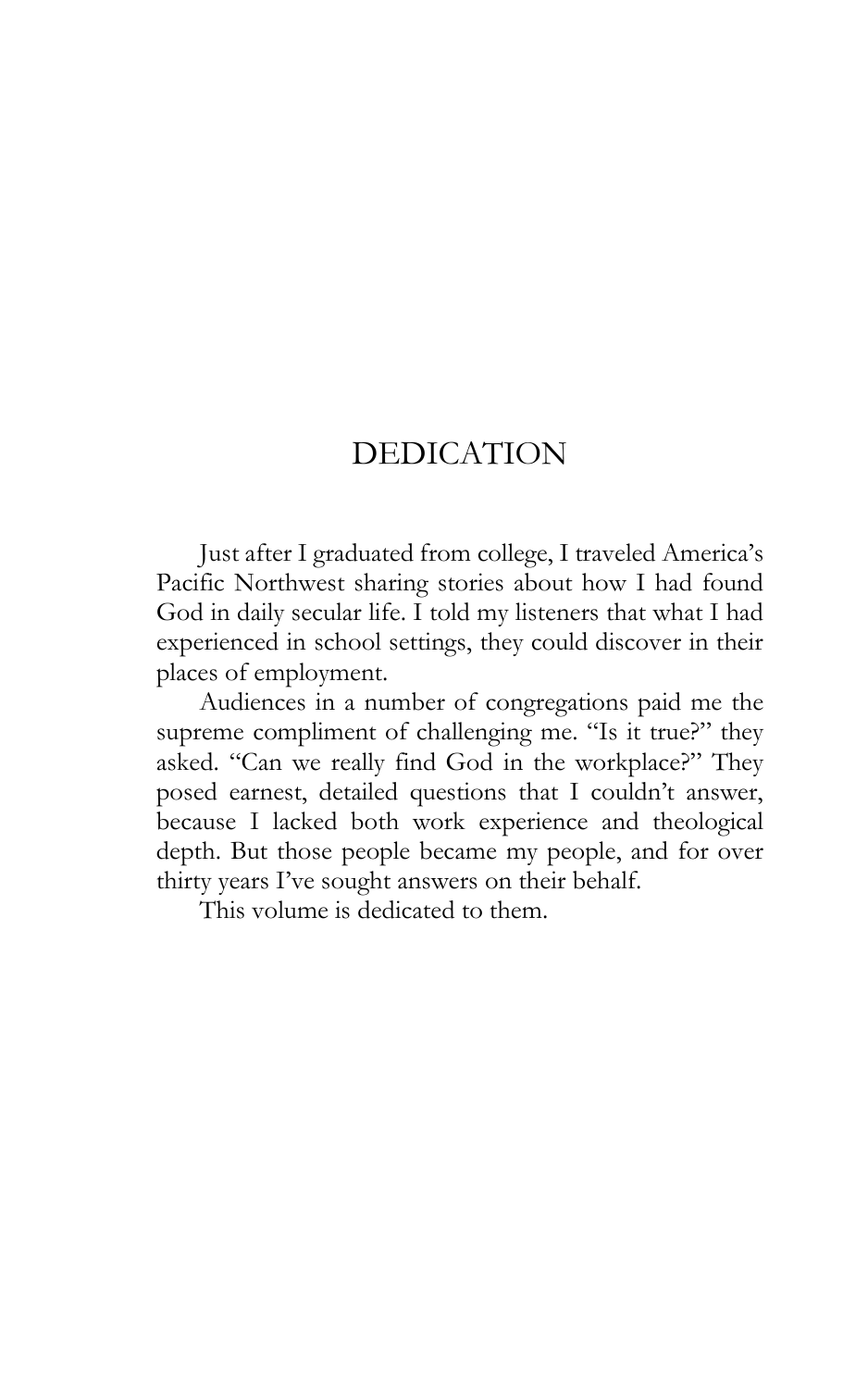# DEDICATION

Just after I graduated from college, I traveled America's Pacific Northwest sharing stories about how I had found God in daily secular life. I told my listeners that what I had experienced in school settings, they could discover in their places of employment.

Audiences in a number of congregations paid me the supreme compliment of challenging me. "Is it true?" they asked. "Can we really find God in the workplace?" They posed earnest, detailed questions that I couldn't answer, because I lacked both work experience and theological depth. But those people became my people, and for over thirty years I've sought answers on their behalf.

This volume is dedicated to them.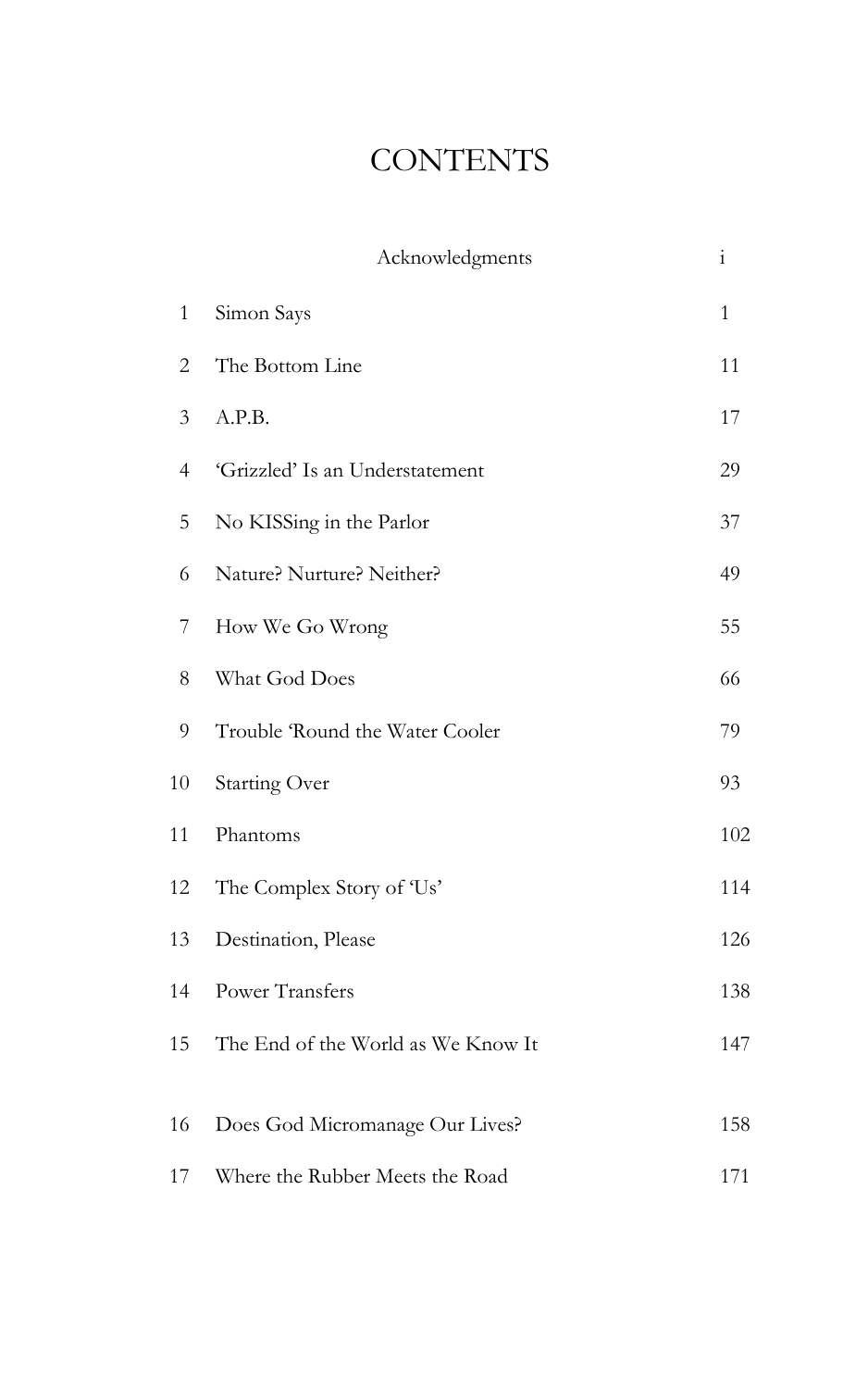# **CONTENTS**

|                | Acknowledgments                    | $\mathbf{i}$ |
|----------------|------------------------------------|--------------|
| $\mathbf{1}$   | Simon Says                         | $\mathbf{1}$ |
| $\overline{2}$ | The Bottom Line                    | 11           |
| 3              | A.P.B.                             | 17           |
| $\overline{4}$ | 'Grizzled' Is an Understatement    | 29           |
| 5              | No KISSing in the Parlor           | 37           |
| 6              | Nature? Nurture? Neither?          | 49           |
| 7              | How We Go Wrong                    | 55           |
| 8              | What God Does                      | 66           |
| 9              | Trouble 'Round the Water Cooler    | 79           |
| 10             | <b>Starting Over</b>               | 93           |
| 11             | Phantoms                           | 102          |
| 12             | The Complex Story of 'Us'          | 114          |
| 13             | Destination, Please                | 126          |
| 14             | <b>Power Transfers</b>             | 138          |
| 15             | The End of the World as We Know It | 147          |
| 16             | Does God Micromanage Our Lives?    | 158          |
|                |                                    |              |
| 17             | Where the Rubber Meets the Road    | 171          |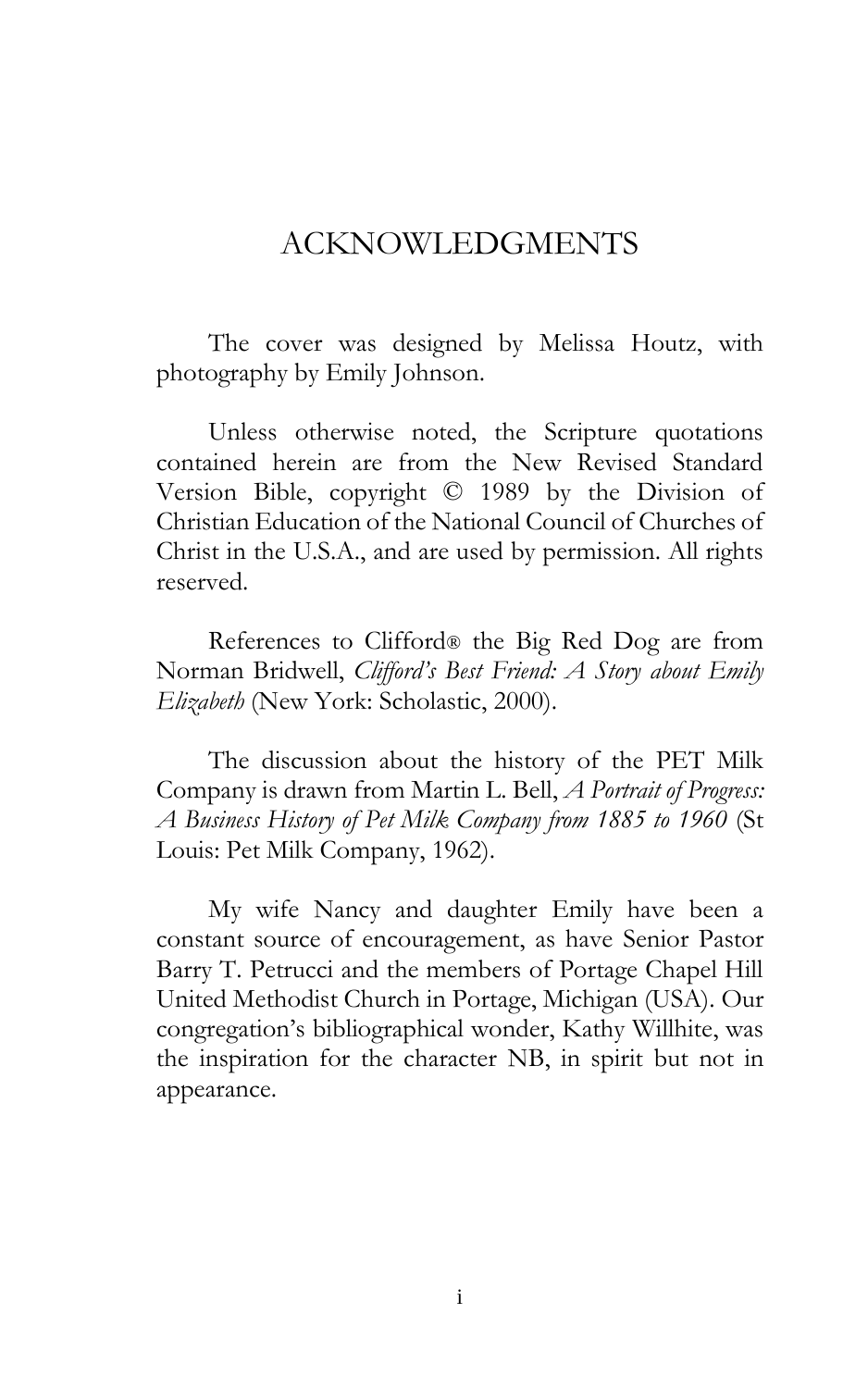## ACKNOWLEDGMENTS

The cover was designed by Melissa Houtz, with photography by Emily Johnson.

Unless otherwise noted, the Scripture quotations contained herein are from the New Revised Standard Version Bible, copyright © 1989 by the Division of Christian Education of the National Council of Churches of Christ in the U.S.A., and are used by permission. All rights reserved.

References to Clifford® the Big Red Dog are from Norman Bridwell, *Clifford's Best Friend: A Story about Emily Elizabeth* (New York: Scholastic, 2000).

The discussion about the history of the PET Milk Company is drawn from Martin L. Bell, *A Portrait of Progress: A Business History of Pet Milk Company from 1885 to 1960* (St Louis: Pet Milk Company, 1962).

My wife Nancy and daughter Emily have been a constant source of encouragement, as have Senior Pastor Barry T. Petrucci and the members of Portage Chapel Hill United Methodist Church in Portage, Michigan (USA). Our congregation's bibliographical wonder, Kathy Willhite, was the inspiration for the character NB, in spirit but not in appearance.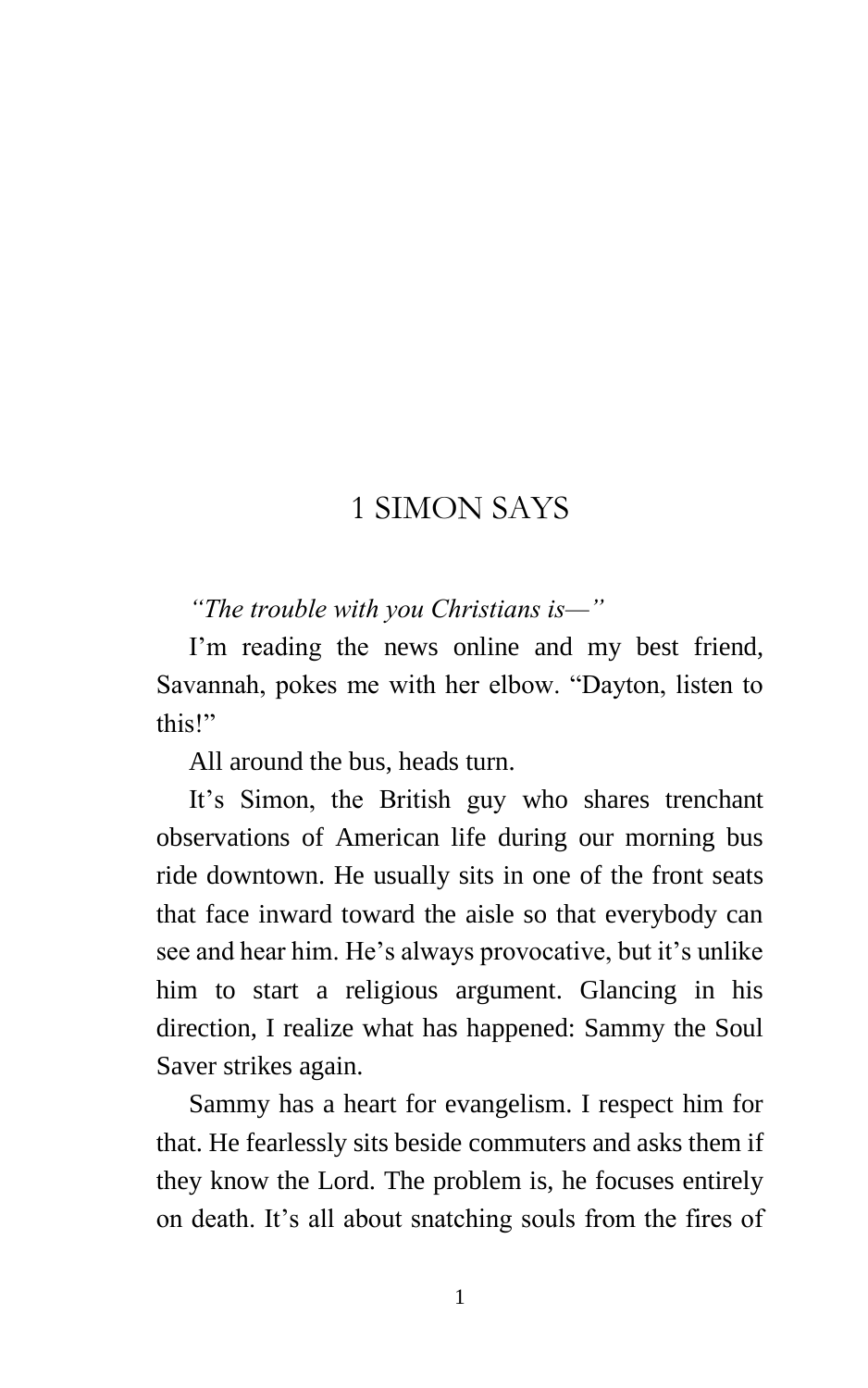## 1 SIMON SAYS

#### *"The trouble with you Christians is—"*

I'm reading the news online and my best friend, Savannah, pokes me with her elbow. "Dayton, listen to this!"

All around the bus, heads turn.

It's Simon, the British guy who shares trenchant observations of American life during our morning bus ride downtown. He usually sits in one of the front seats that face inward toward the aisle so that everybody can see and hear him. He's always provocative, but it's unlike him to start a religious argument. Glancing in his direction, I realize what has happened: Sammy the Soul Saver strikes again.

Sammy has a heart for evangelism. I respect him for that. He fearlessly sits beside commuters and asks them if they know the Lord. The problem is, he focuses entirely on death. It's all about snatching souls from the fires of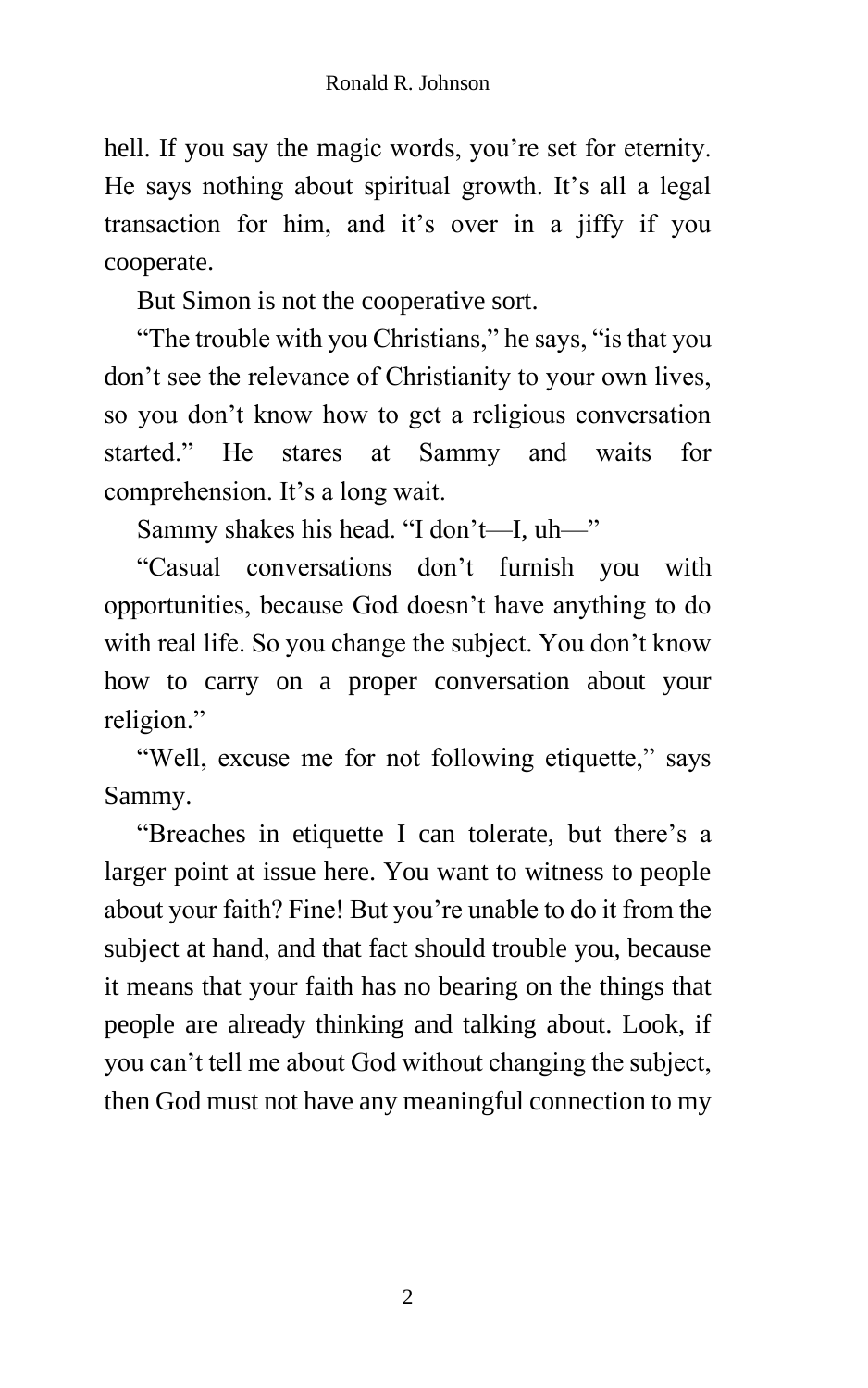hell. If you say the magic words, you're set for eternity. He says nothing about spiritual growth. It's all a legal transaction for him, and it's over in a jiffy if you cooperate.

But Simon is not the cooperative sort.

"The trouble with you Christians," he says, "is that you don't see the relevance of Christianity to your own lives, so you don't know how to get a religious conversation started." He stares at Sammy and waits for comprehension. It's a long wait.

Sammy shakes his head. "I don't—I, uh—"

"Casual conversations don't furnish you with opportunities, because God doesn't have anything to do with real life. So you change the subject. You don't know how to carry on a proper conversation about your religion."

"Well, excuse me for not following etiquette," says Sammy.

"Breaches in etiquette I can tolerate, but there's a larger point at issue here. You want to witness to people about your faith? Fine! But you're unable to do it from the subject at hand, and that fact should trouble you, because it means that your faith has no bearing on the things that people are already thinking and talking about. Look, if you can't tell me about God without changing the subject, then God must not have any meaningful connection to my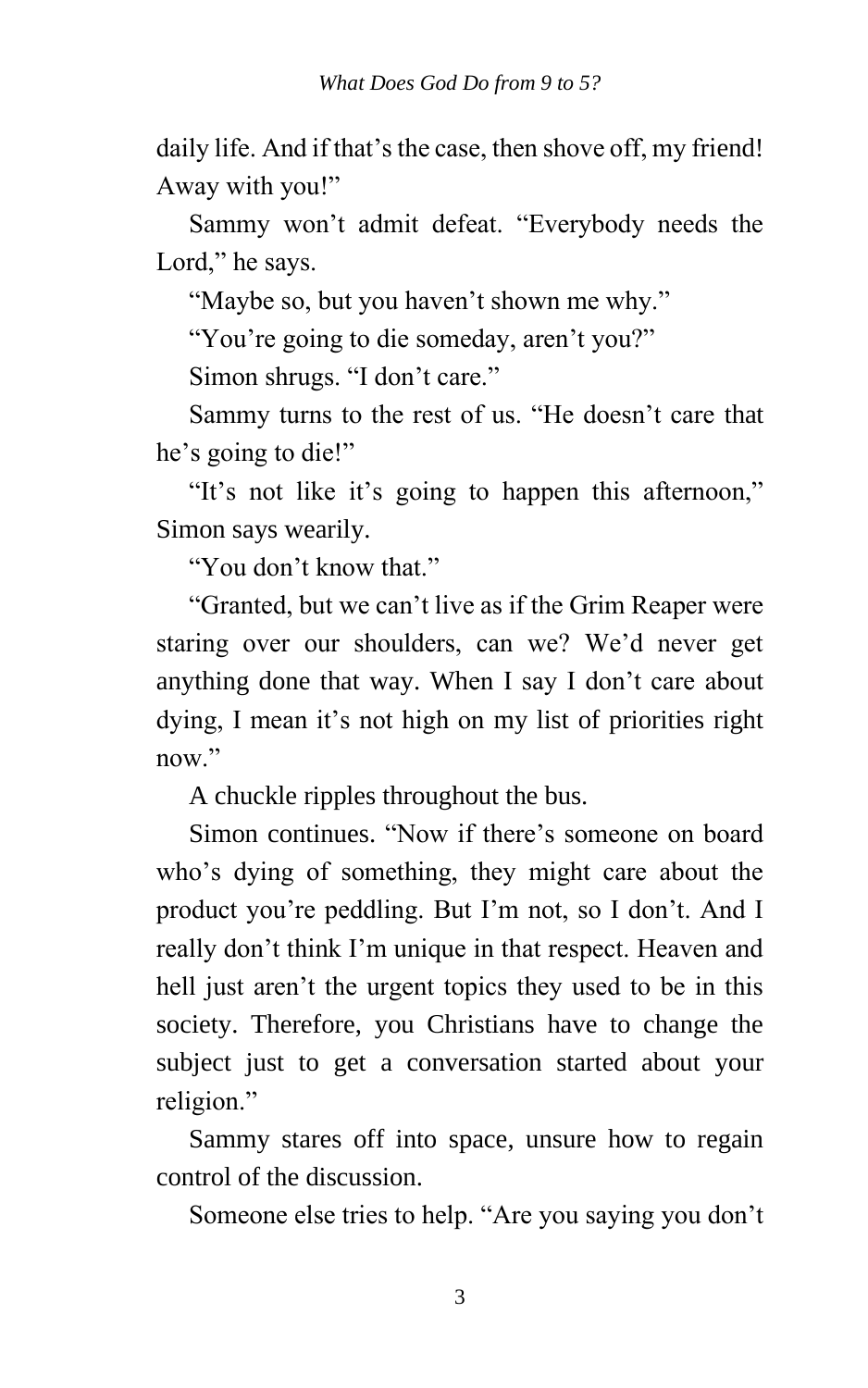daily life. And if that's the case, then shove off, my friend! Away with you!"

Sammy won't admit defeat. "Everybody needs the Lord," he says.

"Maybe so, but you haven't shown me why."

"You're going to die someday, aren't you?"

Simon shrugs. "I don't care."

Sammy turns to the rest of us. "He doesn't care that he's going to die!"

"It's not like it's going to happen this afternoon," Simon says wearily.

"You don't know that."

"Granted, but we can't live as if the Grim Reaper were staring over our shoulders, can we? We'd never get anything done that way. When I say I don't care about dying, I mean it's not high on my list of priorities right now."

A chuckle ripples throughout the bus.

Simon continues. "Now if there's someone on board who's dying of something, they might care about the product you're peddling. But I'm not, so I don't. And I really don't think I'm unique in that respect. Heaven and hell just aren't the urgent topics they used to be in this society. Therefore, you Christians have to change the subject just to get a conversation started about your religion."

Sammy stares off into space, unsure how to regain control of the discussion.

Someone else tries to help. "Are you saying you don't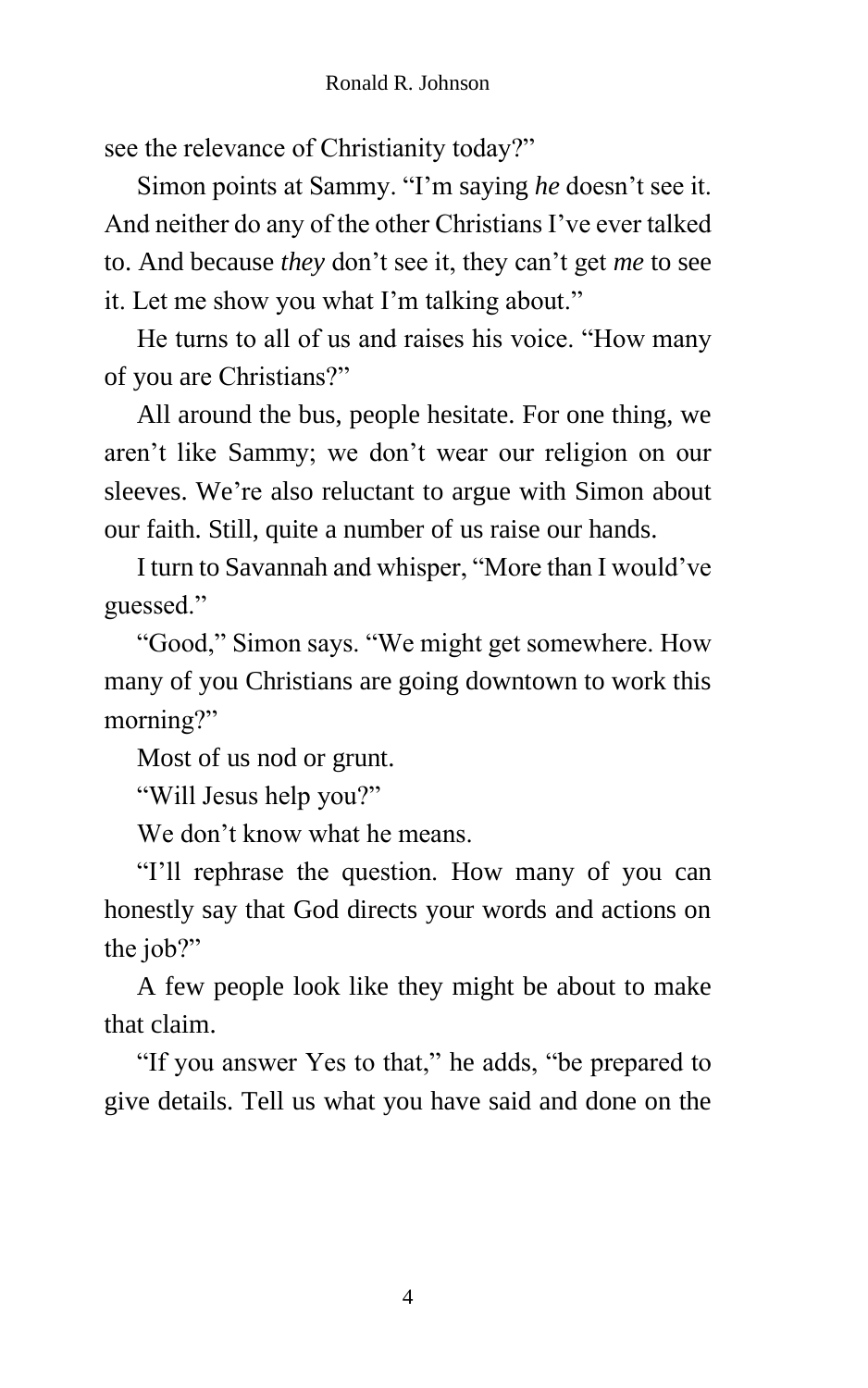see the relevance of Christianity today?"

Simon points at Sammy. "I'm saying *he* doesn't see it. And neither do any of the other Christians I've ever talked to. And because *they* don't see it, they can't get *me* to see it. Let me show you what I'm talking about."

He turns to all of us and raises his voice. "How many of you are Christians?"

All around the bus, people hesitate. For one thing, we aren't like Sammy; we don't wear our religion on our sleeves. We're also reluctant to argue with Simon about our faith. Still, quite a number of us raise our hands.

I turn to Savannah and whisper, "More than I would've guessed."

"Good," Simon says. "We might get somewhere. How many of you Christians are going downtown to work this morning?"

Most of us nod or grunt.

"Will Jesus help you?"

We don't know what he means.

"I'll rephrase the question. How many of you can honestly say that God directs your words and actions on the job?"

A few people look like they might be about to make that claim.

"If you answer Yes to that," he adds, "be prepared to give details. Tell us what you have said and done on the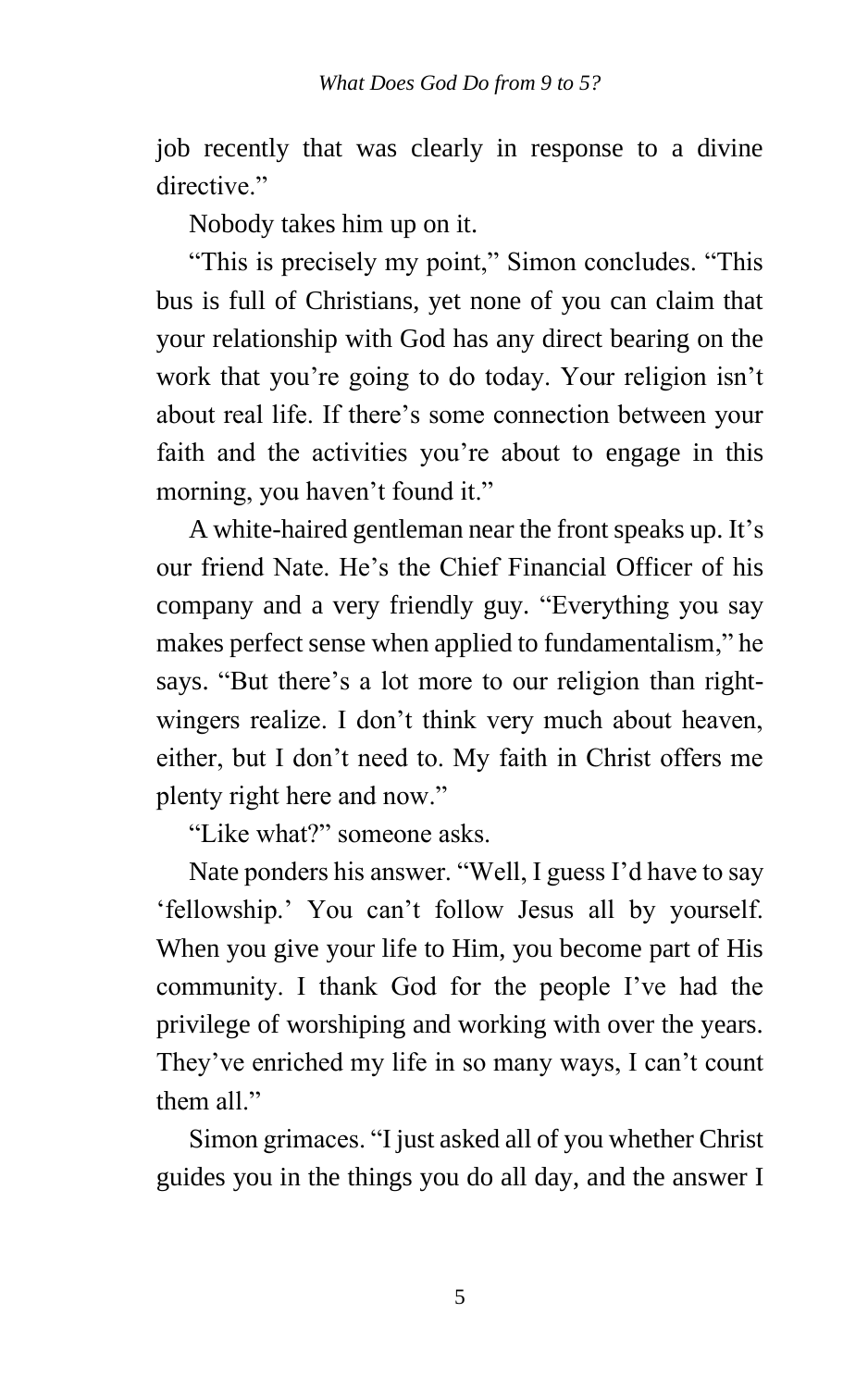job recently that was clearly in response to a divine directive."

Nobody takes him up on it.

"This is precisely my point," Simon concludes. "This bus is full of Christians, yet none of you can claim that your relationship with God has any direct bearing on the work that you're going to do today. Your religion isn't about real life. If there's some connection between your faith and the activities you're about to engage in this morning, you haven't found it."

A white-haired gentleman near the front speaks up. It's our friend Nate. He's the Chief Financial Officer of his company and a very friendly guy. "Everything you say makes perfect sense when applied to fundamentalism," he says. "But there's a lot more to our religion than rightwingers realize. I don't think very much about heaven, either, but I don't need to. My faith in Christ offers me plenty right here and now."

"Like what?" someone asks.

Nate ponders his answer. "Well, I guess I'd have to say 'fellowship.' You can't follow Jesus all by yourself. When you give your life to Him, you become part of His community. I thank God for the people I've had the privilege of worshiping and working with over the years. They've enriched my life in so many ways, I can't count them all."

Simon grimaces. "I just asked all of you whether Christ guides you in the things you do all day, and the answer I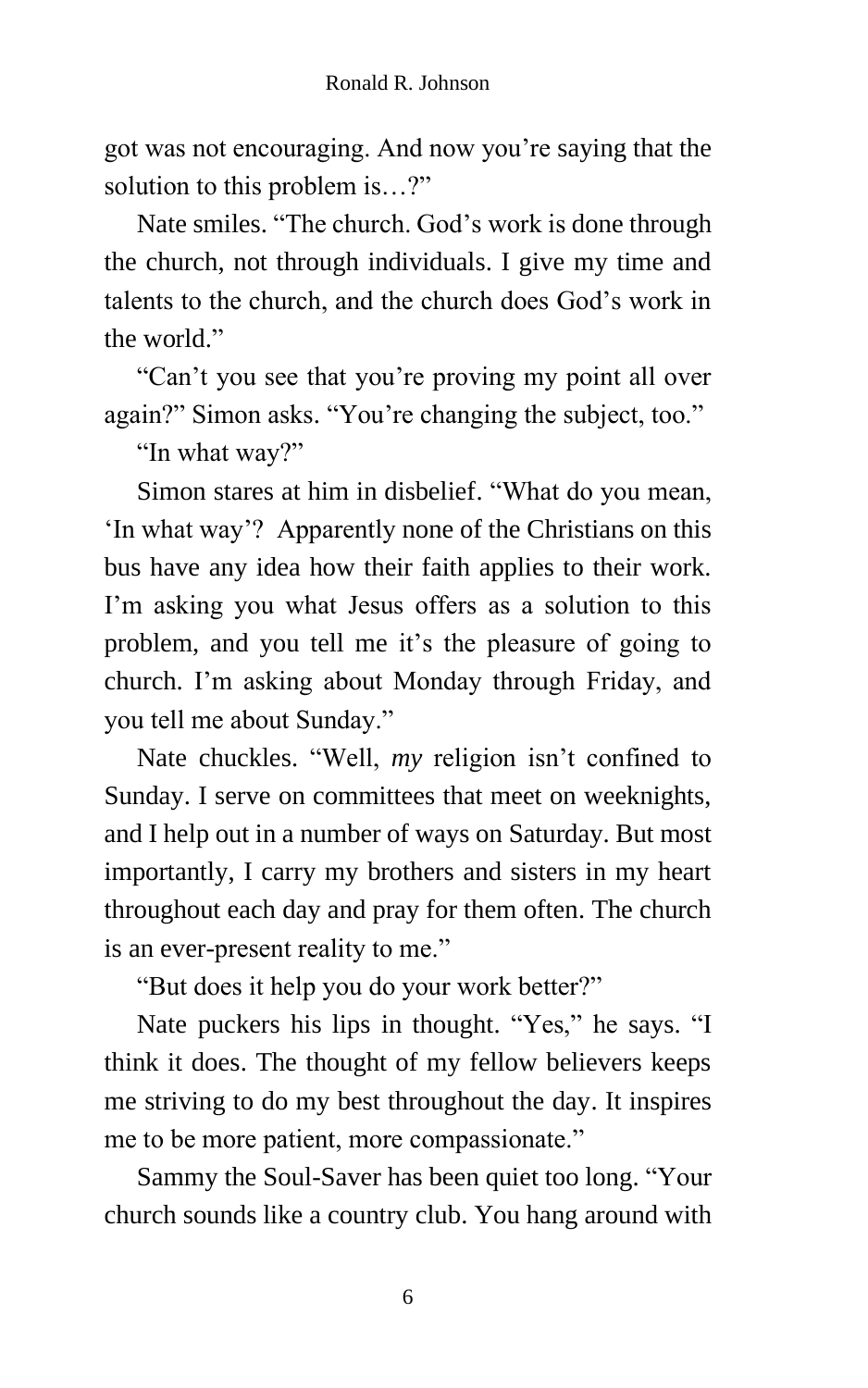got was not encouraging. And now you're saying that the solution to this problem is…?"

Nate smiles. "The church. God's work is done through the church, not through individuals. I give my time and talents to the church, and the church does God's work in the world."

"Can't you see that you're proving my point all over again?" Simon asks. "You're changing the subject, too."

"In what way?"

Simon stares at him in disbelief. "What do you mean, 'In what way'? Apparently none of the Christians on this bus have any idea how their faith applies to their work. I'm asking you what Jesus offers as a solution to this problem, and you tell me it's the pleasure of going to church. I'm asking about Monday through Friday, and you tell me about Sunday."

Nate chuckles. "Well, *my* religion isn't confined to Sunday. I serve on committees that meet on weeknights, and I help out in a number of ways on Saturday. But most importantly, I carry my brothers and sisters in my heart throughout each day and pray for them often. The church is an ever-present reality to me."

"But does it help you do your work better?"

Nate puckers his lips in thought. "Yes," he says. "I think it does. The thought of my fellow believers keeps me striving to do my best throughout the day. It inspires me to be more patient, more compassionate."

Sammy the Soul-Saver has been quiet too long. "Your church sounds like a country club. You hang around with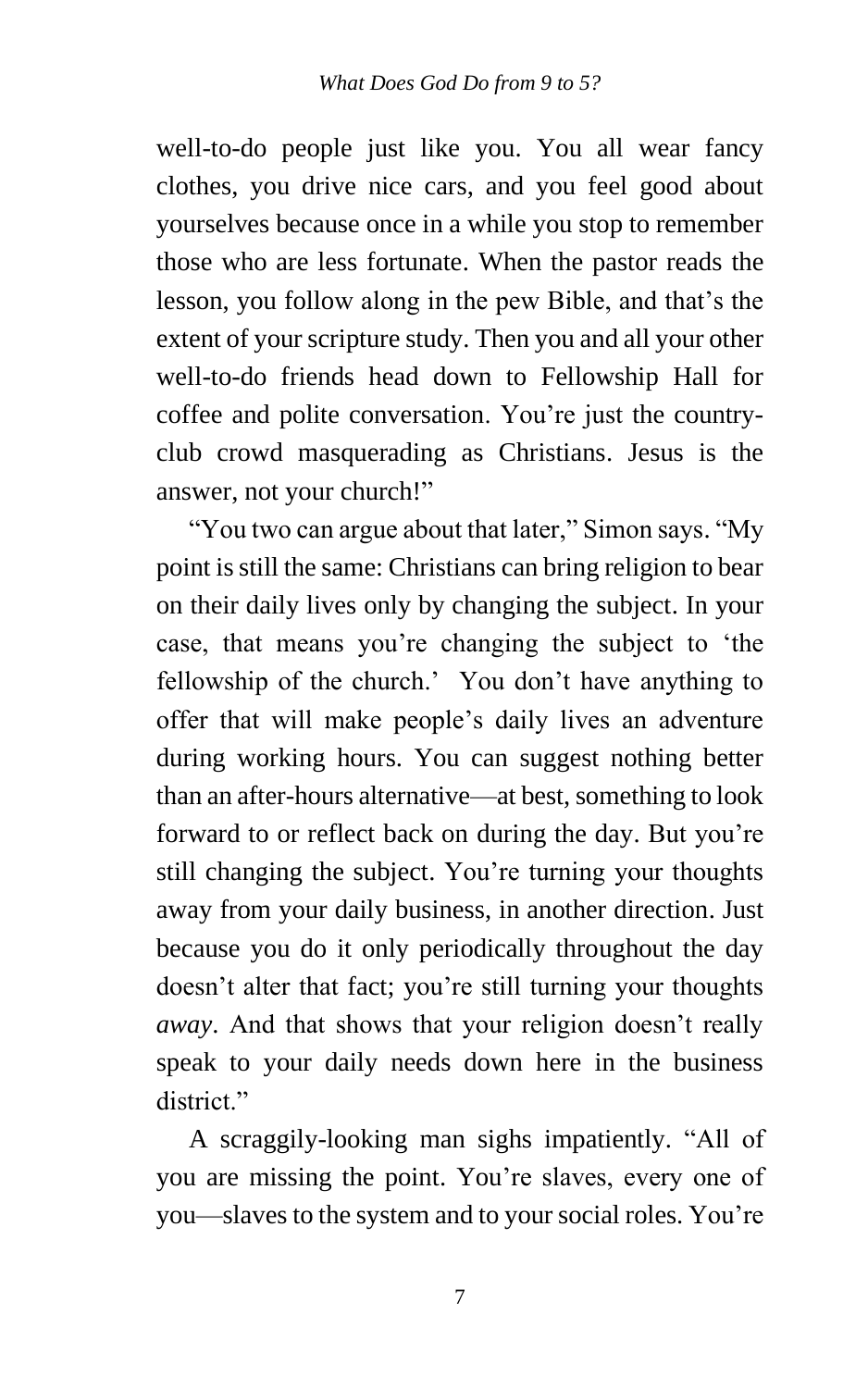well-to-do people just like you. You all wear fancy clothes, you drive nice cars, and you feel good about yourselves because once in a while you stop to remember those who are less fortunate. When the pastor reads the lesson, you follow along in the pew Bible, and that's the extent of your scripture study. Then you and all your other well-to-do friends head down to Fellowship Hall for coffee and polite conversation. You're just the countryclub crowd masquerading as Christians. Jesus is the answer, not your church!"

"You two can argue about that later," Simon says. "My point is still the same: Christians can bring religion to bear on their daily lives only by changing the subject. In your case, that means you're changing the subject to 'the fellowship of the church.' You don't have anything to offer that will make people's daily lives an adventure during working hours. You can suggest nothing better than an after-hours alternative—at best, something to look forward to or reflect back on during the day. But you're still changing the subject. You're turning your thoughts away from your daily business, in another direction. Just because you do it only periodically throughout the day doesn't alter that fact; you're still turning your thoughts *away*. And that shows that your religion doesn't really speak to your daily needs down here in the business district."

A scraggily-looking man sighs impatiently. "All of you are missing the point. You're slaves, every one of you—slaves to the system and to your social roles. You're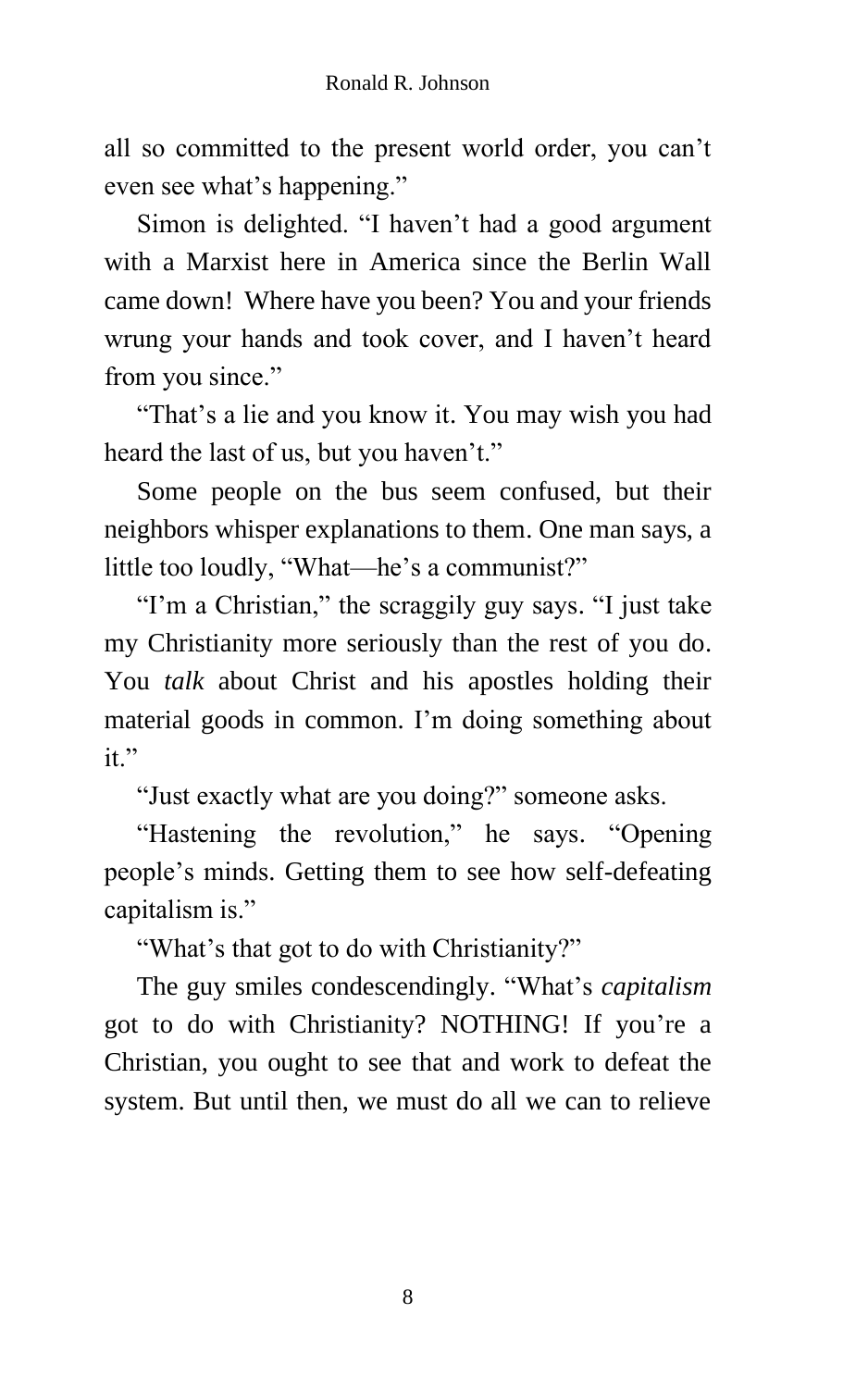all so committed to the present world order, you can't even see what's happening."

Simon is delighted. "I haven't had a good argument with a Marxist here in America since the Berlin Wall came down! Where have you been? You and your friends wrung your hands and took cover, and I haven't heard from you since."

"That's a lie and you know it. You may wish you had heard the last of us, but you haven't."

Some people on the bus seem confused, but their neighbors whisper explanations to them. One man says, a little too loudly, "What—he's a communist?"

"I'm a Christian," the scraggily guy says. "I just take my Christianity more seriously than the rest of you do. You *talk* about Christ and his apostles holding their material goods in common. I'm doing something about it."

"Just exactly what are you doing?" someone asks.

"Hastening the revolution," he says. "Opening people's minds. Getting them to see how self-defeating capitalism is."

"What's that got to do with Christianity?"

The guy smiles condescendingly. "What's *capitalism* got to do with Christianity? NOTHING! If you're a Christian, you ought to see that and work to defeat the system. But until then, we must do all we can to relieve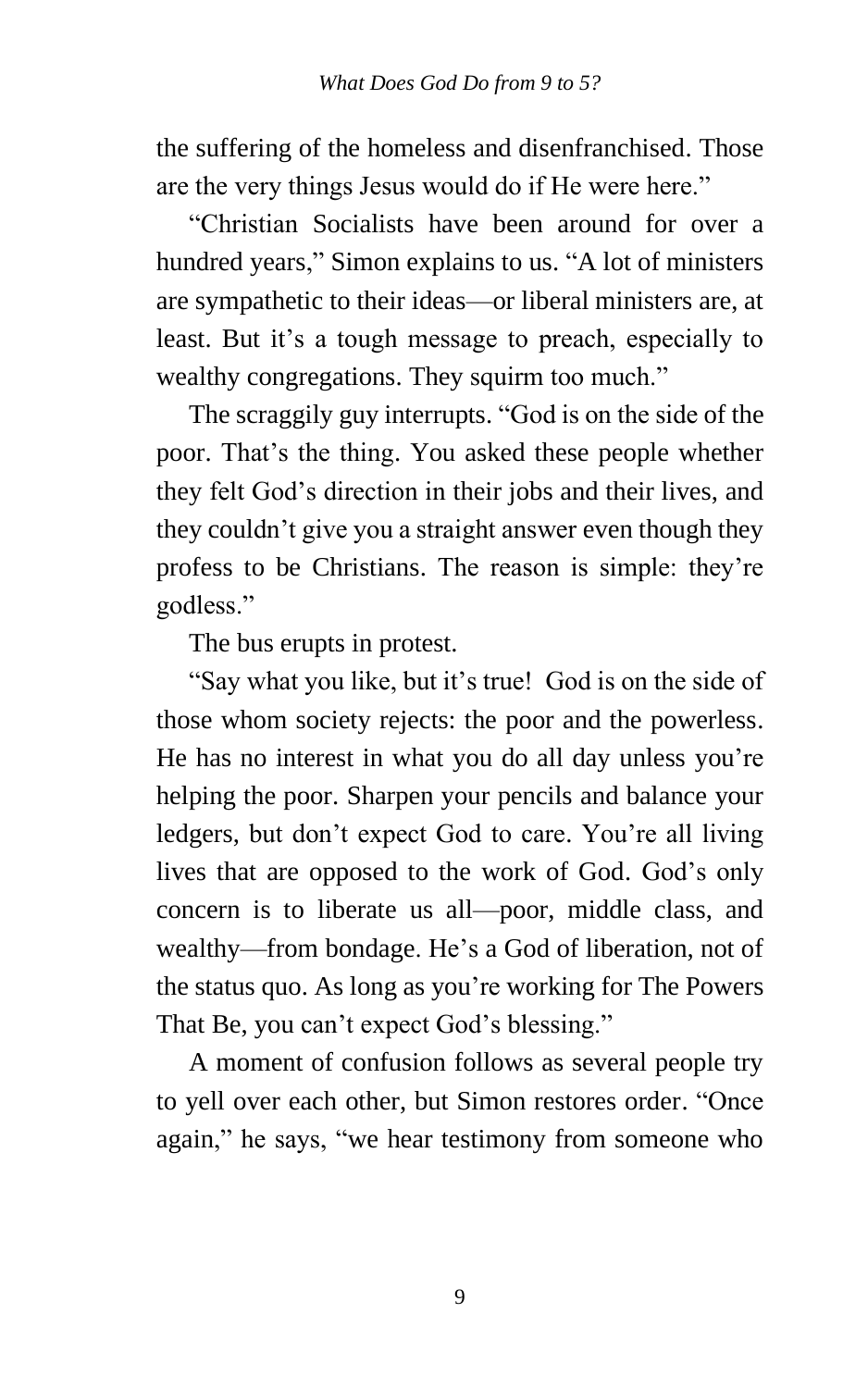the suffering of the homeless and disenfranchised. Those are the very things Jesus would do if He were here."

"Christian Socialists have been around for over a hundred years," Simon explains to us. "A lot of ministers are sympathetic to their ideas—or liberal ministers are, at least. But it's a tough message to preach, especially to wealthy congregations. They squirm too much."

The scraggily guy interrupts. "God is on the side of the poor. That's the thing. You asked these people whether they felt God's direction in their jobs and their lives, and they couldn't give you a straight answer even though they profess to be Christians. The reason is simple: they're godless."

The bus erupts in protest.

"Say what you like, but it's true! God is on the side of those whom society rejects: the poor and the powerless. He has no interest in what you do all day unless you're helping the poor. Sharpen your pencils and balance your ledgers, but don't expect God to care. You're all living lives that are opposed to the work of God. God's only concern is to liberate us all—poor, middle class, and wealthy—from bondage. He's a God of liberation, not of the status quo. As long as you're working for The Powers That Be, you can't expect God's blessing."

A moment of confusion follows as several people try to yell over each other, but Simon restores order. "Once again," he says, "we hear testimony from someone who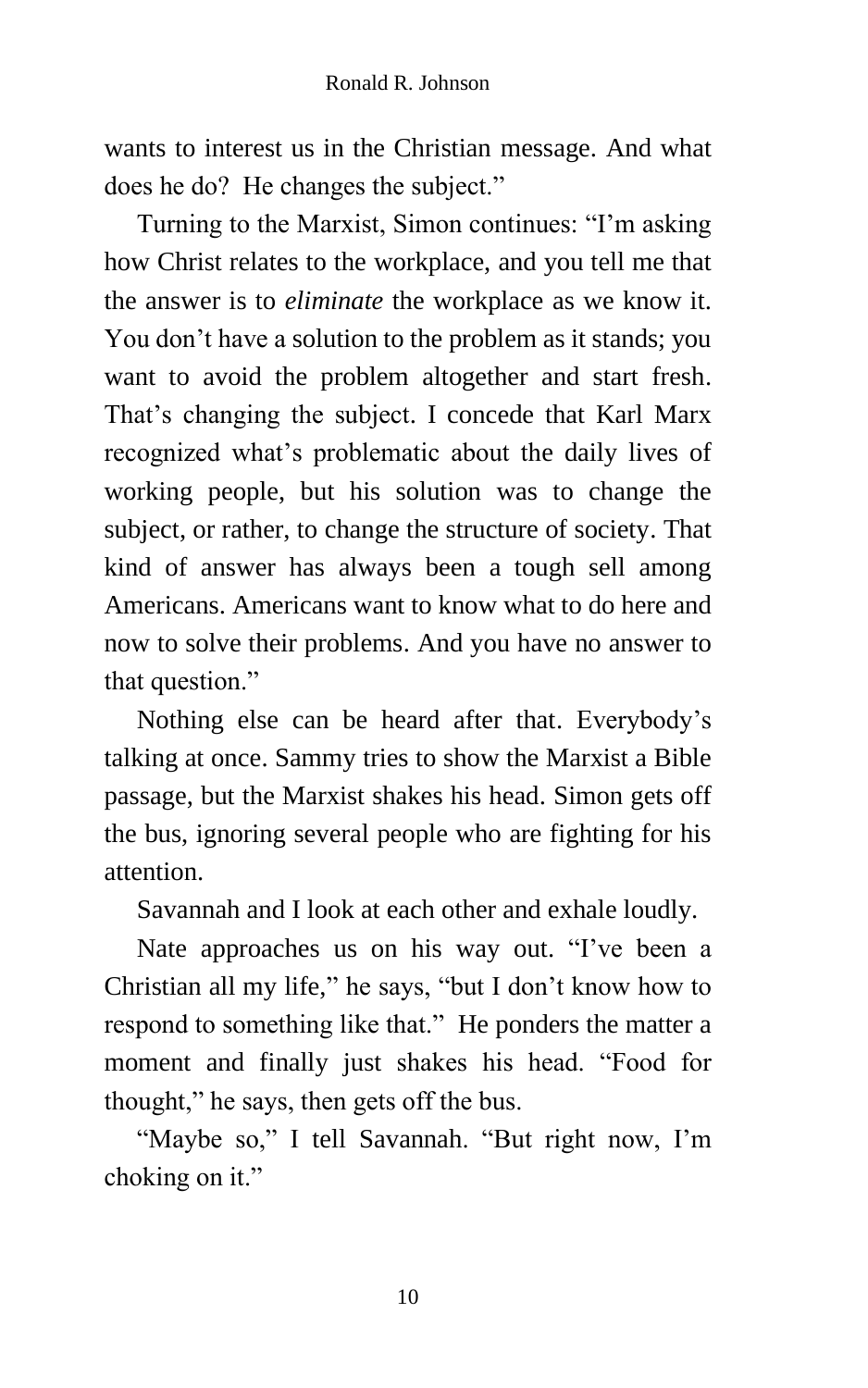wants to interest us in the Christian message. And what does he do? He changes the subject."

Turning to the Marxist, Simon continues: "I'm asking how Christ relates to the workplace, and you tell me that the answer is to *eliminate* the workplace as we know it. You don't have a solution to the problem as it stands; you want to avoid the problem altogether and start fresh. That's changing the subject. I concede that Karl Marx recognized what's problematic about the daily lives of working people, but his solution was to change the subject, or rather, to change the structure of society. That kind of answer has always been a tough sell among Americans. Americans want to know what to do here and now to solve their problems. And you have no answer to that question."

Nothing else can be heard after that. Everybody's talking at once. Sammy tries to show the Marxist a Bible passage, but the Marxist shakes his head. Simon gets off the bus, ignoring several people who are fighting for his attention.

Savannah and I look at each other and exhale loudly.

Nate approaches us on his way out. "I've been a Christian all my life," he says, "but I don't know how to respond to something like that." He ponders the matter a moment and finally just shakes his head. "Food for thought," he says, then gets off the bus.

"Maybe so," I tell Savannah. "But right now, I'm choking on it."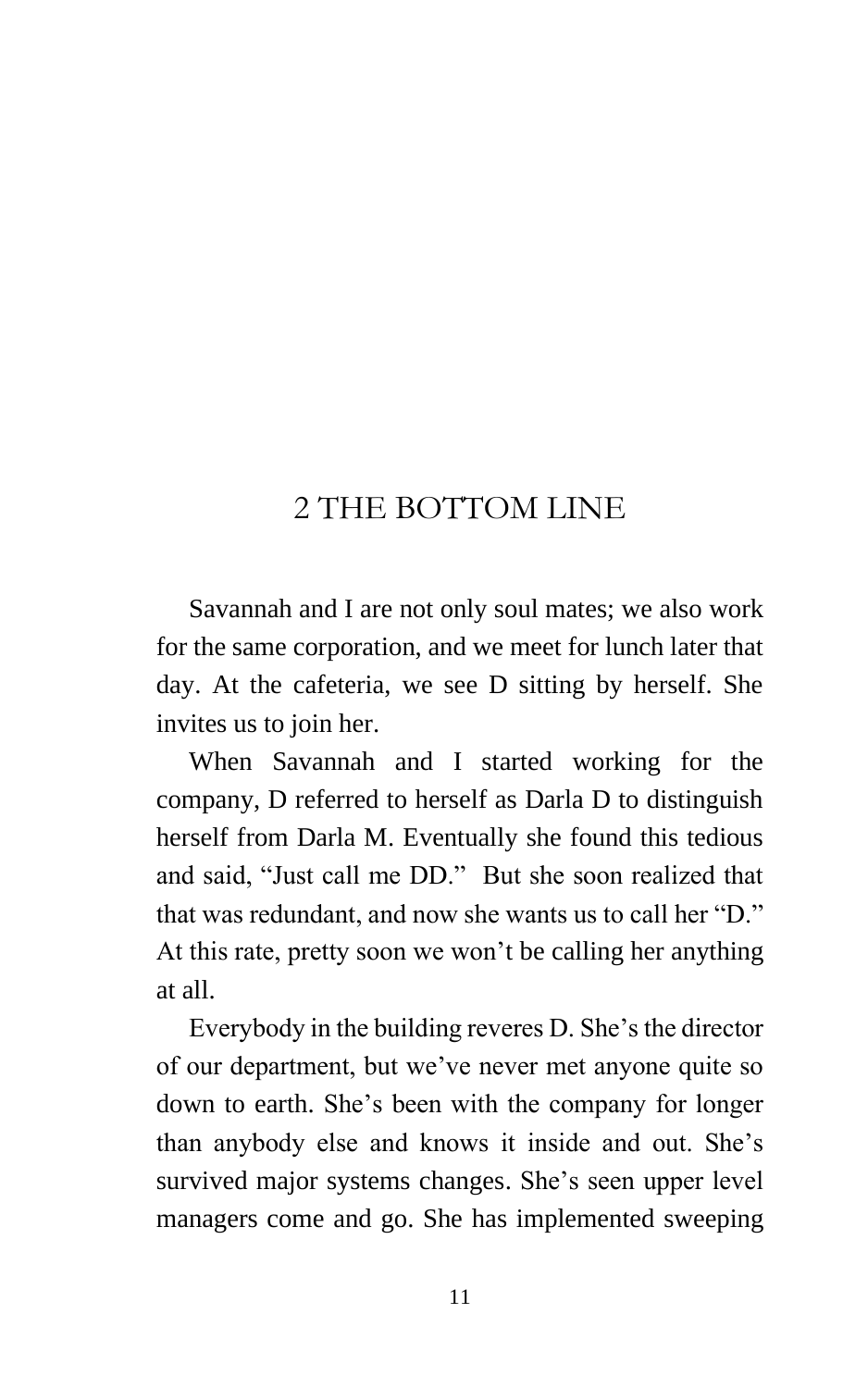## 2 THE BOTTOM LINE

Savannah and I are not only soul mates; we also work for the same corporation, and we meet for lunch later that day. At the cafeteria, we see D sitting by herself. She invites us to join her.

When Savannah and I started working for the company, D referred to herself as Darla D to distinguish herself from Darla M. Eventually she found this tedious and said, "Just call me DD." But she soon realized that that was redundant, and now she wants us to call her "D." At this rate, pretty soon we won't be calling her anything at all.

Everybody in the building reveres D. She's the director of our department, but we've never met anyone quite so down to earth. She's been with the company for longer than anybody else and knows it inside and out. She's survived major systems changes. She's seen upper level managers come and go. She has implemented sweeping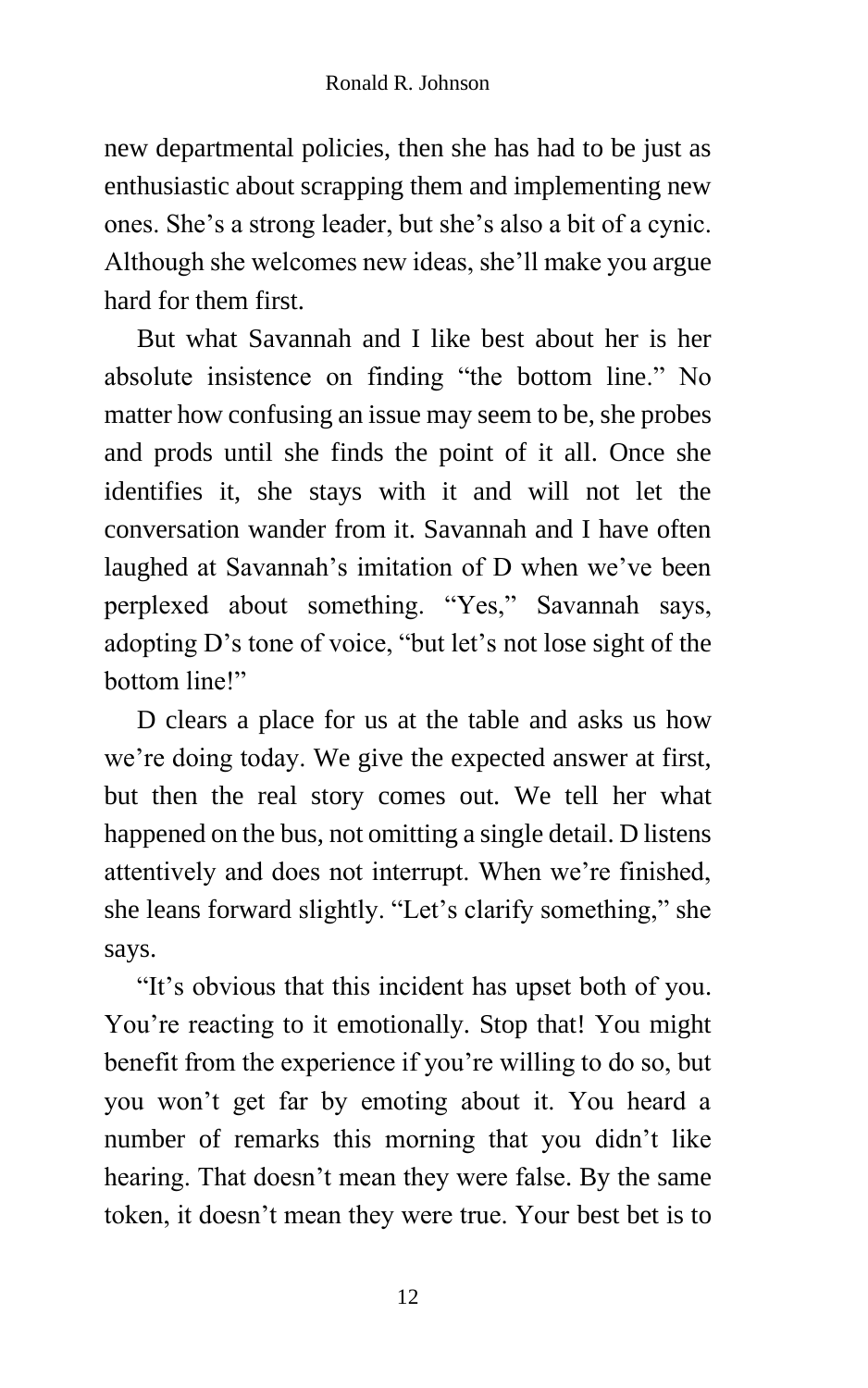new departmental policies, then she has had to be just as enthusiastic about scrapping them and implementing new ones. She's a strong leader, but she's also a bit of a cynic. Although she welcomes new ideas, she'll make you argue hard for them first.

But what Savannah and I like best about her is her absolute insistence on finding "the bottom line." No matter how confusing an issue may seem to be, she probes and prods until she finds the point of it all. Once she identifies it, she stays with it and will not let the conversation wander from it. Savannah and I have often laughed at Savannah's imitation of D when we've been perplexed about something. "Yes," Savannah says, adopting D's tone of voice, "but let's not lose sight of the bottom line!"

D clears a place for us at the table and asks us how we're doing today. We give the expected answer at first, but then the real story comes out. We tell her what happened on the bus, not omitting a single detail. D listens attentively and does not interrupt. When we're finished, she leans forward slightly. "Let's clarify something," she says.

"It's obvious that this incident has upset both of you. You're reacting to it emotionally. Stop that! You might benefit from the experience if you're willing to do so, but you won't get far by emoting about it. You heard a number of remarks this morning that you didn't like hearing. That doesn't mean they were false. By the same token, it doesn't mean they were true. Your best bet is to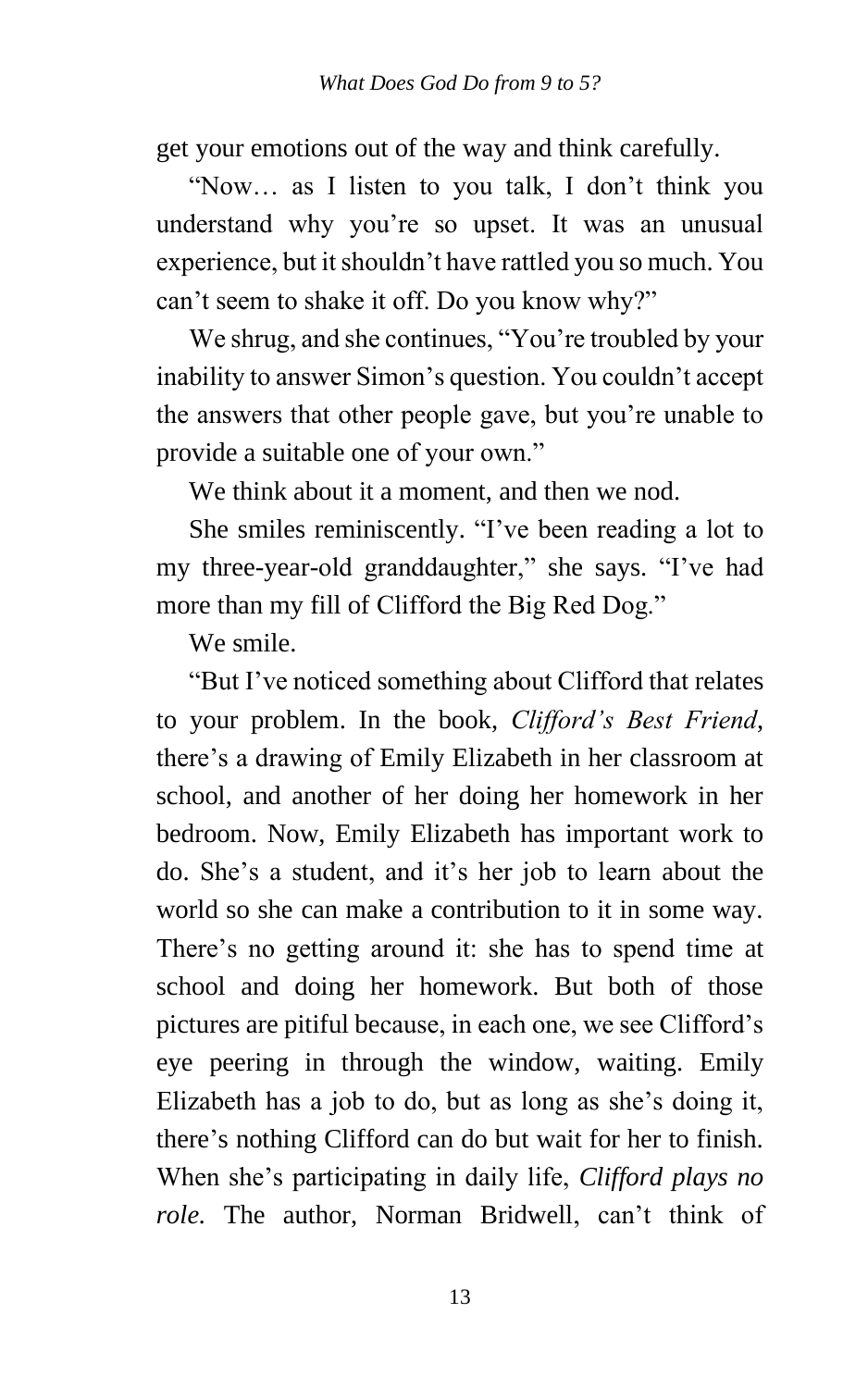get your emotions out of the way and think carefully.

"Now… as I listen to you talk, I don't think you understand why you're so upset. It was an unusual experience, but it shouldn't have rattled you so much. You can't seem to shake it off. Do you know why?"

We shrug, and she continues, "You're troubled by your inability to answer Simon's question. You couldn't accept the answers that other people gave, but you're unable to provide a suitable one of your own."

We think about it a moment, and then we nod.

She smiles reminiscently. "I've been reading a lot to my three-year-old granddaughter," she says. "I've had more than my fill of Clifford the Big Red Dog."

We smile.

"But I've noticed something about Clifford that relates to your problem. In the book, *Clifford's Best Friend*, there's a drawing of Emily Elizabeth in her classroom at school, and another of her doing her homework in her bedroom. Now, Emily Elizabeth has important work to do. She's a student, and it's her job to learn about the world so she can make a contribution to it in some way. There's no getting around it: she has to spend time at school and doing her homework. But both of those pictures are pitiful because, in each one, we see Clifford's eye peering in through the window, waiting. Emily Elizabeth has a job to do, but as long as she's doing it, there's nothing Clifford can do but wait for her to finish. When she's participating in daily life, *Clifford plays no role.* The author, Norman Bridwell, can't think of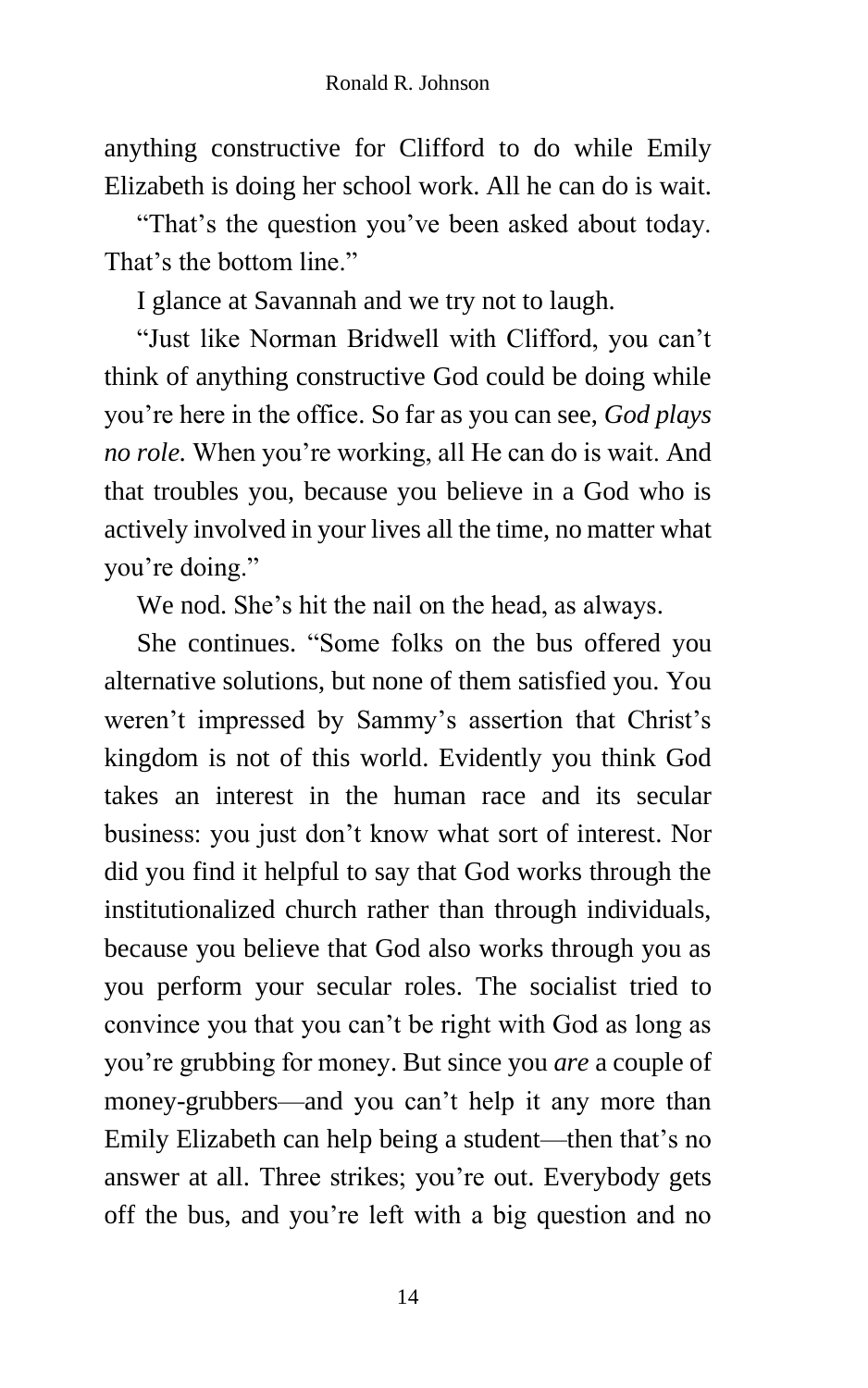anything constructive for Clifford to do while Emily Elizabeth is doing her school work. All he can do is wait.

"That's the question you've been asked about today. That's the bottom line."

I glance at Savannah and we try not to laugh.

"Just like Norman Bridwell with Clifford, you can't think of anything constructive God could be doing while you're here in the office. So far as you can see, *God plays no role.* When you're working, all He can do is wait. And that troubles you, because you believe in a God who is actively involved in your lives all the time, no matter what you're doing."

We nod. She's hit the nail on the head, as always.

She continues. "Some folks on the bus offered you alternative solutions, but none of them satisfied you. You weren't impressed by Sammy's assertion that Christ's kingdom is not of this world. Evidently you think God takes an interest in the human race and its secular business: you just don't know what sort of interest. Nor did you find it helpful to say that God works through the institutionalized church rather than through individuals, because you believe that God also works through you as you perform your secular roles. The socialist tried to convince you that you can't be right with God as long as you're grubbing for money. But since you *are* a couple of money-grubbers—and you can't help it any more than Emily Elizabeth can help being a student—then that's no answer at all. Three strikes; you're out. Everybody gets off the bus, and you're left with a big question and no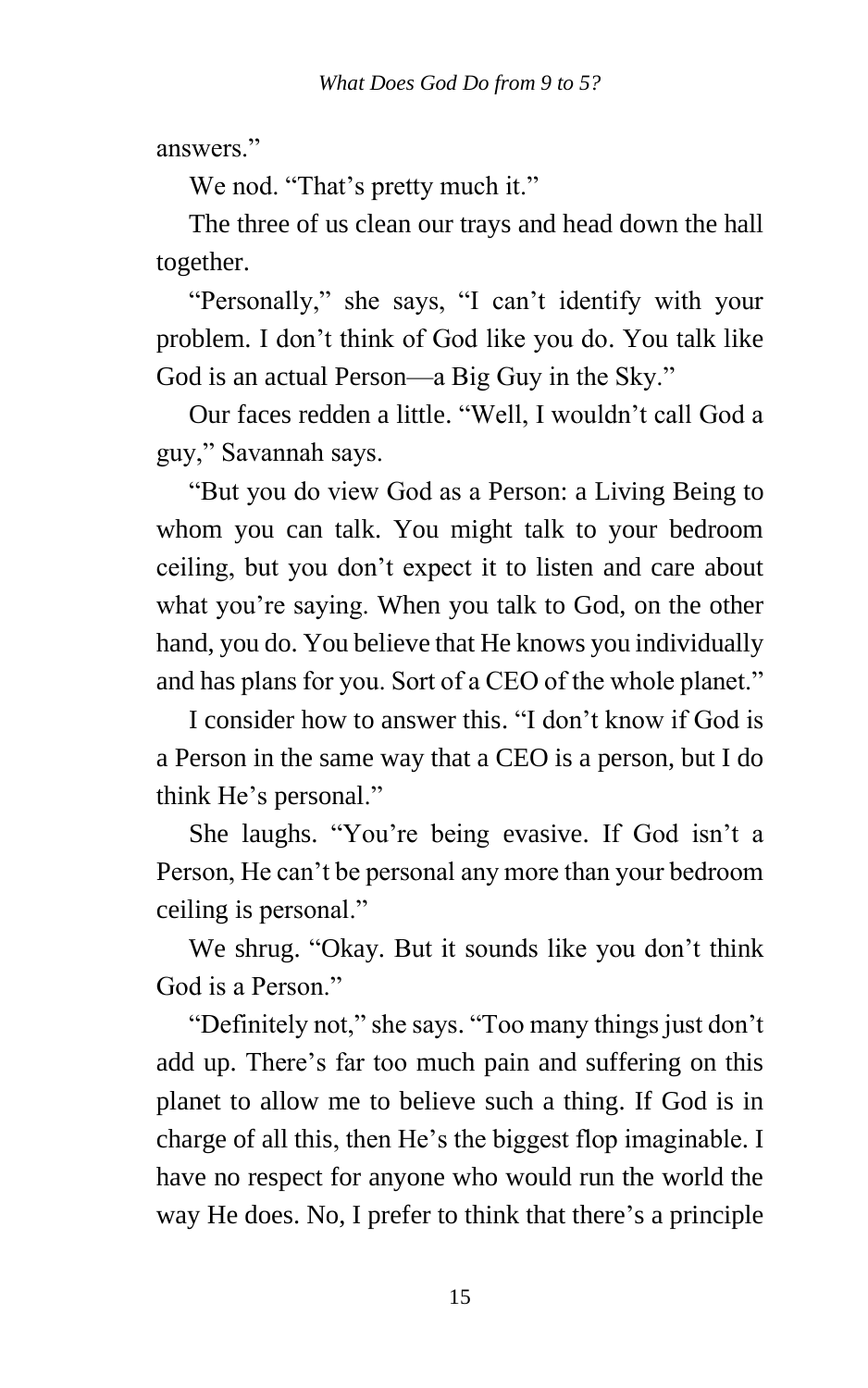answers."

We nod. "That's pretty much it."

The three of us clean our trays and head down the hall together.

"Personally," she says, "I can't identify with your problem. I don't think of God like you do. You talk like God is an actual Person—a Big Guy in the Sky."

Our faces redden a little. "Well, I wouldn't call God a guy," Savannah says.

"But you do view God as a Person: a Living Being to whom you can talk. You might talk to your bedroom ceiling, but you don't expect it to listen and care about what you're saying. When you talk to God, on the other hand, you do. You believe that He knows you individually and has plans for you. Sort of a CEO of the whole planet."

I consider how to answer this. "I don't know if God is a Person in the same way that a CEO is a person, but I do think He's personal."

She laughs. "You're being evasive. If God isn't a Person, He can't be personal any more than your bedroom ceiling is personal."

We shrug. "Okay. But it sounds like you don't think God is a Person."

"Definitely not," she says. "Too many things just don't add up. There's far too much pain and suffering on this planet to allow me to believe such a thing. If God is in charge of all this, then He's the biggest flop imaginable. I have no respect for anyone who would run the world the way He does. No, I prefer to think that there's a principle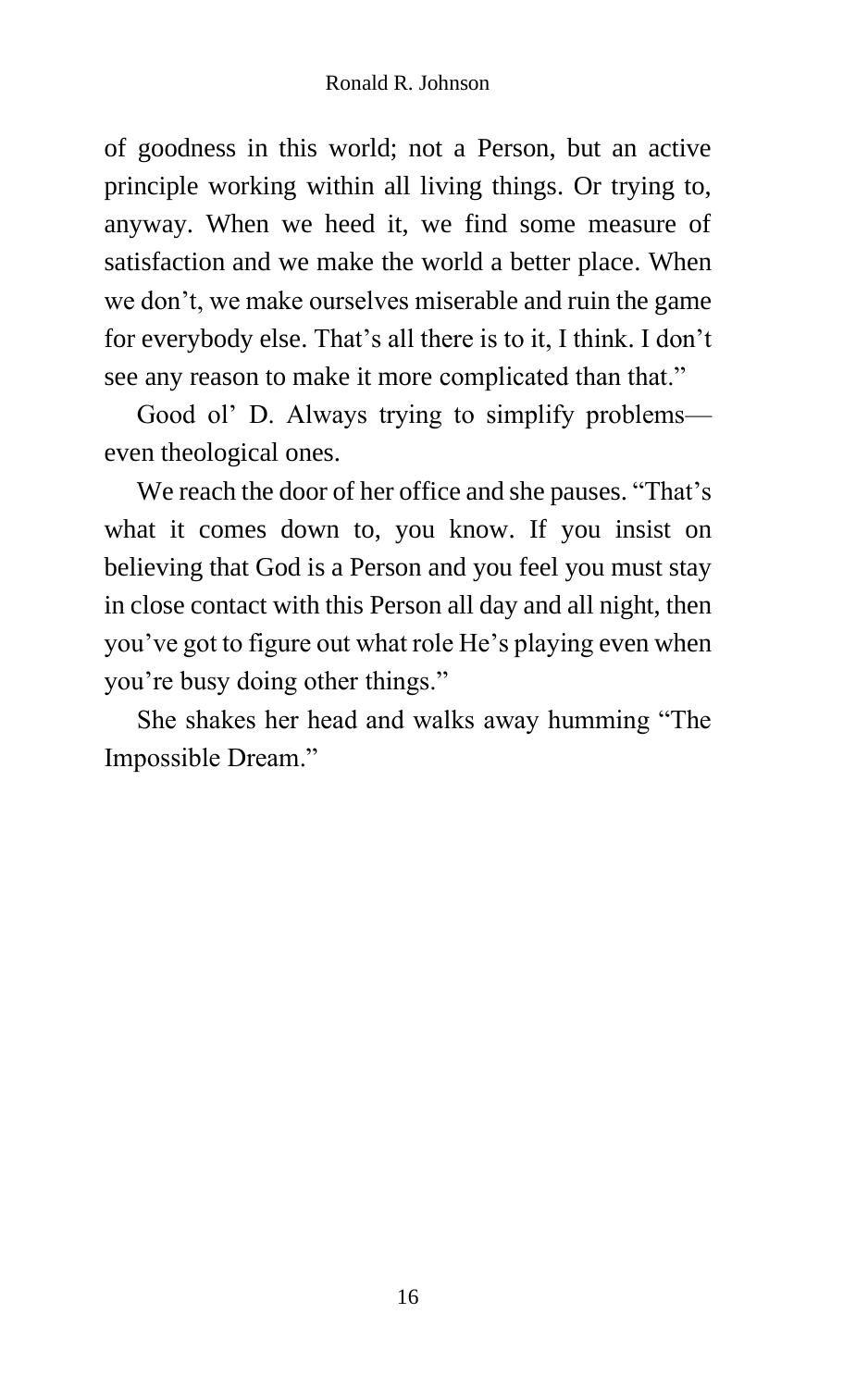of goodness in this world; not a Person, but an active principle working within all living things. Or trying to, anyway. When we heed it, we find some measure of satisfaction and we make the world a better place. When we don't, we make ourselves miserable and ruin the game for everybody else. That's all there is to it, I think. I don't see any reason to make it more complicated than that."

Good ol' D. Always trying to simplify problems even theological ones.

We reach the door of her office and she pauses. "That's what it comes down to, you know. If you insist on believing that God is a Person and you feel you must stay in close contact with this Person all day and all night, then you've got to figure out what role He's playing even when you're busy doing other things."

She shakes her head and walks away humming "The Impossible Dream."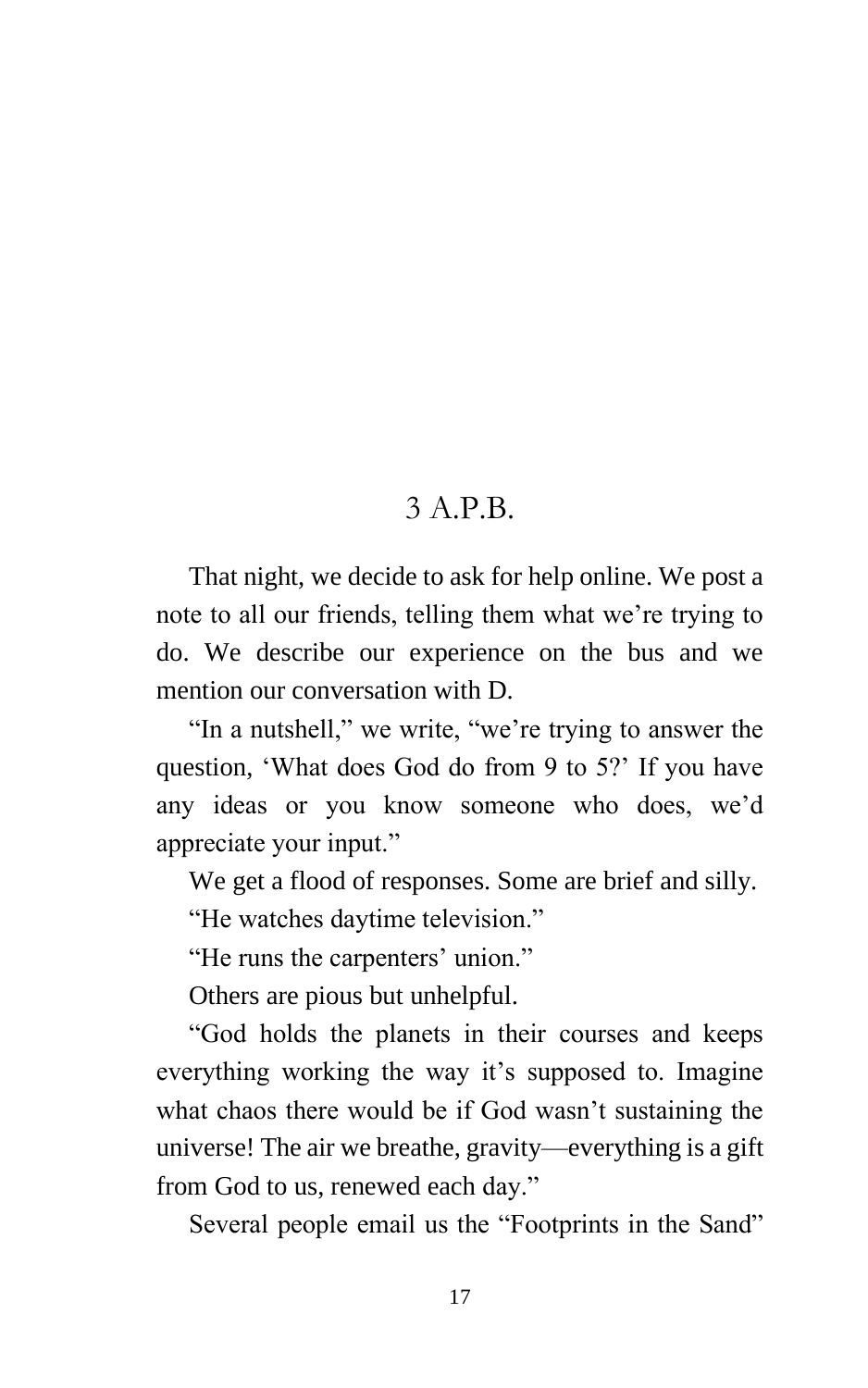#### 3 A P<sub>B</sub>

That night, we decide to ask for help online. We post a note to all our friends, telling them what we're trying to do. We describe our experience on the bus and we mention our conversation with D.

"In a nutshell," we write, "we're trying to answer the question, 'What does God do from 9 to 5?' If you have any ideas or you know someone who does, we'd appreciate your input."

We get a flood of responses. Some are brief and silly.

"He watches daytime television."

"He runs the carpenters' union."

Others are pious but unhelpful.

"God holds the planets in their courses and keeps everything working the way it's supposed to. Imagine what chaos there would be if God wasn't sustaining the universe! The air we breathe, gravity—everything is a gift from God to us, renewed each day."

Several people email us the "Footprints in the Sand"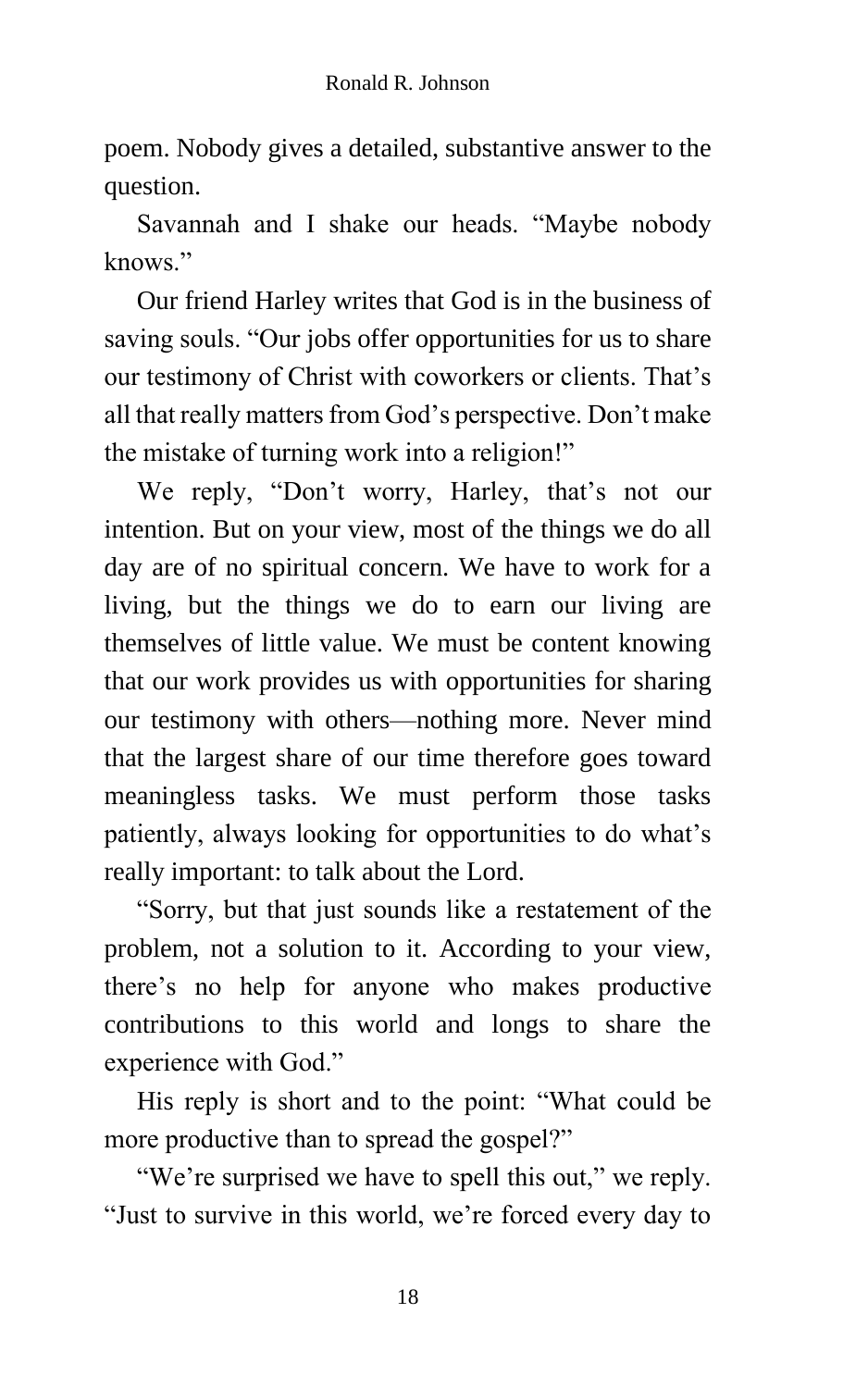poem. Nobody gives a detailed, substantive answer to the question.

Savannah and I shake our heads. "Maybe nobody knows."

Our friend Harley writes that God is in the business of saving souls. "Our jobs offer opportunities for us to share our testimony of Christ with coworkers or clients. That's all that really matters from God's perspective. Don't make the mistake of turning work into a religion!"

We reply, "Don't worry, Harley, that's not our intention. But on your view, most of the things we do all day are of no spiritual concern. We have to work for a living, but the things we do to earn our living are themselves of little value. We must be content knowing that our work provides us with opportunities for sharing our testimony with others—nothing more. Never mind that the largest share of our time therefore goes toward meaningless tasks. We must perform those tasks patiently, always looking for opportunities to do what's really important: to talk about the Lord.

"Sorry, but that just sounds like a restatement of the problem, not a solution to it. According to your view, there's no help for anyone who makes productive contributions to this world and longs to share the experience with God."

His reply is short and to the point: "What could be more productive than to spread the gospel?"

"We're surprised we have to spell this out," we reply. "Just to survive in this world, we're forced every day to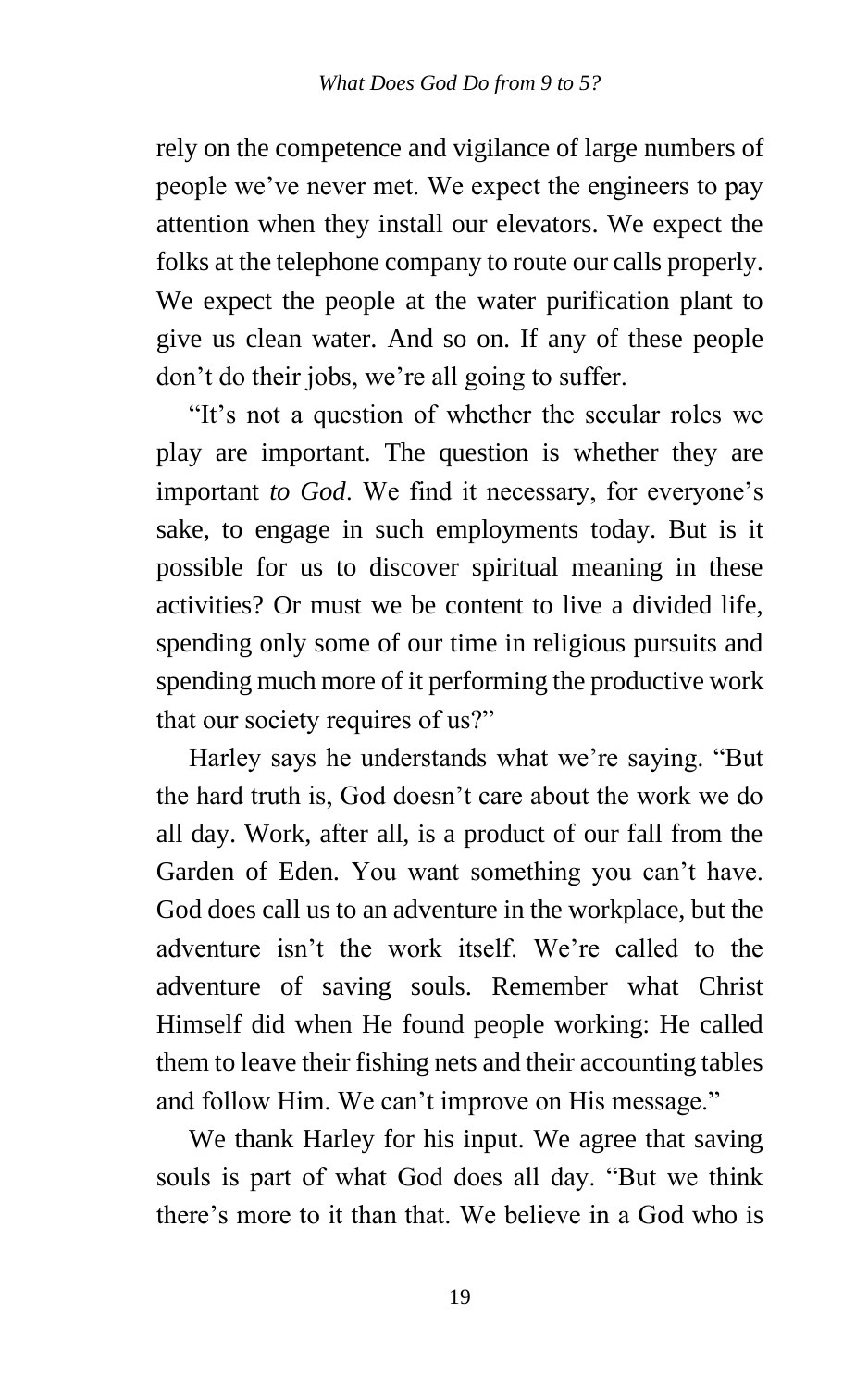rely on the competence and vigilance of large numbers of people we've never met. We expect the engineers to pay attention when they install our elevators. We expect the folks at the telephone company to route our calls properly. We expect the people at the water purification plant to give us clean water. And so on. If any of these people don't do their jobs, we're all going to suffer.

"It's not a question of whether the secular roles we play are important. The question is whether they are important *to God*. We find it necessary, for everyone's sake, to engage in such employments today. But is it possible for us to discover spiritual meaning in these activities? Or must we be content to live a divided life, spending only some of our time in religious pursuits and spending much more of it performing the productive work that our society requires of us?"

Harley says he understands what we're saying. "But the hard truth is, God doesn't care about the work we do all day. Work, after all, is a product of our fall from the Garden of Eden. You want something you can't have. God does call us to an adventure in the workplace, but the adventure isn't the work itself. We're called to the adventure of saving souls. Remember what Christ Himself did when He found people working: He called them to leave their fishing nets and their accounting tables and follow Him. We can't improve on His message."

We thank Harley for his input. We agree that saving souls is part of what God does all day. "But we think there's more to it than that. We believe in a God who is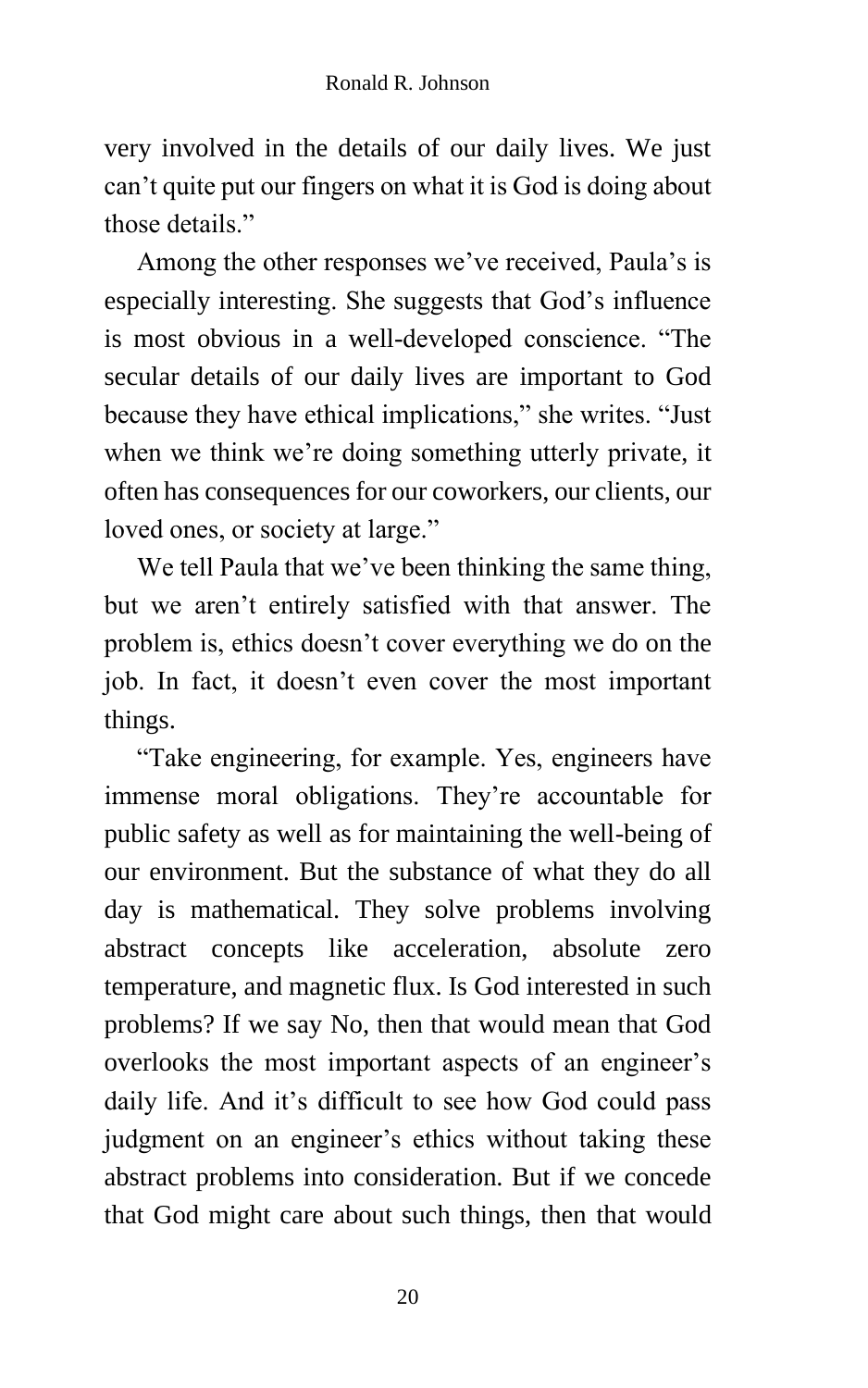very involved in the details of our daily lives. We just can't quite put our fingers on what it is God is doing about those details."

Among the other responses we've received, Paula's is especially interesting. She suggests that God's influence is most obvious in a well-developed conscience. "The secular details of our daily lives are important to God because they have ethical implications," she writes. "Just when we think we're doing something utterly private, it often has consequences for our coworkers, our clients, our loved ones, or society at large."

We tell Paula that we've been thinking the same thing, but we aren't entirely satisfied with that answer. The problem is, ethics doesn't cover everything we do on the job. In fact, it doesn't even cover the most important things.

"Take engineering, for example. Yes, engineers have immense moral obligations. They're accountable for public safety as well as for maintaining the well-being of our environment. But the substance of what they do all day is mathematical. They solve problems involving abstract concepts like acceleration, absolute zero temperature, and magnetic flux. Is God interested in such problems? If we say No, then that would mean that God overlooks the most important aspects of an engineer's daily life. And it's difficult to see how God could pass judgment on an engineer's ethics without taking these abstract problems into consideration. But if we concede that God might care about such things, then that would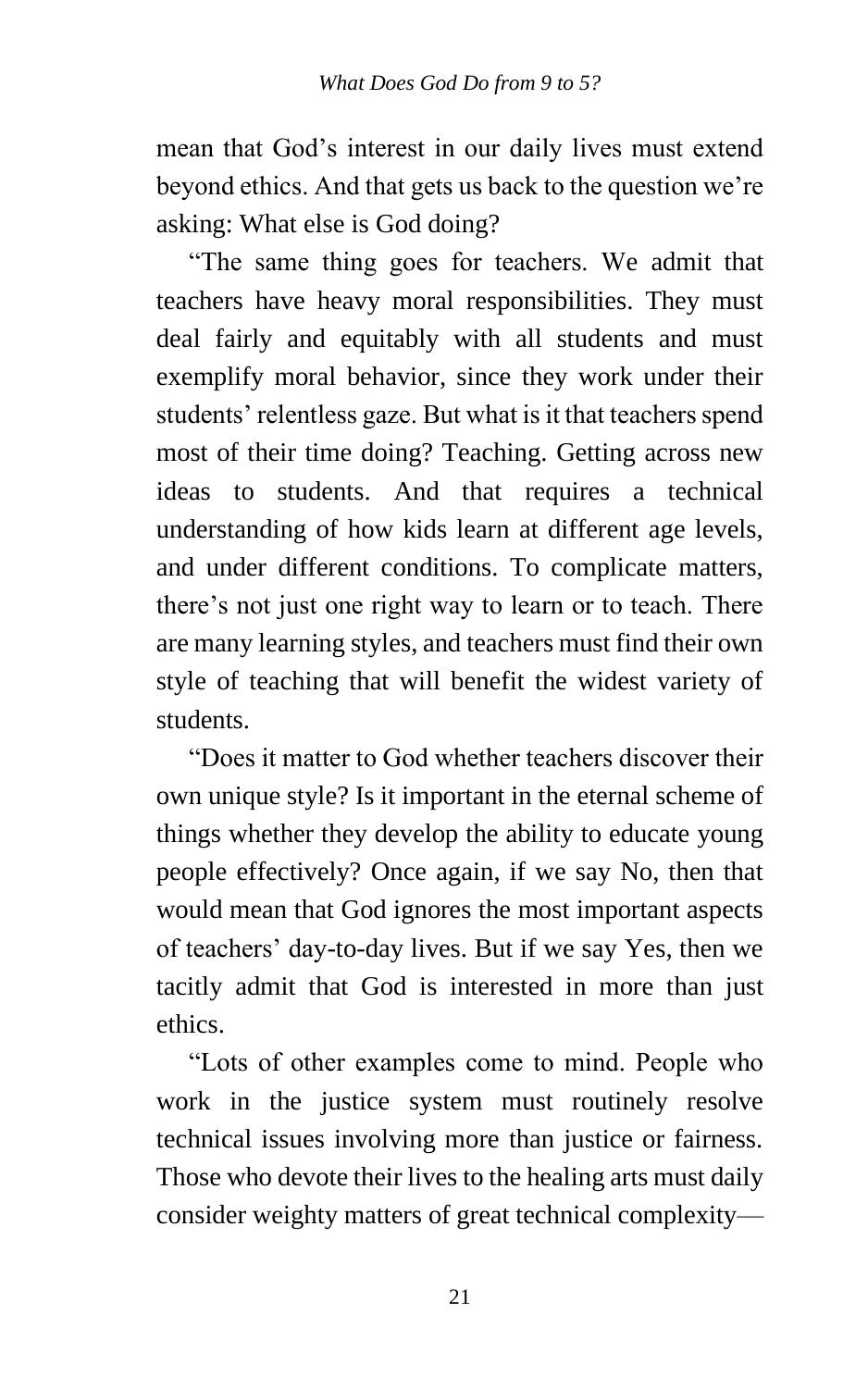mean that God's interest in our daily lives must extend beyond ethics. And that gets us back to the question we're asking: What else is God doing?

"The same thing goes for teachers. We admit that teachers have heavy moral responsibilities. They must deal fairly and equitably with all students and must exemplify moral behavior, since they work under their students' relentless gaze. But what is it that teachers spend most of their time doing? Teaching. Getting across new ideas to students. And that requires a technical understanding of how kids learn at different age levels, and under different conditions. To complicate matters, there's not just one right way to learn or to teach. There are many learning styles, and teachers must find their own style of teaching that will benefit the widest variety of students.

"Does it matter to God whether teachers discover their own unique style? Is it important in the eternal scheme of things whether they develop the ability to educate young people effectively? Once again, if we say No, then that would mean that God ignores the most important aspects of teachers' day-to-day lives. But if we say Yes, then we tacitly admit that God is interested in more than just ethics.

"Lots of other examples come to mind. People who work in the justice system must routinely resolve technical issues involving more than justice or fairness. Those who devote their lives to the healing arts must daily consider weighty matters of great technical complexity—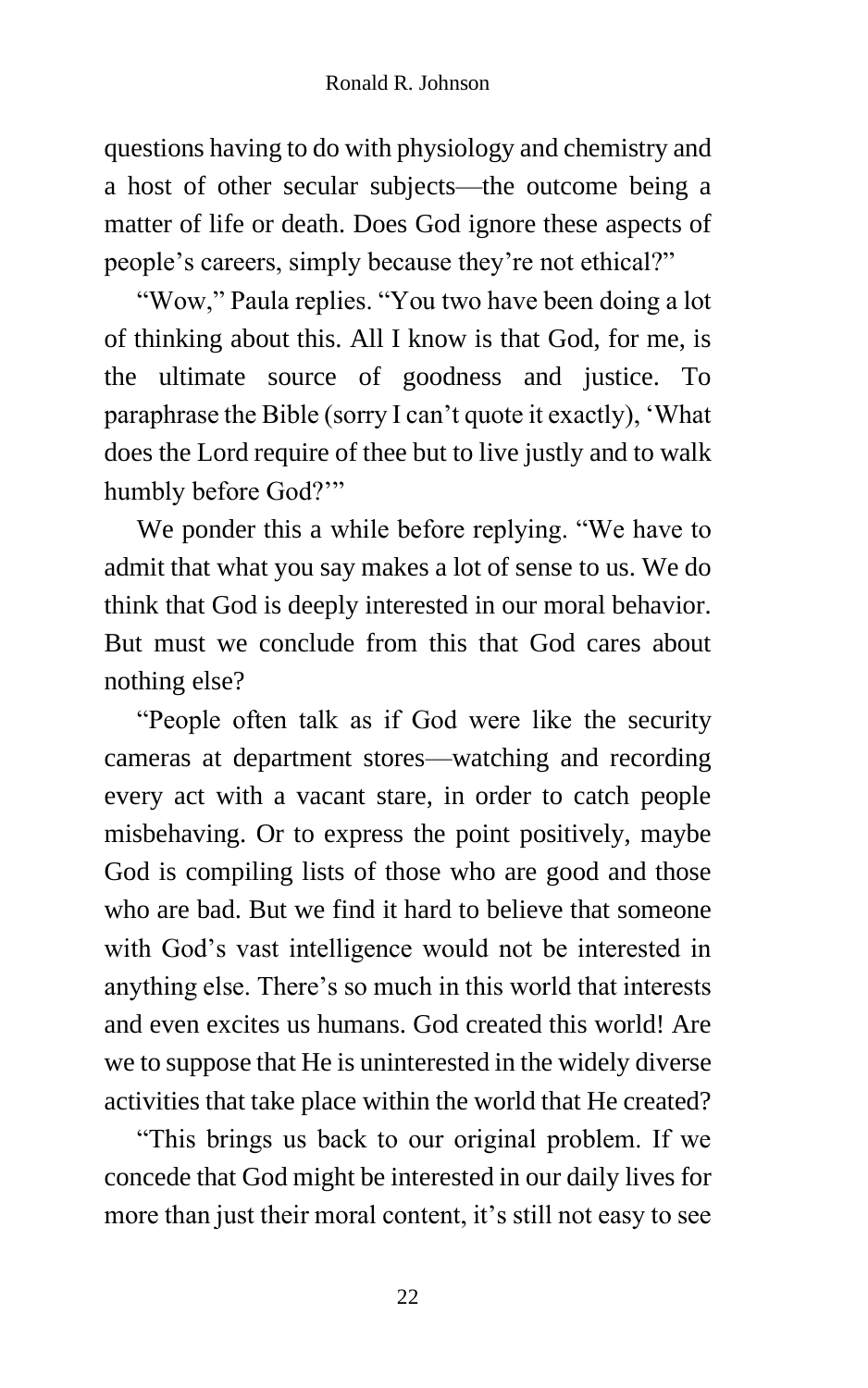questions having to do with physiology and chemistry and a host of other secular subjects—the outcome being a matter of life or death. Does God ignore these aspects of people's careers, simply because they're not ethical?"

"Wow," Paula replies. "You two have been doing a lot of thinking about this. All I know is that God, for me, is the ultimate source of goodness and justice. To paraphrase the Bible (sorry I can't quote it exactly), 'What does the Lord require of thee but to live justly and to walk humbly before God?'"

We ponder this a while before replying. "We have to admit that what you say makes a lot of sense to us. We do think that God is deeply interested in our moral behavior. But must we conclude from this that God cares about nothing else?

"People often talk as if God were like the security cameras at department stores—watching and recording every act with a vacant stare, in order to catch people misbehaving. Or to express the point positively, maybe God is compiling lists of those who are good and those who are bad. But we find it hard to believe that someone with God's vast intelligence would not be interested in anything else. There's so much in this world that interests and even excites us humans. God created this world! Are we to suppose that He is uninterested in the widely diverse activities that take place within the world that He created?

"This brings us back to our original problem. If we concede that God might be interested in our daily lives for more than just their moral content, it's still not easy to see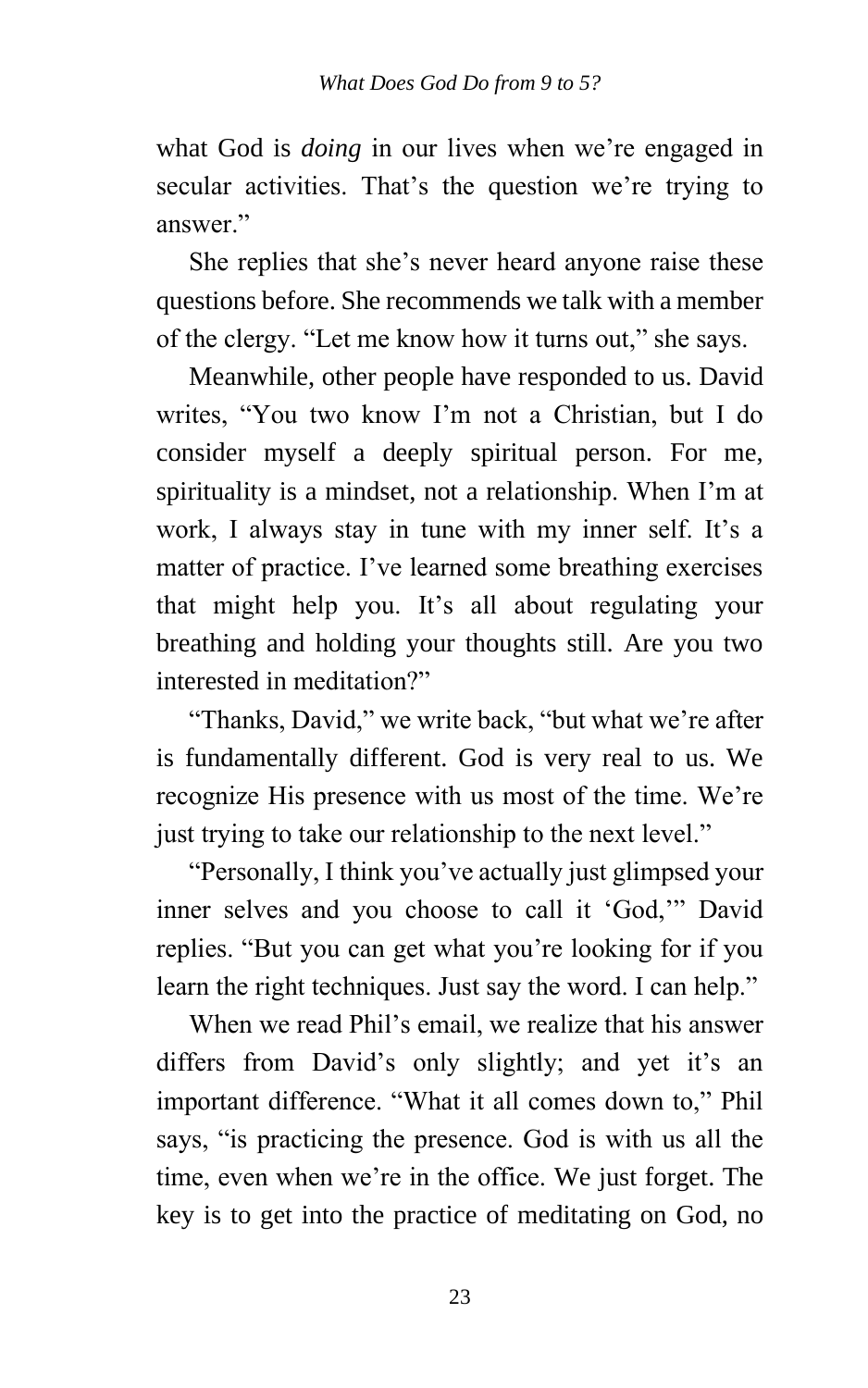what God is *doing* in our lives when we're engaged in secular activities. That's the question we're trying to answer "

She replies that she's never heard anyone raise these questions before. She recommends we talk with a member of the clergy. "Let me know how it turns out," she says.

Meanwhile, other people have responded to us. David writes, "You two know I'm not a Christian, but I do consider myself a deeply spiritual person. For me, spirituality is a mindset, not a relationship. When I'm at work, I always stay in tune with my inner self. It's a matter of practice. I've learned some breathing exercises that might help you. It's all about regulating your breathing and holding your thoughts still. Are you two interested in meditation?"

"Thanks, David," we write back, "but what we're after is fundamentally different. God is very real to us. We recognize His presence with us most of the time. We're just trying to take our relationship to the next level."

"Personally, I think you've actually just glimpsed your inner selves and you choose to call it 'God,'" David replies. "But you can get what you're looking for if you learn the right techniques. Just say the word. I can help."

When we read Phil's email, we realize that his answer differs from David's only slightly; and yet it's an important difference. "What it all comes down to," Phil says, "is practicing the presence. God is with us all the time, even when we're in the office. We just forget. The key is to get into the practice of meditating on God, no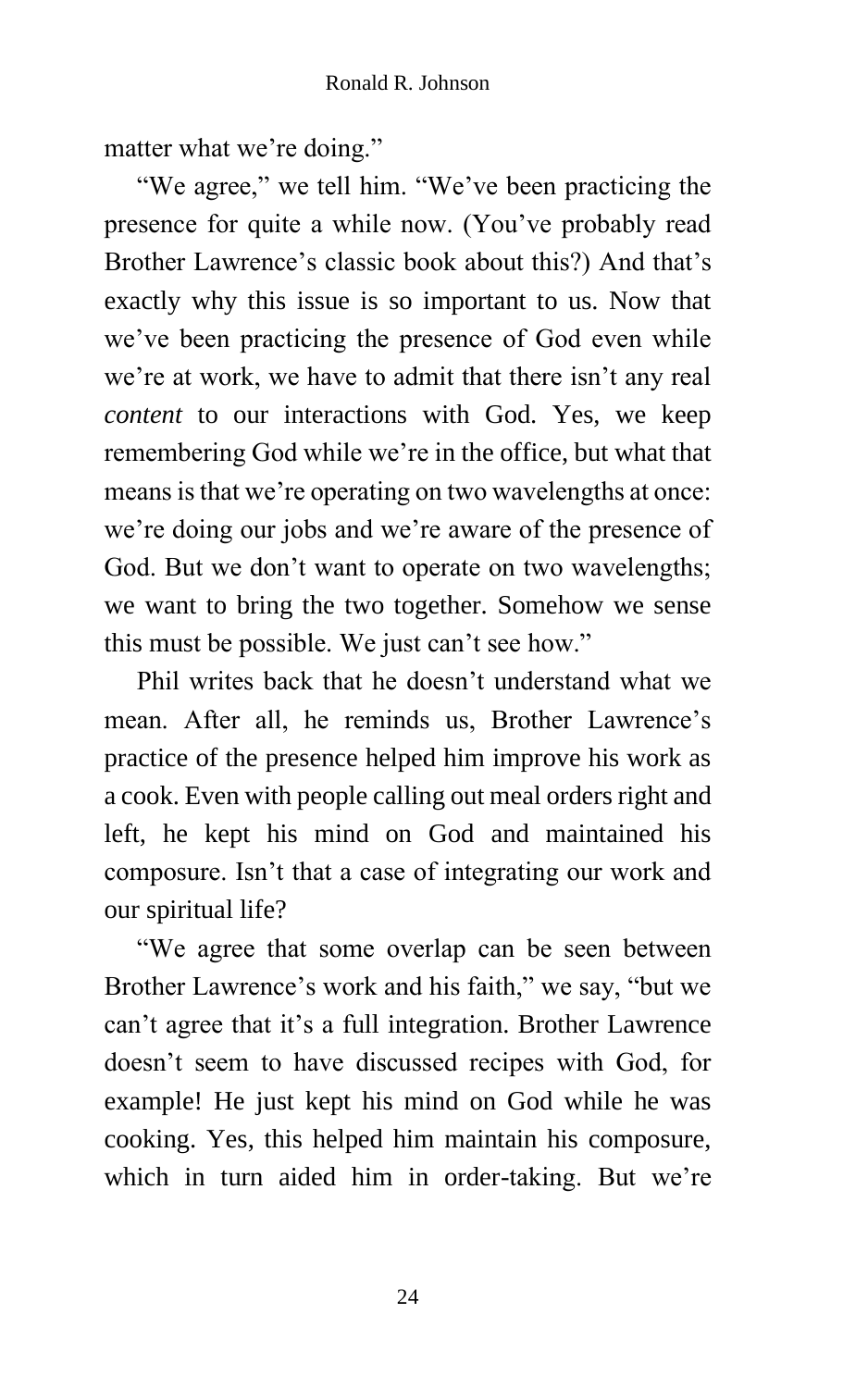matter what we're doing."

"We agree," we tell him. "We've been practicing the presence for quite a while now. (You've probably read Brother Lawrence's classic book about this?) And that's exactly why this issue is so important to us. Now that we've been practicing the presence of God even while we're at work, we have to admit that there isn't any real *content* to our interactions with God. Yes, we keep remembering God while we're in the office, but what that means is that we're operating on two wavelengths at once: we're doing our jobs and we're aware of the presence of God. But we don't want to operate on two wavelengths; we want to bring the two together. Somehow we sense this must be possible. We just can't see how."

Phil writes back that he doesn't understand what we mean. After all, he reminds us, Brother Lawrence's practice of the presence helped him improve his work as a cook. Even with people calling out meal orders right and left, he kept his mind on God and maintained his composure. Isn't that a case of integrating our work and our spiritual life?

"We agree that some overlap can be seen between Brother Lawrence's work and his faith," we say, "but we can't agree that it's a full integration. Brother Lawrence doesn't seem to have discussed recipes with God, for example! He just kept his mind on God while he was cooking. Yes, this helped him maintain his composure, which in turn aided him in order-taking. But we're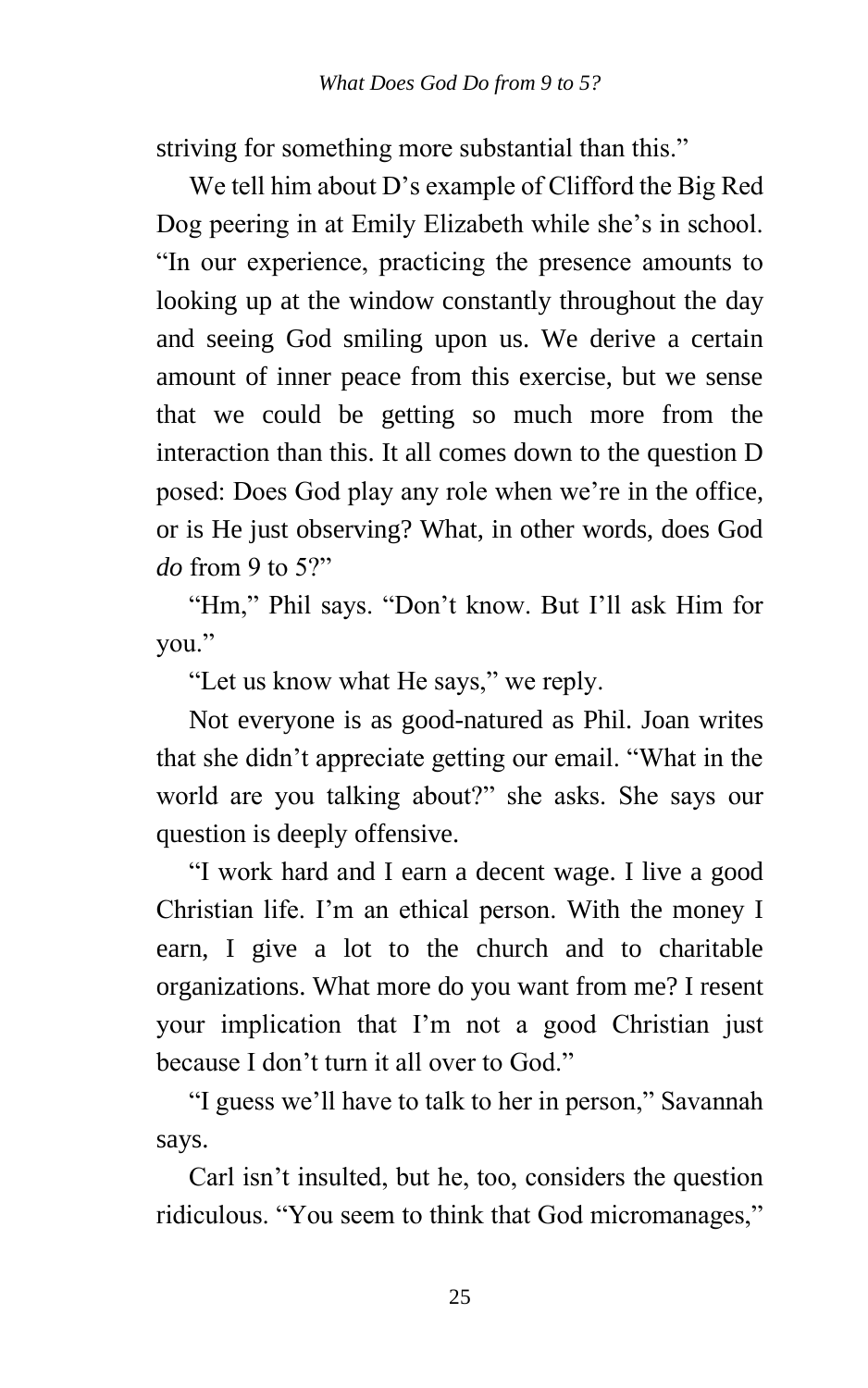striving for something more substantial than this."

We tell him about D's example of Clifford the Big Red Dog peering in at Emily Elizabeth while she's in school. "In our experience, practicing the presence amounts to looking up at the window constantly throughout the day and seeing God smiling upon us. We derive a certain amount of inner peace from this exercise, but we sense that we could be getting so much more from the interaction than this. It all comes down to the question D posed: Does God play any role when we're in the office, or is He just observing? What, in other words, does God *do* from 9 to 5?"

"Hm," Phil says. "Don't know. But I'll ask Him for you."

"Let us know what He says," we reply.

Not everyone is as good-natured as Phil. Joan writes that she didn't appreciate getting our email. "What in the world are you talking about?" she asks. She says our question is deeply offensive.

"I work hard and I earn a decent wage. I live a good Christian life. I'm an ethical person. With the money I earn, I give a lot to the church and to charitable organizations. What more do you want from me? I resent your implication that I'm not a good Christian just because I don't turn it all over to God."

"I guess we'll have to talk to her in person," Savannah says.

Carl isn't insulted, but he, too, considers the question ridiculous. "You seem to think that God micromanages,"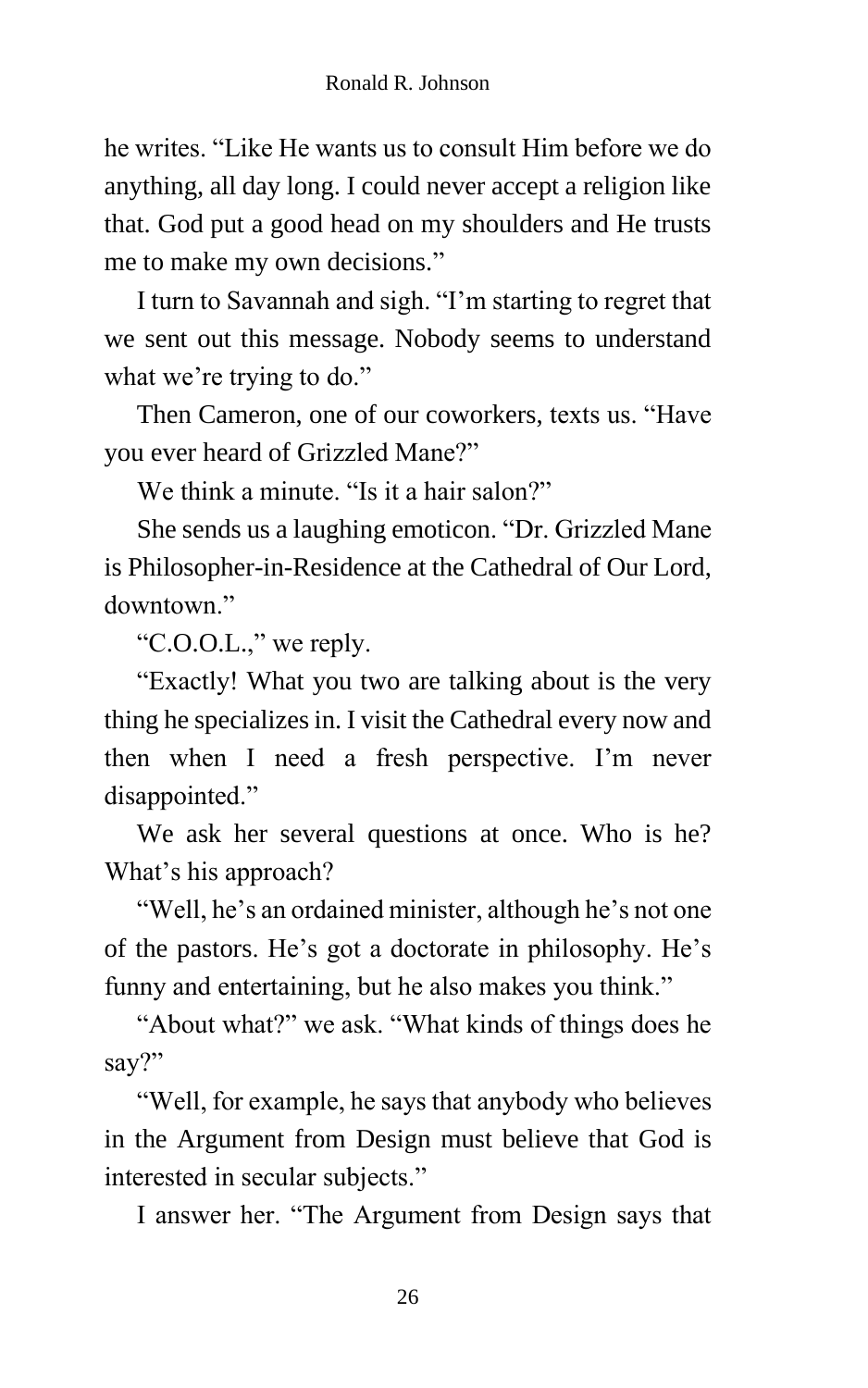he writes. "Like He wants us to consult Him before we do anything, all day long. I could never accept a religion like that. God put a good head on my shoulders and He trusts me to make my own decisions."

I turn to Savannah and sigh. "I'm starting to regret that we sent out this message. Nobody seems to understand what we're trying to do."

Then Cameron, one of our coworkers, texts us. "Have you ever heard of Grizzled Mane?"

We think a minute. "Is it a hair salon?"

She sends us a laughing emoticon. "Dr. Grizzled Mane is Philosopher-in-Residence at the Cathedral of Our Lord, downtown."

"C.O.O.L.," we reply.

"Exactly! What you two are talking about is the very thing he specializes in. I visit the Cathedral every now and then when I need a fresh perspective. I'm never disappointed."

We ask her several questions at once. Who is he? What's his approach?

"Well, he's an ordained minister, although he's not one of the pastors. He's got a doctorate in philosophy. He's funny and entertaining, but he also makes you think."

"About what?" we ask. "What kinds of things does he say?"

"Well, for example, he says that anybody who believes in the Argument from Design must believe that God is interested in secular subjects."

I answer her. "The Argument from Design says that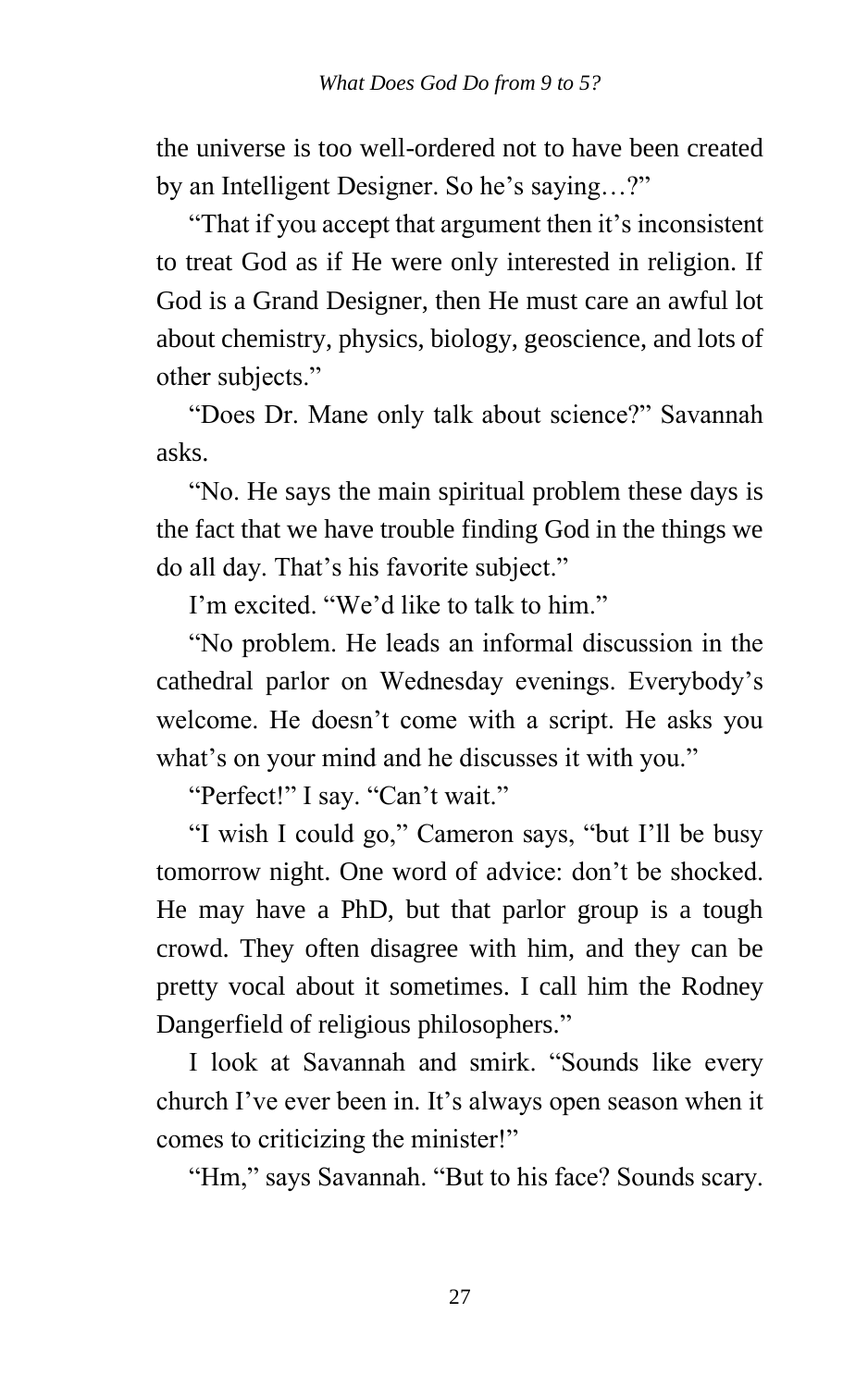the universe is too well-ordered not to have been created by an Intelligent Designer. So he's saying…?"

"That if you accept that argument then it's inconsistent to treat God as if He were only interested in religion. If God is a Grand Designer, then He must care an awful lot about chemistry, physics, biology, geoscience, and lots of other subjects."

"Does Dr. Mane only talk about science?" Savannah asks.

"No. He says the main spiritual problem these days is the fact that we have trouble finding God in the things we do all day. That's his favorite subject."

I'm excited. "We'd like to talk to him."

"No problem. He leads an informal discussion in the cathedral parlor on Wednesday evenings. Everybody's welcome. He doesn't come with a script. He asks you what's on your mind and he discusses it with you."

"Perfect!" I say. "Can't wait."

"I wish I could go," Cameron says, "but I'll be busy tomorrow night. One word of advice: don't be shocked. He may have a PhD, but that parlor group is a tough crowd. They often disagree with him, and they can be pretty vocal about it sometimes. I call him the Rodney Dangerfield of religious philosophers."

I look at Savannah and smirk. "Sounds like every church I've ever been in. It's always open season when it comes to criticizing the minister!"

"Hm," says Savannah. "But to his face? Sounds scary.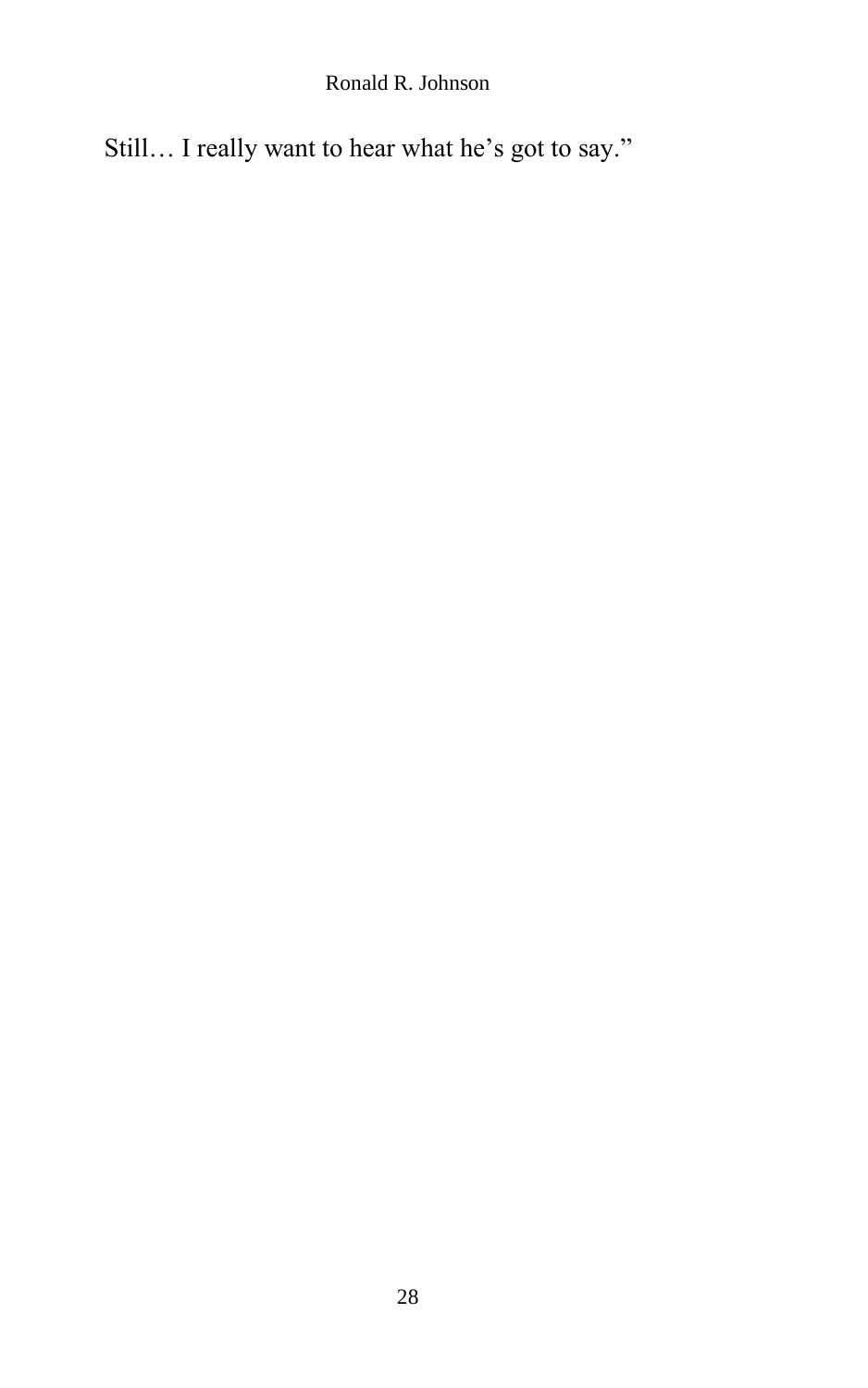Ronald R. Johnson

Still… I really want to hear what he's got to say."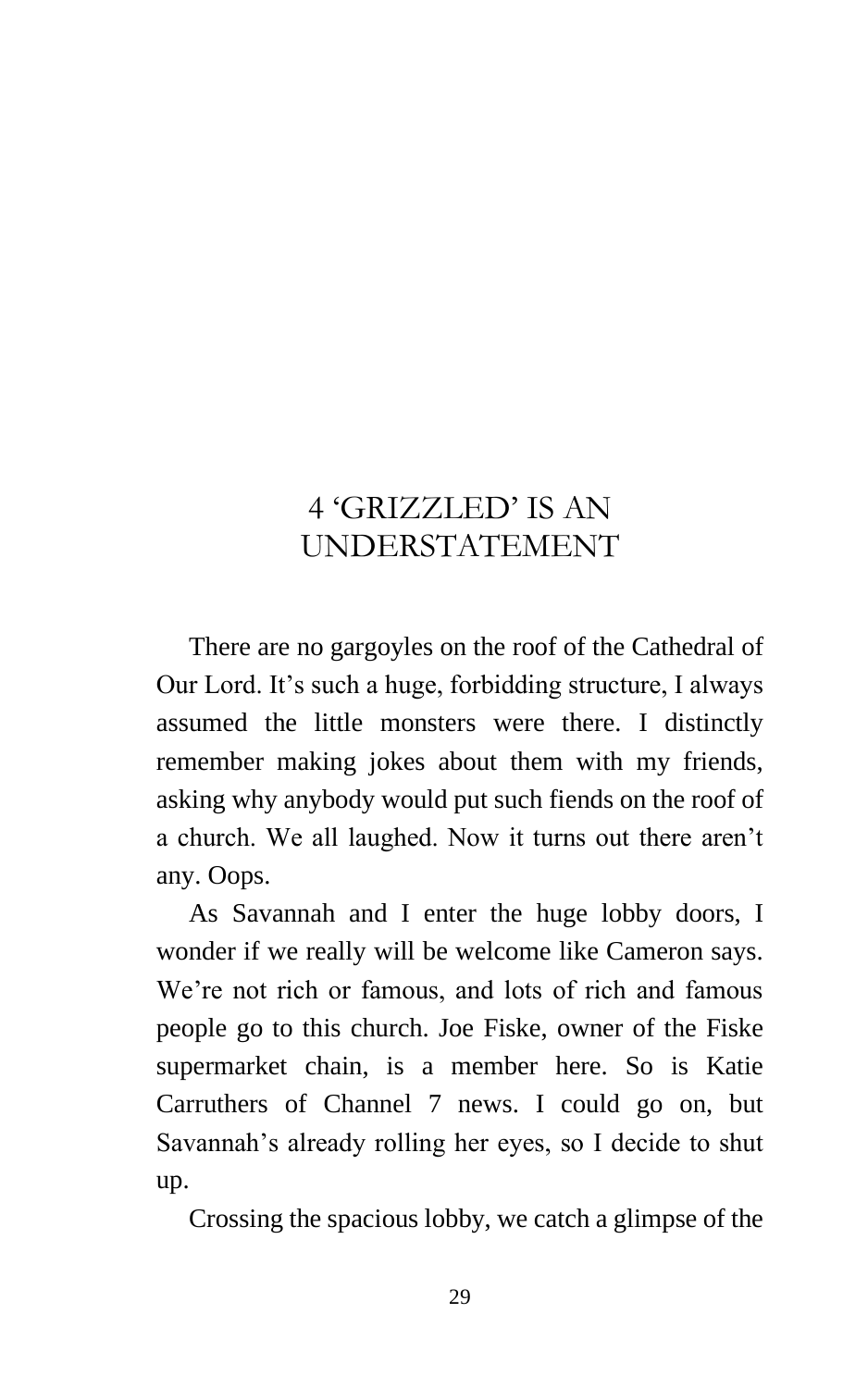# 4 'GRIZZLED' IS AN UNDERSTATEMENT

There are no gargoyles on the roof of the Cathedral of Our Lord. It's such a huge, forbidding structure, I always assumed the little monsters were there. I distinctly remember making jokes about them with my friends, asking why anybody would put such fiends on the roof of a church. We all laughed. Now it turns out there aren't any. Oops.

As Savannah and I enter the huge lobby doors, I wonder if we really will be welcome like Cameron says. We're not rich or famous, and lots of rich and famous people go to this church. Joe Fiske, owner of the Fiske supermarket chain, is a member here. So is Katie Carruthers of Channel 7 news. I could go on, but Savannah's already rolling her eyes, so I decide to shut up.

Crossing the spacious lobby, we catch a glimpse of the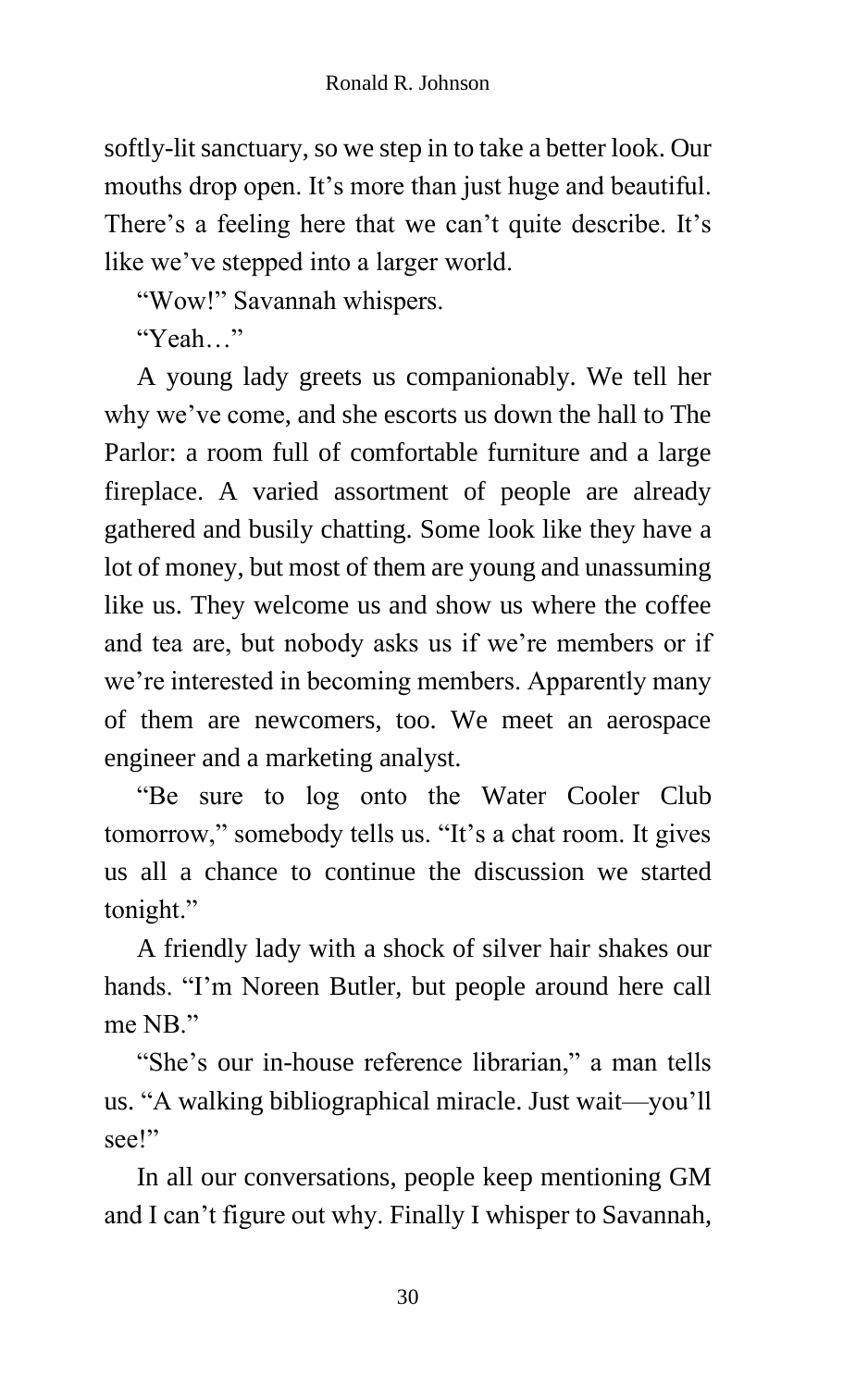softly-lit sanctuary, so we step in to take a better look. Our mouths drop open. It's more than just huge and beautiful. There's a feeling here that we can't quite describe. It's like we've stepped into a larger world.

"Wow!" Savannah whispers.

"Yeah…"

A young lady greets us companionably. We tell her why we've come, and she escorts us down the hall to The Parlor: a room full of comfortable furniture and a large fireplace. A varied assortment of people are already gathered and busily chatting. Some look like they have a lot of money, but most of them are young and unassuming like us. They welcome us and show us where the coffee and tea are, but nobody asks us if we're members or if we're interested in becoming members. Apparently many of them are newcomers, too. We meet an aerospace engineer and a marketing analyst.

"Be sure to log onto the Water Cooler Club tomorrow," somebody tells us. "It's a chat room. It gives us all a chance to continue the discussion we started tonight."

A friendly lady with a shock of silver hair shakes our hands. "I'm Noreen Butler, but people around here call me NB."

"She's our in-house reference librarian," a man tells us. "A walking bibliographical miracle. Just wait—you'll see!"

In all our conversations, people keep mentioning GM and I can't figure out why. Finally I whisper to Savannah,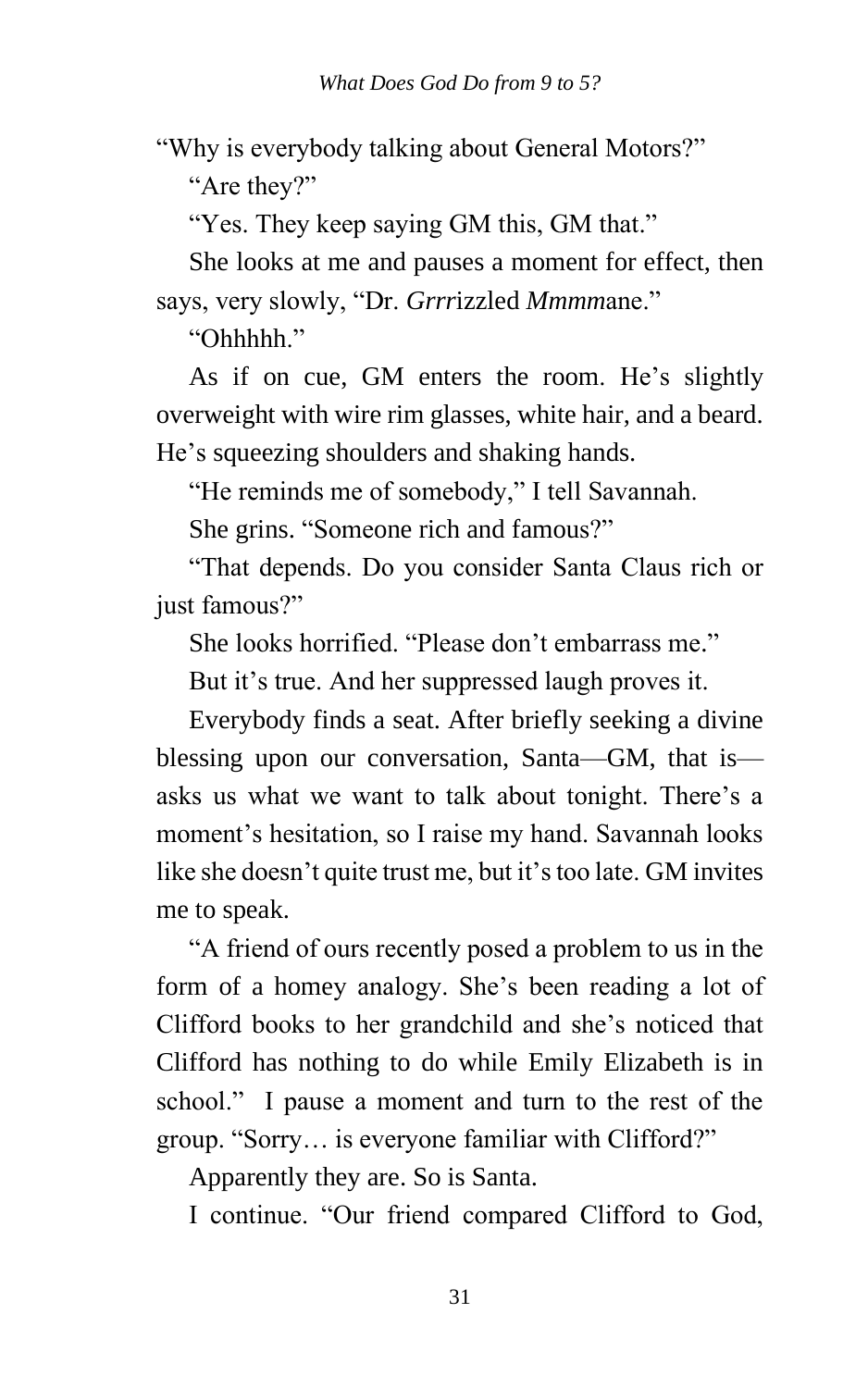"Why is everybody talking about General Motors?" "Are they?"

"Yes. They keep saying GM this, GM that."

She looks at me and pauses a moment for effect, then says, very slowly, "Dr. *Grrr*izzled *Mmmm*ane."

"Ohhhhh."

As if on cue, GM enters the room. He's slightly overweight with wire rim glasses, white hair, and a beard. He's squeezing shoulders and shaking hands.

"He reminds me of somebody," I tell Savannah.

She grins. "Someone rich and famous?"

"That depends. Do you consider Santa Claus rich or just famous?"

She looks horrified. "Please don't embarrass me."

But it's true. And her suppressed laugh proves it.

Everybody finds a seat. After briefly seeking a divine blessing upon our conversation, Santa—GM, that is asks us what we want to talk about tonight. There's a moment's hesitation, so I raise my hand. Savannah looks like she doesn't quite trust me, but it's too late. GM invites me to speak.

"A friend of ours recently posed a problem to us in the form of a homey analogy. She's been reading a lot of Clifford books to her grandchild and she's noticed that Clifford has nothing to do while Emily Elizabeth is in school." I pause a moment and turn to the rest of the group. "Sorry… is everyone familiar with Clifford?"

Apparently they are. So is Santa.

I continue. "Our friend compared Clifford to God,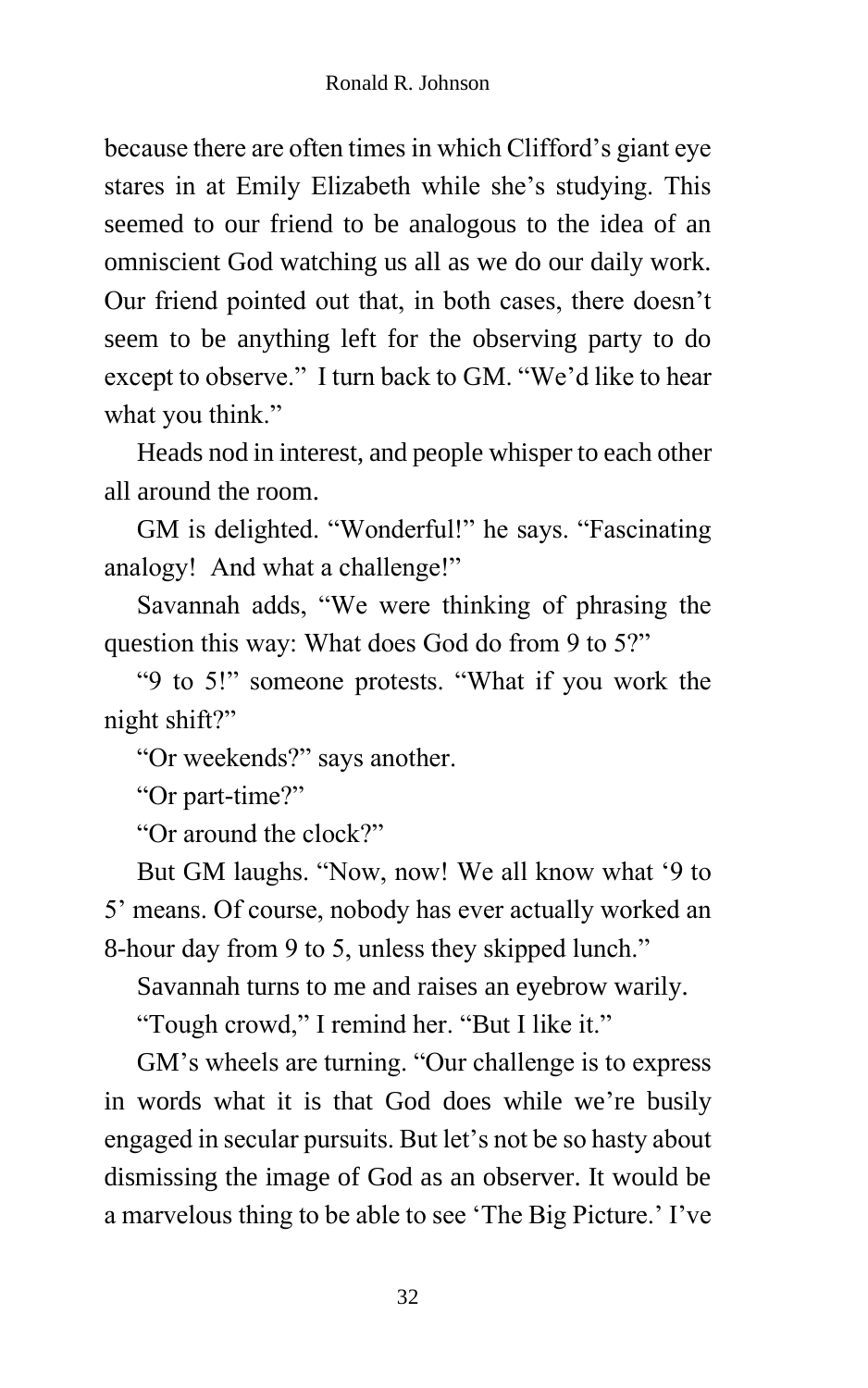because there are often times in which Clifford's giant eye stares in at Emily Elizabeth while she's studying. This seemed to our friend to be analogous to the idea of an omniscient God watching us all as we do our daily work. Our friend pointed out that, in both cases, there doesn't seem to be anything left for the observing party to do except to observe." I turn back to GM. "We'd like to hear what you think."

Heads nod in interest, and people whisper to each other all around the room.

GM is delighted. "Wonderful!" he says. "Fascinating analogy! And what a challenge!"

Savannah adds, "We were thinking of phrasing the question this way: What does God do from 9 to 5?"

"9 to 5!" someone protests. "What if you work the night shift?"

"Or weekends?" says another.

"Or part-time?"

"Or around the clock?"

But GM laughs. "Now, now! We all know what '9 to 5' means. Of course, nobody has ever actually worked an 8-hour day from 9 to 5, unless they skipped lunch."

Savannah turns to me and raises an eyebrow warily.

"Tough crowd," I remind her. "But I like it."

GM's wheels are turning. "Our challenge is to express in words what it is that God does while we're busily engaged in secular pursuits. But let's not be so hasty about dismissing the image of God as an observer. It would be a marvelous thing to be able to see 'The Big Picture.' I've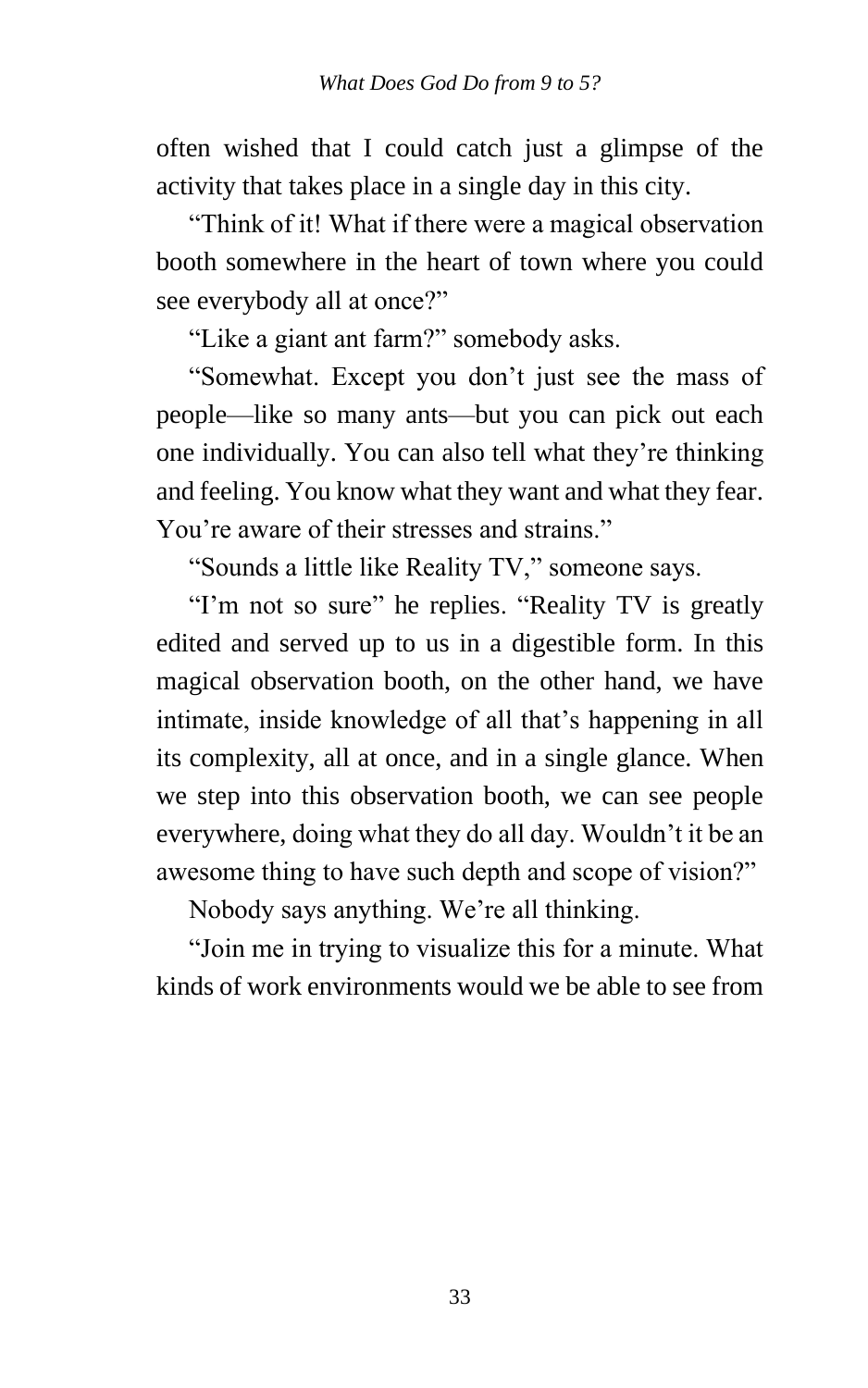often wished that I could catch just a glimpse of the activity that takes place in a single day in this city.

"Think of it! What if there were a magical observation booth somewhere in the heart of town where you could see everybody all at once?"

"Like a giant ant farm?" somebody asks.

"Somewhat. Except you don't just see the mass of people—like so many ants—but you can pick out each one individually. You can also tell what they're thinking and feeling. You know what they want and what they fear. You're aware of their stresses and strains."

"Sounds a little like Reality TV," someone says.

"I'm not so sure" he replies. "Reality TV is greatly edited and served up to us in a digestible form. In this magical observation booth, on the other hand, we have intimate, inside knowledge of all that's happening in all its complexity, all at once, and in a single glance. When we step into this observation booth, we can see people everywhere, doing what they do all day. Wouldn't it be an awesome thing to have such depth and scope of vision?"

Nobody says anything. We're all thinking.

"Join me in trying to visualize this for a minute. What kinds of work environments would we be able to see from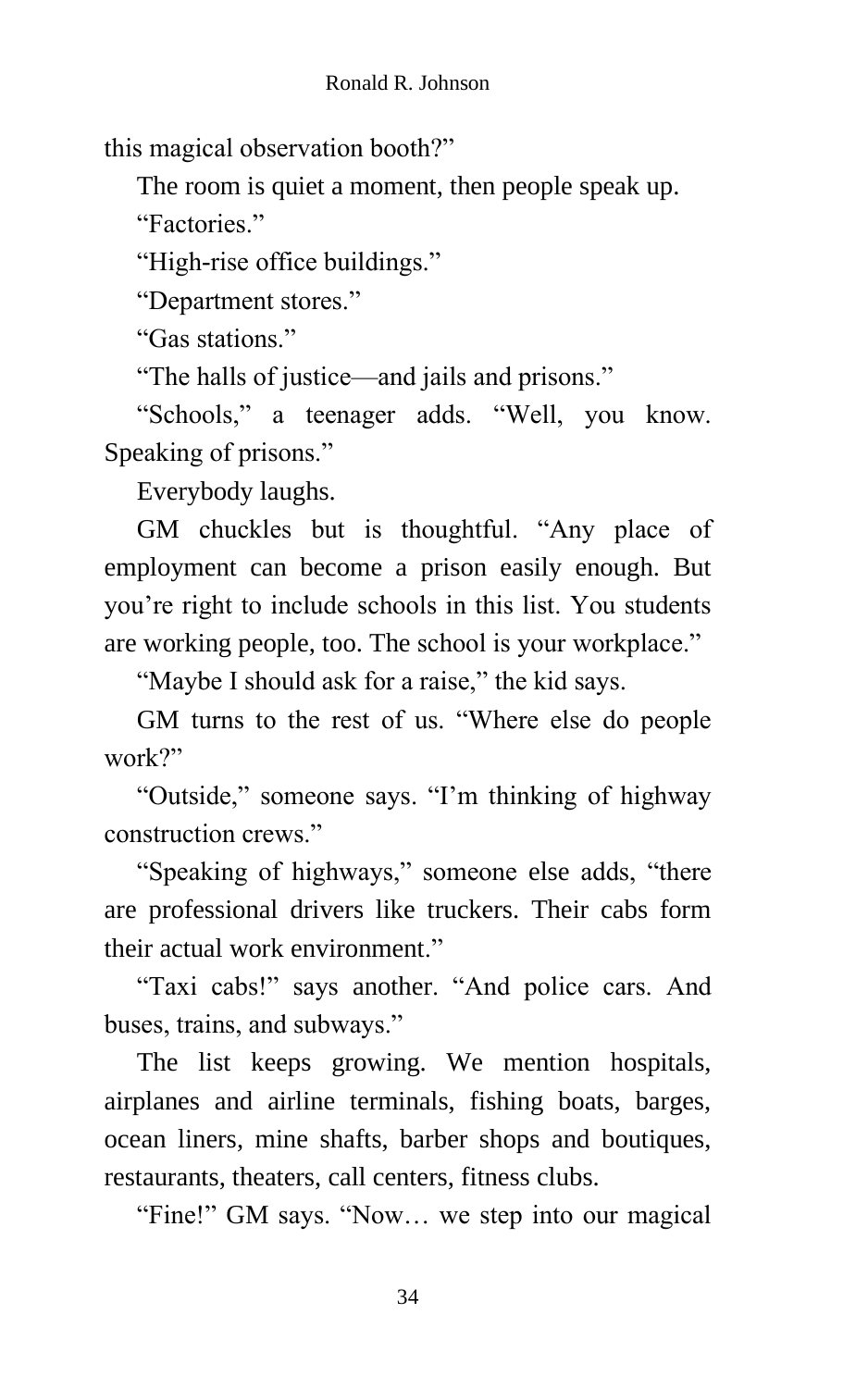this magical observation booth?"

The room is quiet a moment, then people speak up.

"Factories."

"High-rise office buildings."

"Department stores."

"Gas stations."

"The halls of justice—and jails and prisons."

"Schools," a teenager adds. "Well, you know. Speaking of prisons."

Everybody laughs.

GM chuckles but is thoughtful. "Any place of employment can become a prison easily enough. But you're right to include schools in this list. You students are working people, too. The school is your workplace."

"Maybe I should ask for a raise," the kid says.

GM turns to the rest of us. "Where else do people work?"

"Outside," someone says. "I'm thinking of highway construction crews."

"Speaking of highways," someone else adds, "there are professional drivers like truckers. Their cabs form their actual work environment."

"Taxi cabs!" says another. "And police cars. And buses, trains, and subways."

The list keeps growing. We mention hospitals, airplanes and airline terminals, fishing boats, barges, ocean liners, mine shafts, barber shops and boutiques, restaurants, theaters, call centers, fitness clubs.

"Fine!" GM says. "Now… we step into our magical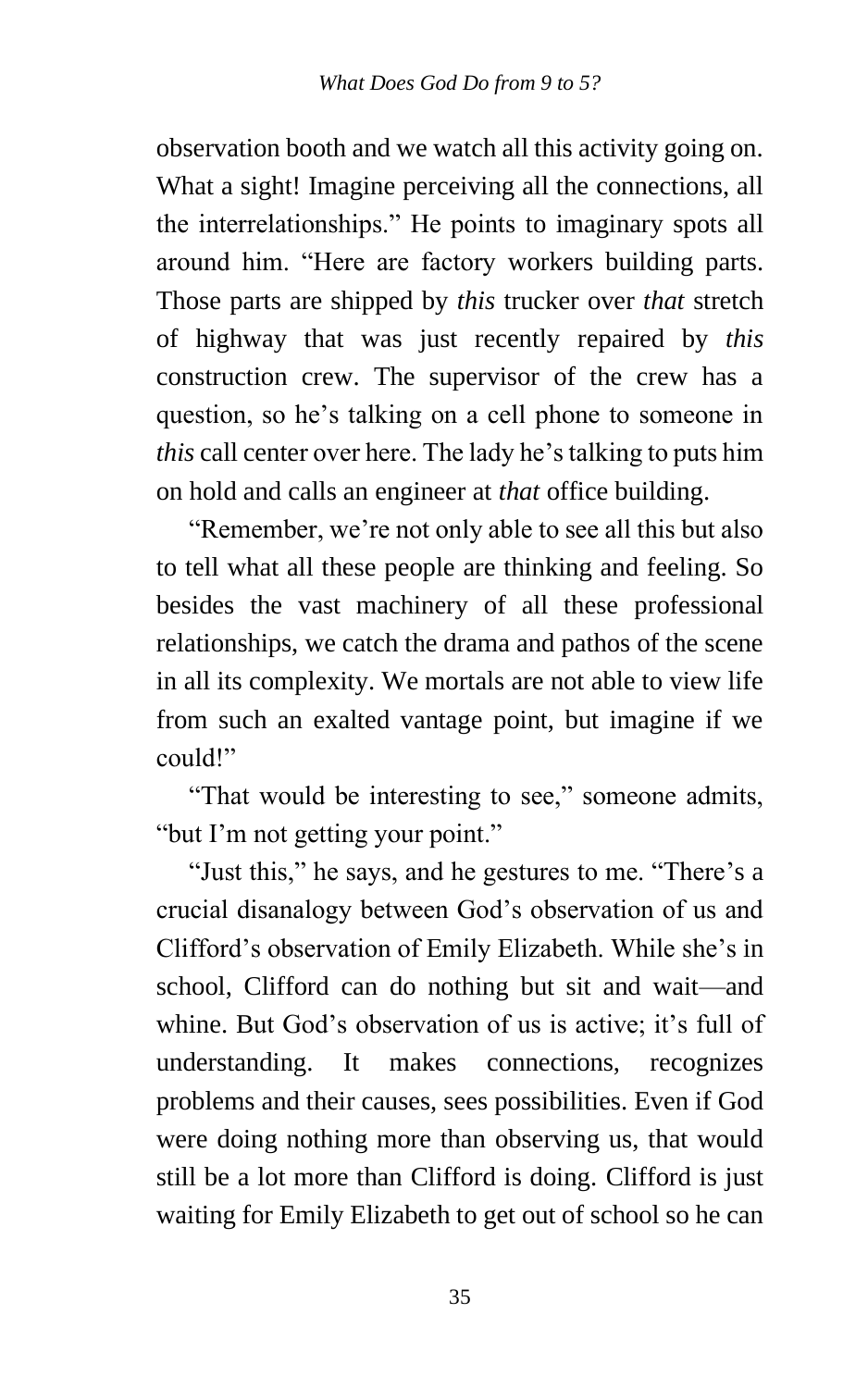observation booth and we watch all this activity going on. What a sight! Imagine perceiving all the connections, all the interrelationships." He points to imaginary spots all around him. "Here are factory workers building parts. Those parts are shipped by *this* trucker over *that* stretch of highway that was just recently repaired by *this* construction crew. The supervisor of the crew has a question, so he's talking on a cell phone to someone in *this* call center over here. The lady he's talking to puts him on hold and calls an engineer at *that* office building.

"Remember, we're not only able to see all this but also to tell what all these people are thinking and feeling. So besides the vast machinery of all these professional relationships, we catch the drama and pathos of the scene in all its complexity. We mortals are not able to view life from such an exalted vantage point, but imagine if we could!"

"That would be interesting to see," someone admits, "but I'm not getting your point."

"Just this," he says, and he gestures to me. "There's a crucial disanalogy between God's observation of us and Clifford's observation of Emily Elizabeth. While she's in school, Clifford can do nothing but sit and wait—and whine. But God's observation of us is active; it's full of understanding. It makes connections, recognizes problems and their causes, sees possibilities. Even if God were doing nothing more than observing us, that would still be a lot more than Clifford is doing. Clifford is just waiting for Emily Elizabeth to get out of school so he can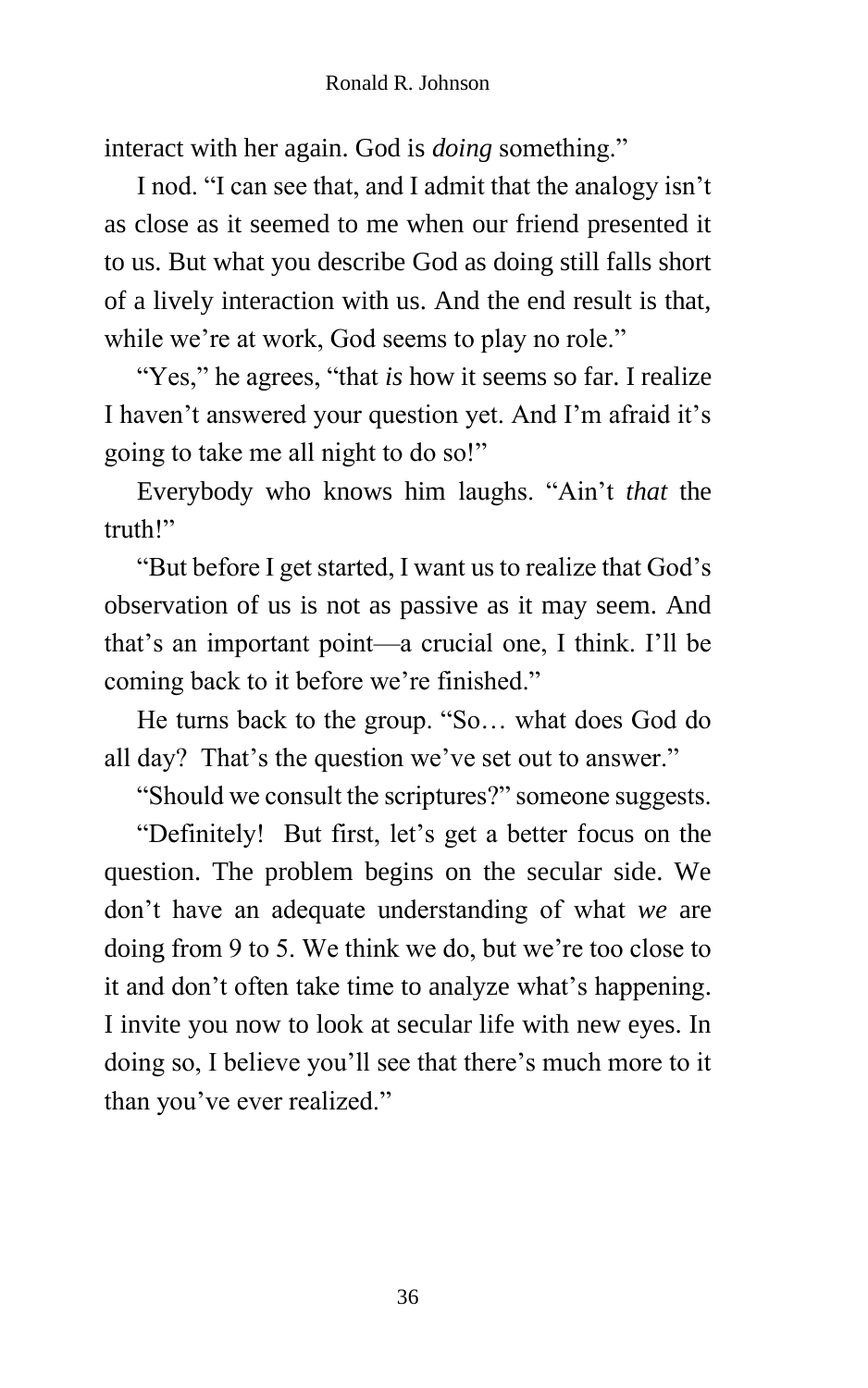interact with her again. God is *doing* something."

I nod. "I can see that, and I admit that the analogy isn't as close as it seemed to me when our friend presented it to us. But what you describe God as doing still falls short of a lively interaction with us. And the end result is that, while we're at work, God seems to play no role."

"Yes," he agrees, "that *is* how it seems so far. I realize I haven't answered your question yet. And I'm afraid it's going to take me all night to do so!"

Everybody who knows him laughs. "Ain't *that* the truth!"

"But before I get started, I want us to realize that God's observation of us is not as passive as it may seem. And that's an important point—a crucial one, I think. I'll be coming back to it before we're finished."

He turns back to the group. "So… what does God do all day? That's the question we've set out to answer."

"Should we consult the scriptures?" someone suggests.

"Definitely! But first, let's get a better focus on the question. The problem begins on the secular side. We don't have an adequate understanding of what *we* are doing from 9 to 5. We think we do, but we're too close to it and don't often take time to analyze what's happening. I invite you now to look at secular life with new eyes. In doing so, I believe you'll see that there's much more to it than you've ever realized."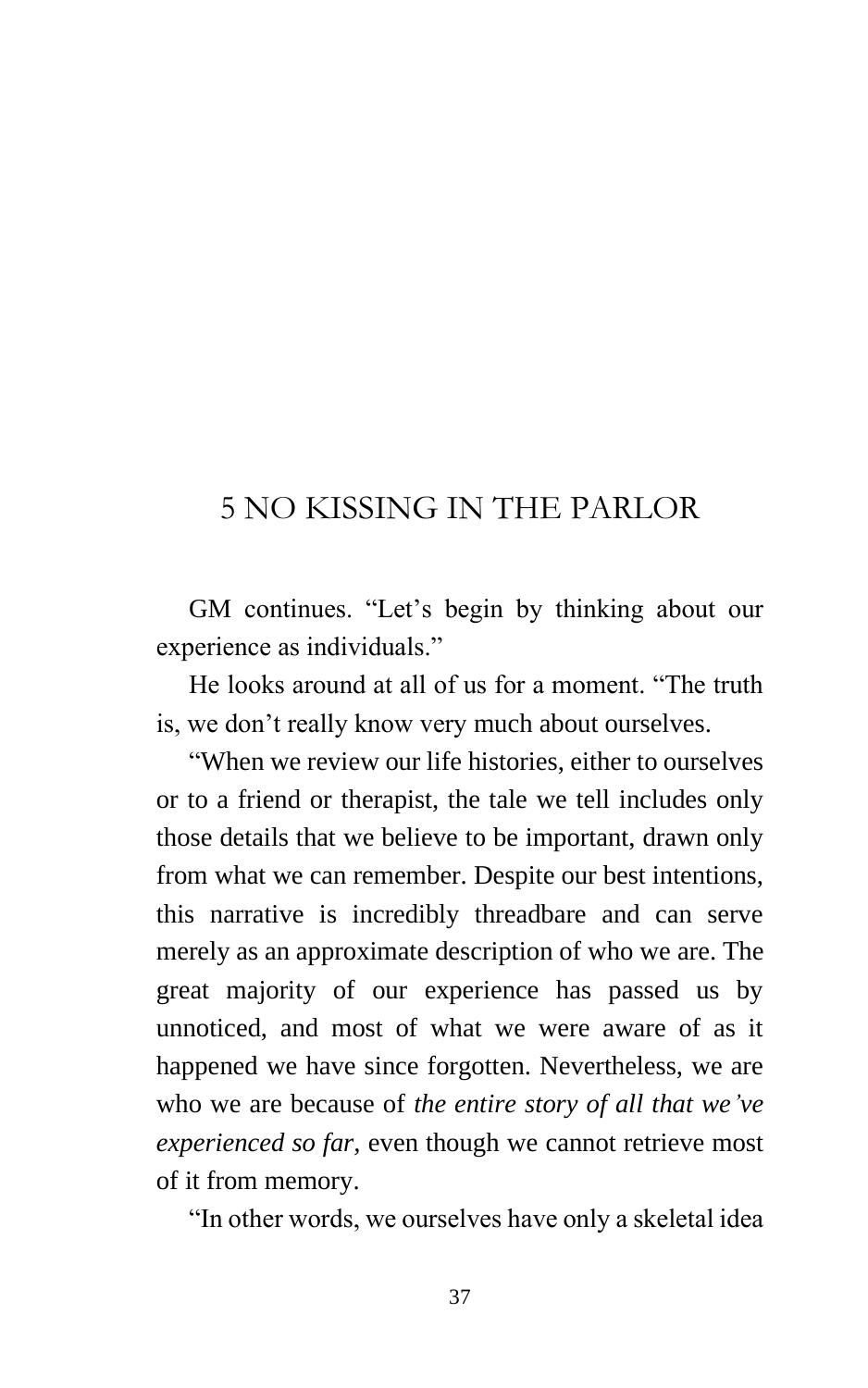## 5 NO KISSING IN THE PARLOR

GM continues. "Let's begin by thinking about our experience as individuals."

He looks around at all of us for a moment. "The truth is, we don't really know very much about ourselves.

"When we review our life histories, either to ourselves or to a friend or therapist, the tale we tell includes only those details that we believe to be important, drawn only from what we can remember. Despite our best intentions, this narrative is incredibly threadbare and can serve merely as an approximate description of who we are. The great majority of our experience has passed us by unnoticed, and most of what we were aware of as it happened we have since forgotten. Nevertheless, we are who we are because of *the entire story of all that we've experienced so far,* even though we cannot retrieve most of it from memory.

"In other words, we ourselves have only a skeletal idea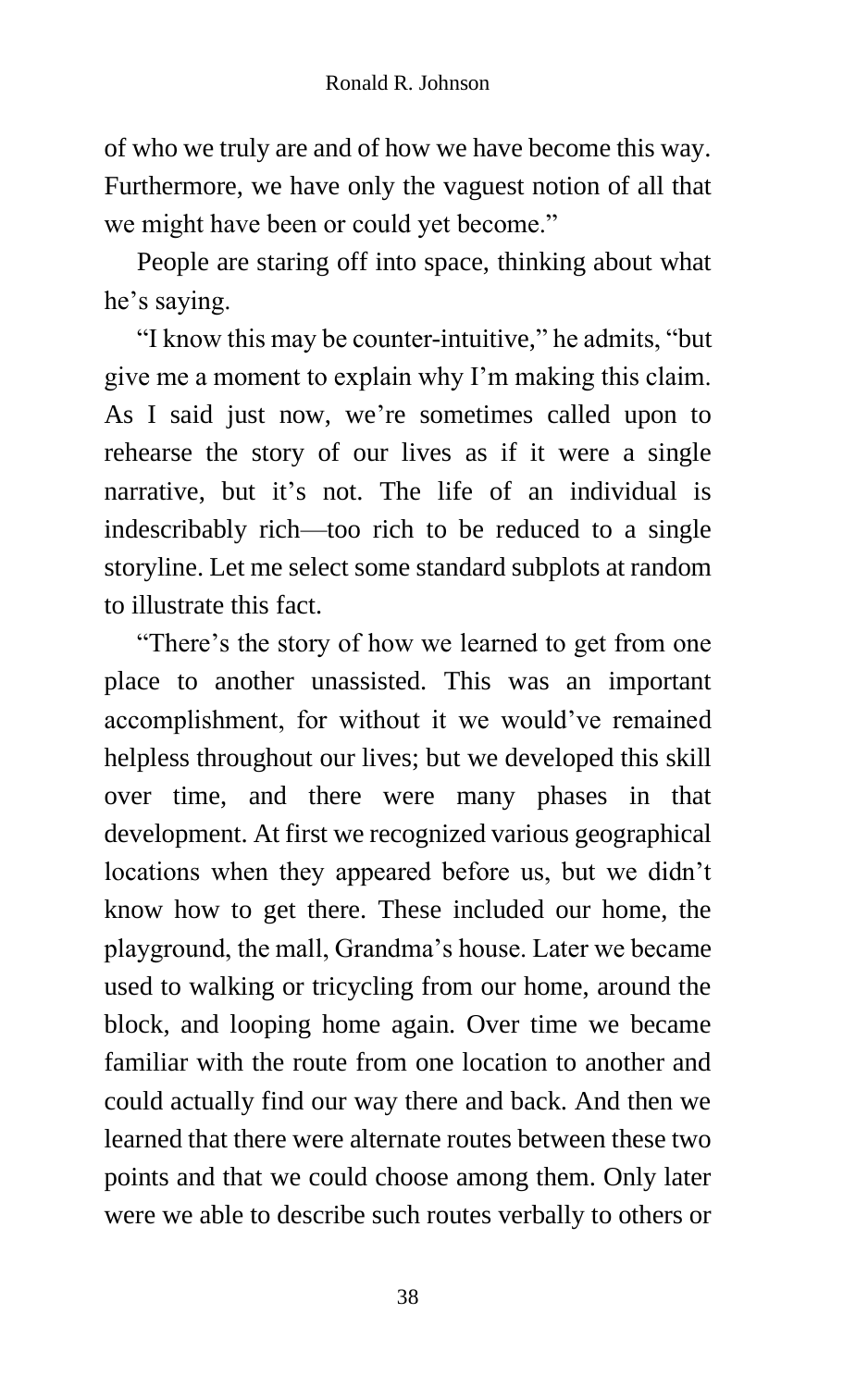of who we truly are and of how we have become this way. Furthermore, we have only the vaguest notion of all that we might have been or could yet become."

People are staring off into space, thinking about what he's saying.

"I know this may be counter-intuitive," he admits, "but give me a moment to explain why I'm making this claim. As I said just now, we're sometimes called upon to rehearse the story of our lives as if it were a single narrative, but it's not. The life of an individual is indescribably rich—too rich to be reduced to a single storyline. Let me select some standard subplots at random to illustrate this fact.

"There's the story of how we learned to get from one place to another unassisted. This was an important accomplishment, for without it we would've remained helpless throughout our lives; but we developed this skill over time, and there were many phases in that development. At first we recognized various geographical locations when they appeared before us, but we didn't know how to get there. These included our home, the playground, the mall, Grandma's house. Later we became used to walking or tricycling from our home, around the block, and looping home again. Over time we became familiar with the route from one location to another and could actually find our way there and back. And then we learned that there were alternate routes between these two points and that we could choose among them. Only later were we able to describe such routes verbally to others or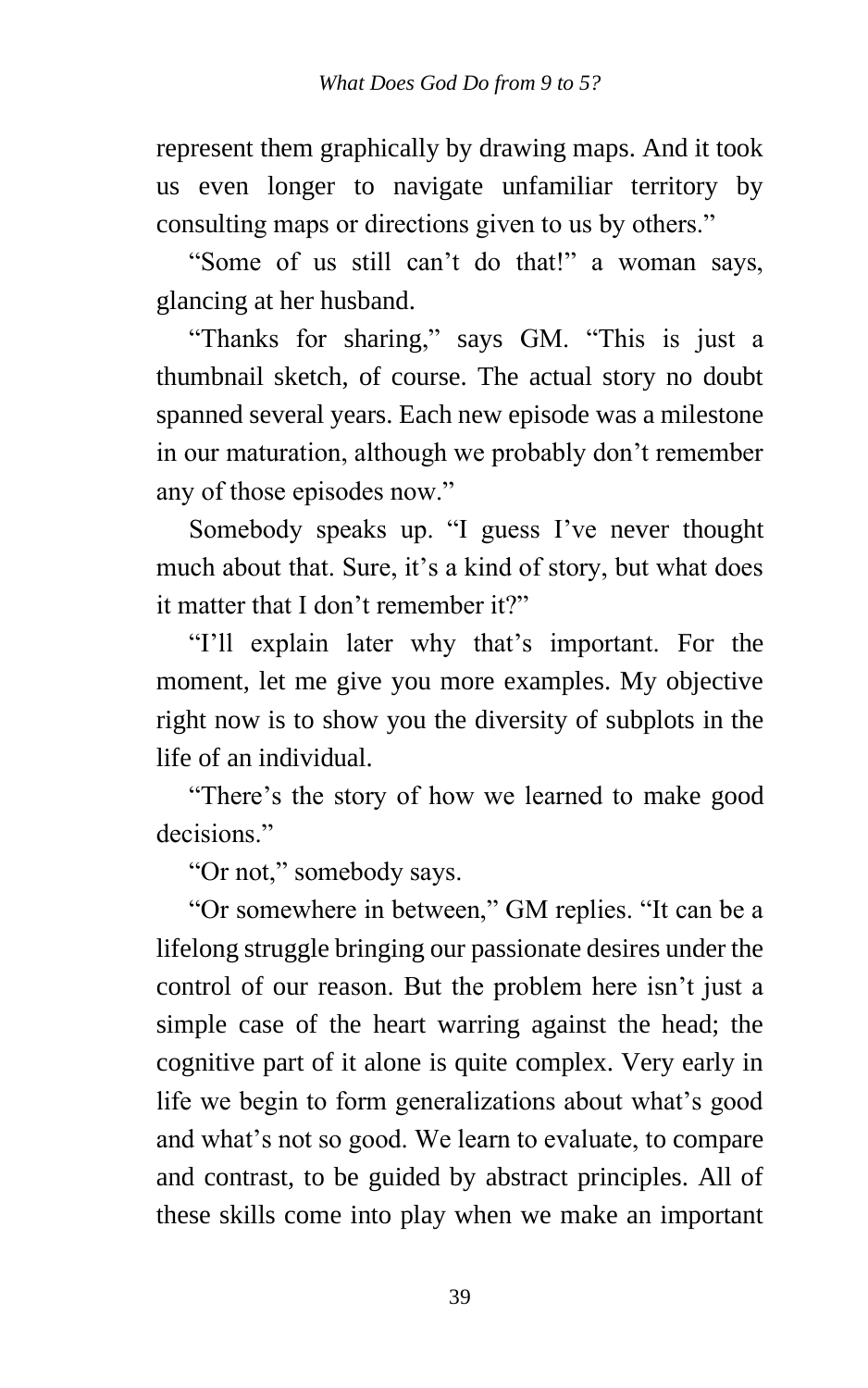represent them graphically by drawing maps. And it took us even longer to navigate unfamiliar territory by consulting maps or directions given to us by others."

"Some of us still can't do that!" a woman says, glancing at her husband.

"Thanks for sharing," says GM. "This is just a thumbnail sketch, of course. The actual story no doubt spanned several years. Each new episode was a milestone in our maturation, although we probably don't remember any of those episodes now."

Somebody speaks up. "I guess I've never thought much about that. Sure, it's a kind of story, but what does it matter that I don't remember it?"

"I'll explain later why that's important. For the moment, let me give you more examples. My objective right now is to show you the diversity of subplots in the life of an individual.

"There's the story of how we learned to make good decisions."

"Or not," somebody says.

"Or somewhere in between," GM replies. "It can be a lifelong struggle bringing our passionate desires under the control of our reason. But the problem here isn't just a simple case of the heart warring against the head; the cognitive part of it alone is quite complex. Very early in life we begin to form generalizations about what's good and what's not so good. We learn to evaluate, to compare and contrast, to be guided by abstract principles. All of these skills come into play when we make an important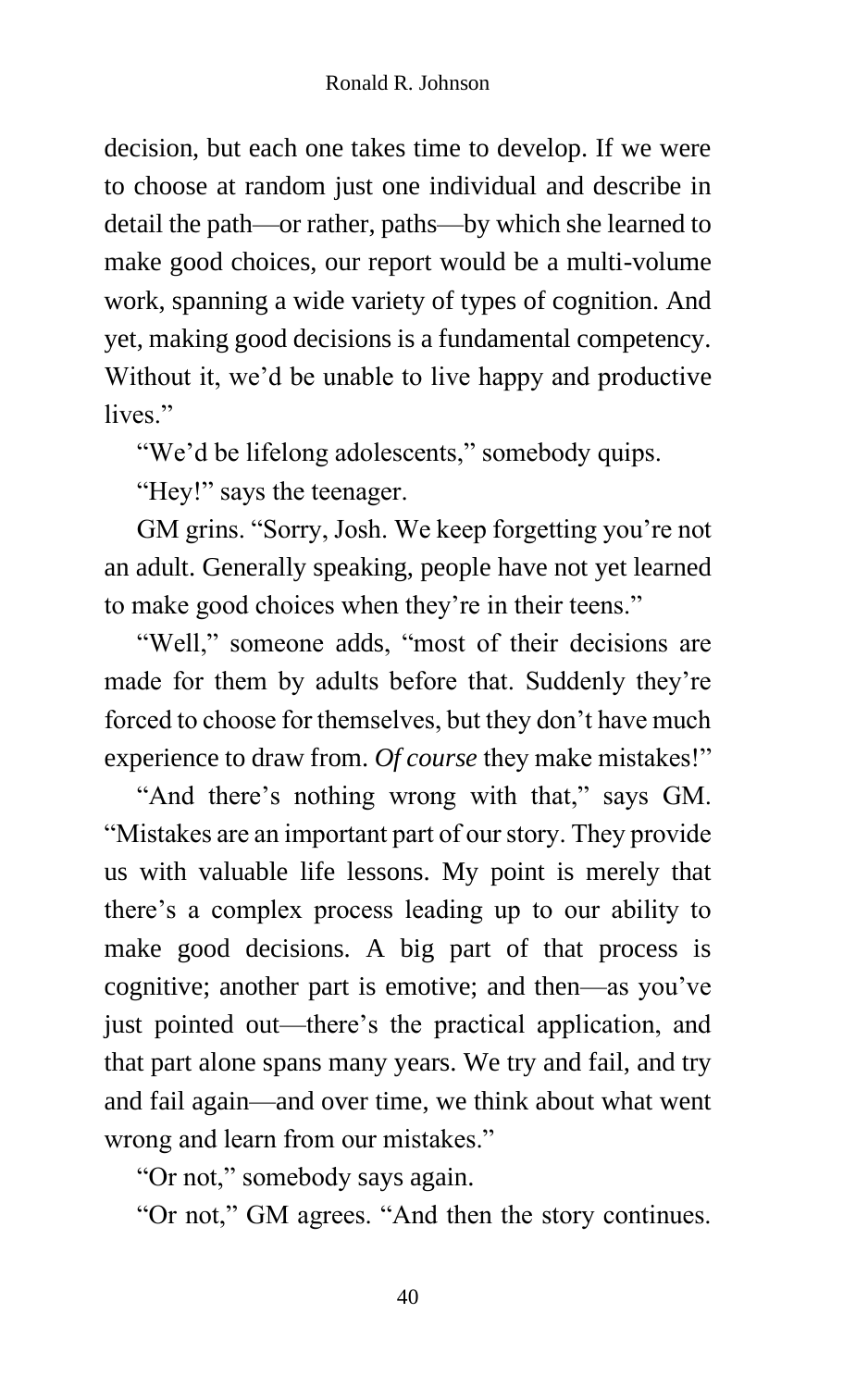decision, but each one takes time to develop. If we were to choose at random just one individual and describe in detail the path—or rather, paths—by which she learned to make good choices, our report would be a multi-volume work, spanning a wide variety of types of cognition. And yet, making good decisions is a fundamental competency. Without it, we'd be unable to live happy and productive lives"

"We'd be lifelong adolescents," somebody quips.

"Hey!" says the teenager.

GM grins. "Sorry, Josh. We keep forgetting you're not an adult. Generally speaking, people have not yet learned to make good choices when they're in their teens."

"Well," someone adds, "most of their decisions are made for them by adults before that. Suddenly they're forced to choose for themselves, but they don't have much experience to draw from. *Of course* they make mistakes!"

"And there's nothing wrong with that," says GM. "Mistakes are an important part of our story. They provide us with valuable life lessons. My point is merely that there's a complex process leading up to our ability to make good decisions. A big part of that process is cognitive; another part is emotive; and then—as you've just pointed out—there's the practical application, and that part alone spans many years. We try and fail, and try and fail again—and over time, we think about what went wrong and learn from our mistakes."

"Or not," somebody says again.

"Or not," GM agrees. "And then the story continues.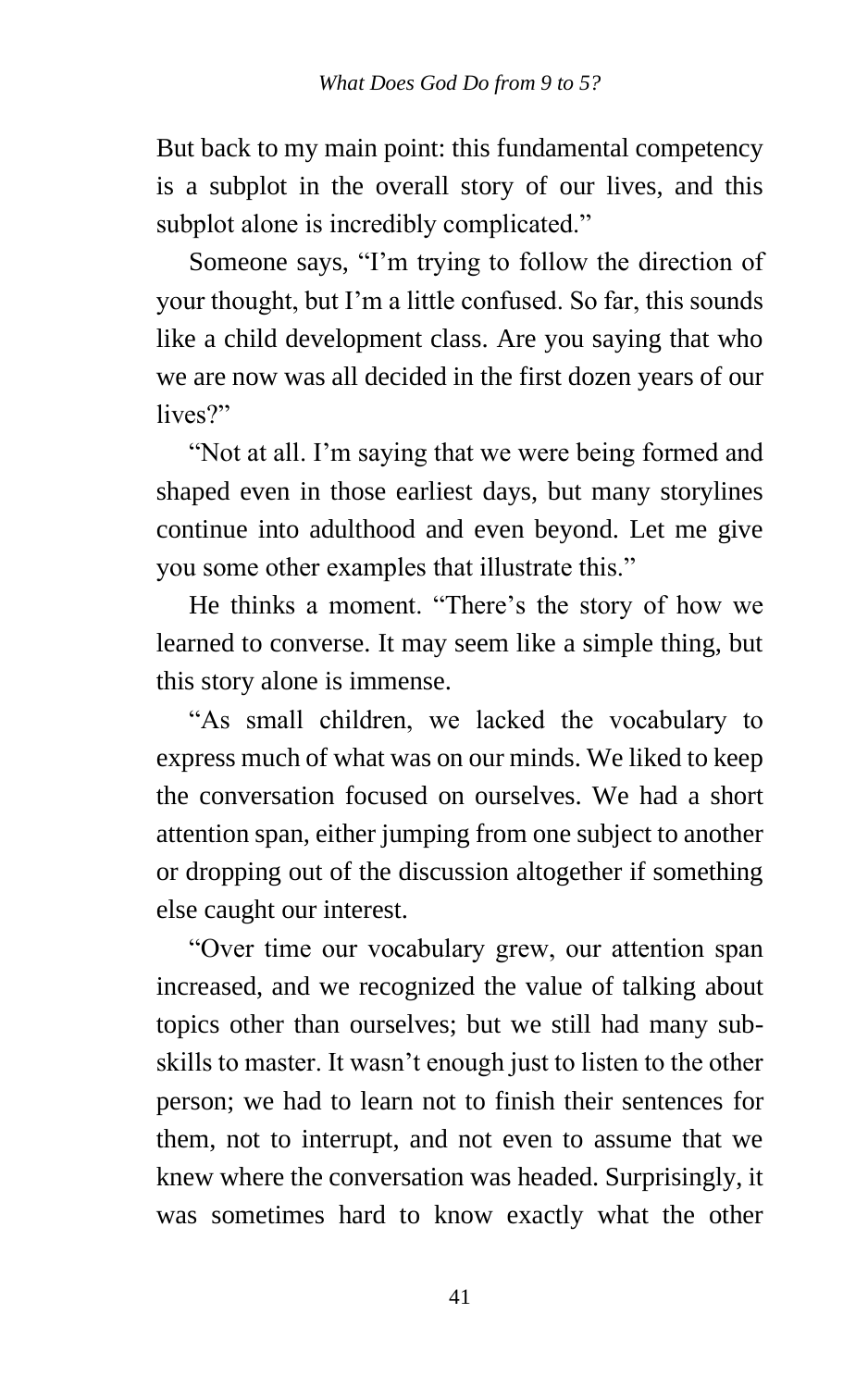But back to my main point: this fundamental competency is a subplot in the overall story of our lives, and this subplot alone is incredibly complicated."

Someone says, "I'm trying to follow the direction of your thought, but I'm a little confused. So far, this sounds like a child development class. Are you saying that who we are now was all decided in the first dozen years of our lives?"

"Not at all. I'm saying that we were being formed and shaped even in those earliest days, but many storylines continue into adulthood and even beyond. Let me give you some other examples that illustrate this."

He thinks a moment. "There's the story of how we learned to converse. It may seem like a simple thing, but this story alone is immense.

"As small children, we lacked the vocabulary to express much of what was on our minds. We liked to keep the conversation focused on ourselves. We had a short attention span, either jumping from one subject to another or dropping out of the discussion altogether if something else caught our interest.

"Over time our vocabulary grew, our attention span increased, and we recognized the value of talking about topics other than ourselves; but we still had many subskills to master. It wasn't enough just to listen to the other person; we had to learn not to finish their sentences for them, not to interrupt, and not even to assume that we knew where the conversation was headed. Surprisingly, it was sometimes hard to know exactly what the other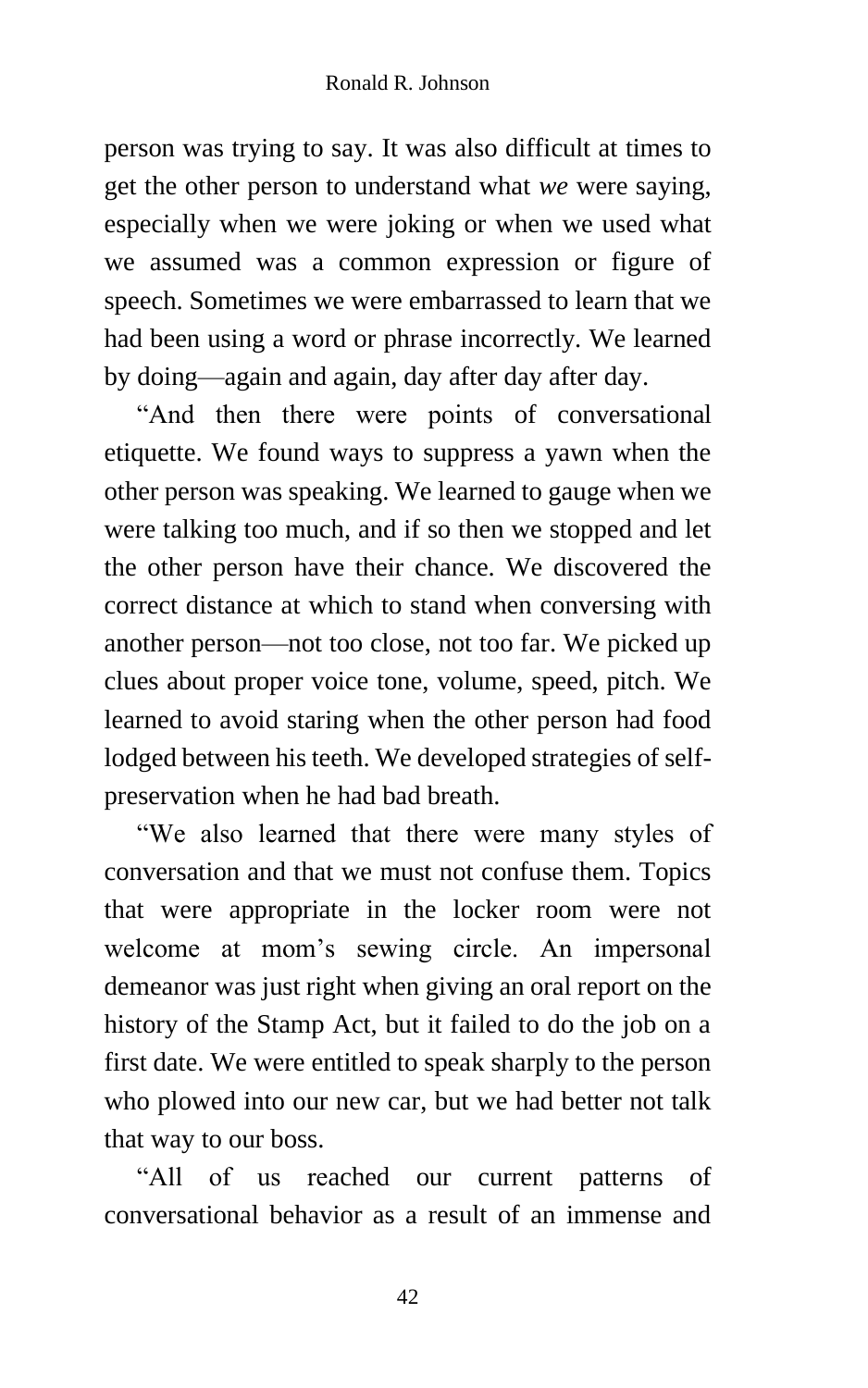person was trying to say. It was also difficult at times to get the other person to understand what *we* were saying, especially when we were joking or when we used what we assumed was a common expression or figure of speech. Sometimes we were embarrassed to learn that we had been using a word or phrase incorrectly. We learned by doing—again and again, day after day after day.

"And then there were points of conversational etiquette. We found ways to suppress a yawn when the other person was speaking. We learned to gauge when we were talking too much, and if so then we stopped and let the other person have their chance. We discovered the correct distance at which to stand when conversing with another person—not too close, not too far. We picked up clues about proper voice tone, volume, speed, pitch. We learned to avoid staring when the other person had food lodged between his teeth. We developed strategies of selfpreservation when he had bad breath.

"We also learned that there were many styles of conversation and that we must not confuse them. Topics that were appropriate in the locker room were not welcome at mom's sewing circle. An impersonal demeanor was just right when giving an oral report on the history of the Stamp Act, but it failed to do the job on a first date. We were entitled to speak sharply to the person who plowed into our new car, but we had better not talk that way to our boss.

"All of us reached our current patterns of conversational behavior as a result of an immense and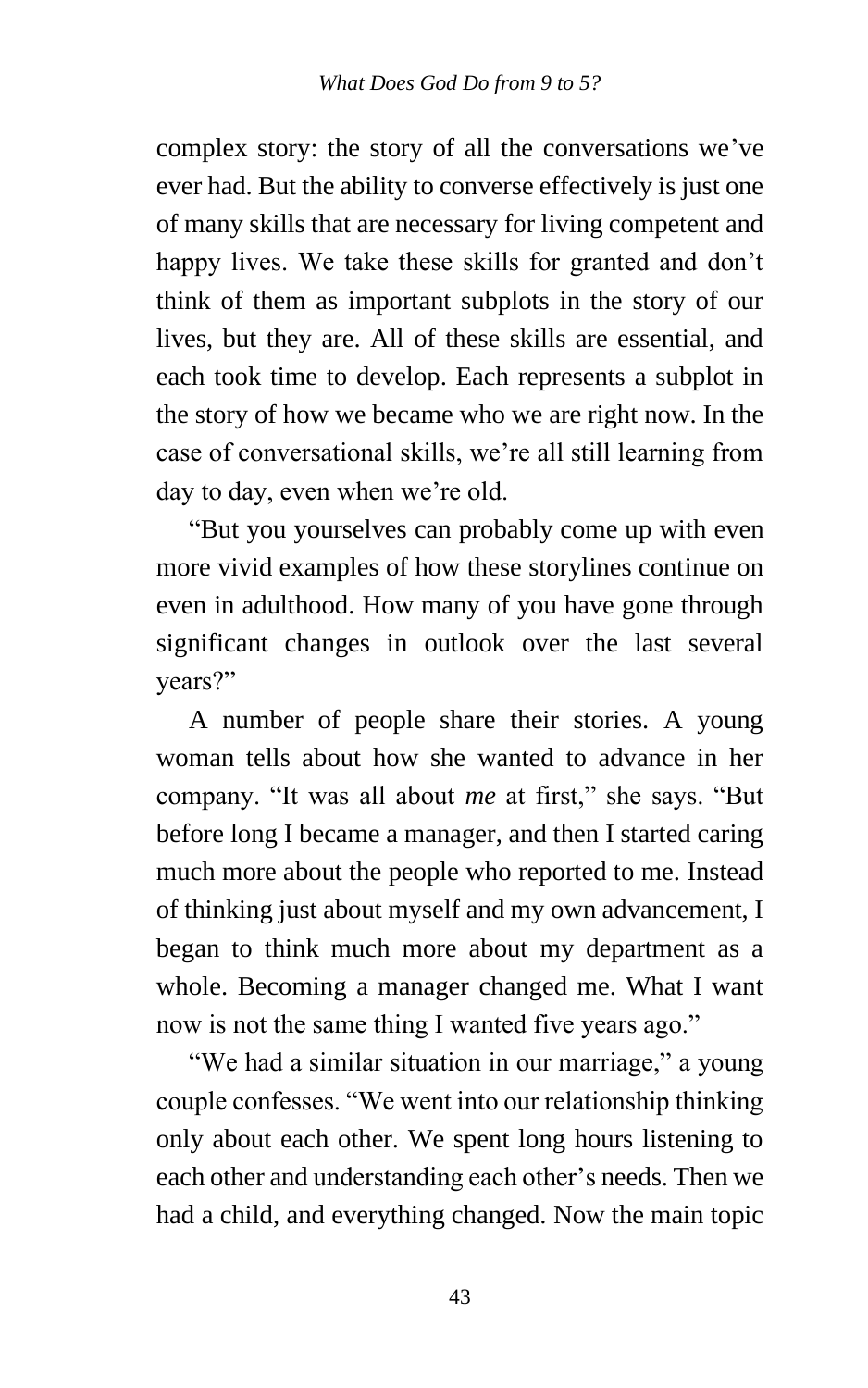complex story: the story of all the conversations we've ever had. But the ability to converse effectively is just one of many skills that are necessary for living competent and happy lives. We take these skills for granted and don't think of them as important subplots in the story of our lives, but they are. All of these skills are essential, and each took time to develop. Each represents a subplot in the story of how we became who we are right now. In the case of conversational skills, we're all still learning from day to day, even when we're old.

"But you yourselves can probably come up with even more vivid examples of how these storylines continue on even in adulthood. How many of you have gone through significant changes in outlook over the last several years?"

A number of people share their stories. A young woman tells about how she wanted to advance in her company. "It was all about *me* at first," she says. "But before long I became a manager, and then I started caring much more about the people who reported to me. Instead of thinking just about myself and my own advancement, I began to think much more about my department as a whole. Becoming a manager changed me. What I want now is not the same thing I wanted five years ago."

"We had a similar situation in our marriage," a young couple confesses. "We went into our relationship thinking only about each other. We spent long hours listening to each other and understanding each other's needs. Then we had a child, and everything changed. Now the main topic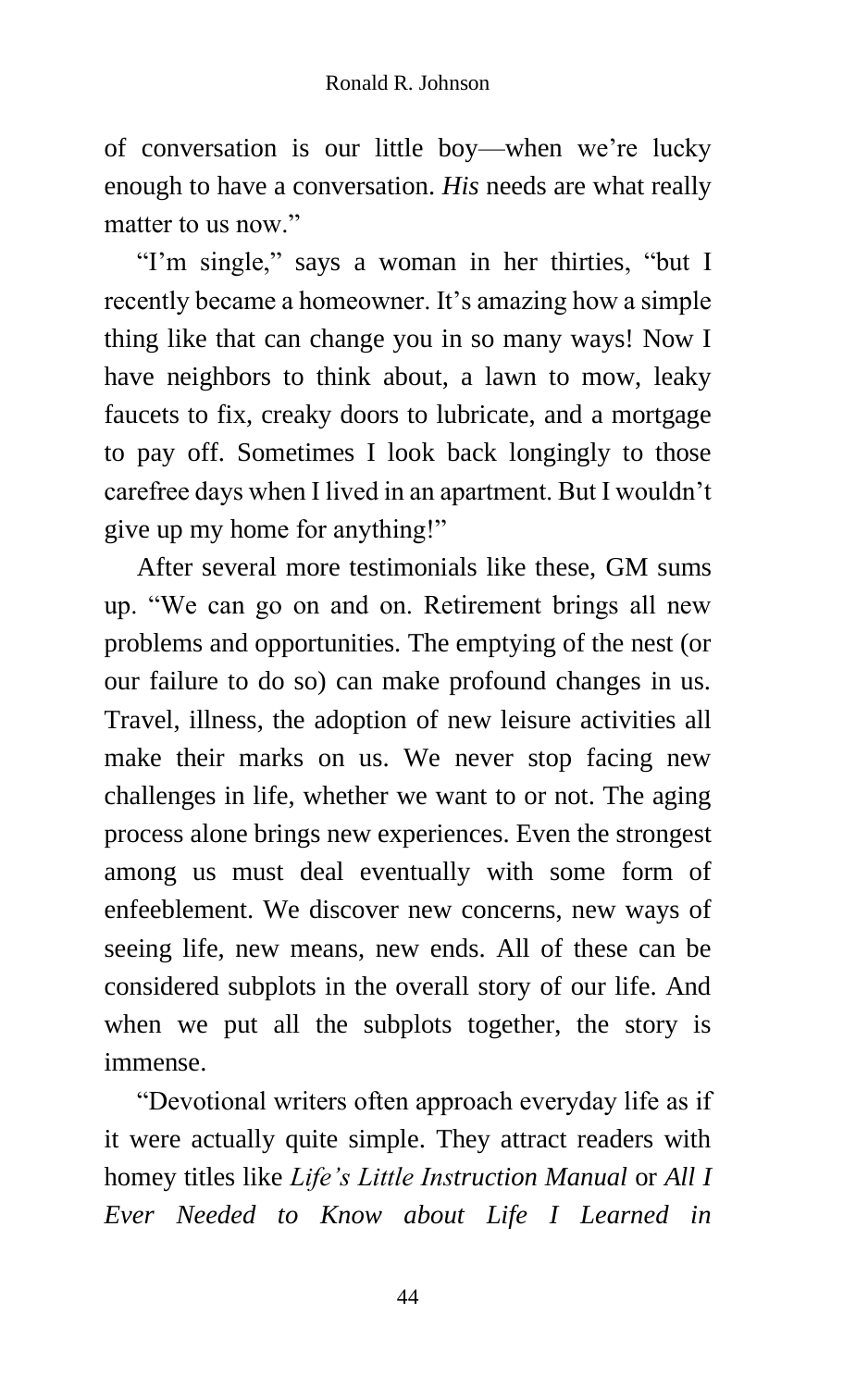of conversation is our little boy—when we're lucky enough to have a conversation. *His* needs are what really matter to us now."

"I'm single," says a woman in her thirties, "but I recently became a homeowner. It's amazing how a simple thing like that can change you in so many ways! Now I have neighbors to think about, a lawn to mow, leaky faucets to fix, creaky doors to lubricate, and a mortgage to pay off. Sometimes I look back longingly to those carefree days when I lived in an apartment. But I wouldn't give up my home for anything!"

After several more testimonials like these, GM sums up. "We can go on and on. Retirement brings all new problems and opportunities. The emptying of the nest (or our failure to do so) can make profound changes in us. Travel, illness, the adoption of new leisure activities all make their marks on us. We never stop facing new challenges in life, whether we want to or not. The aging process alone brings new experiences. Even the strongest among us must deal eventually with some form of enfeeblement. We discover new concerns, new ways of seeing life, new means, new ends. All of these can be considered subplots in the overall story of our life. And when we put all the subplots together, the story is immense.

"Devotional writers often approach everyday life as if it were actually quite simple. They attract readers with homey titles like *Life's Little Instruction Manual* or *All I Ever Needed to Know about Life I Learned in*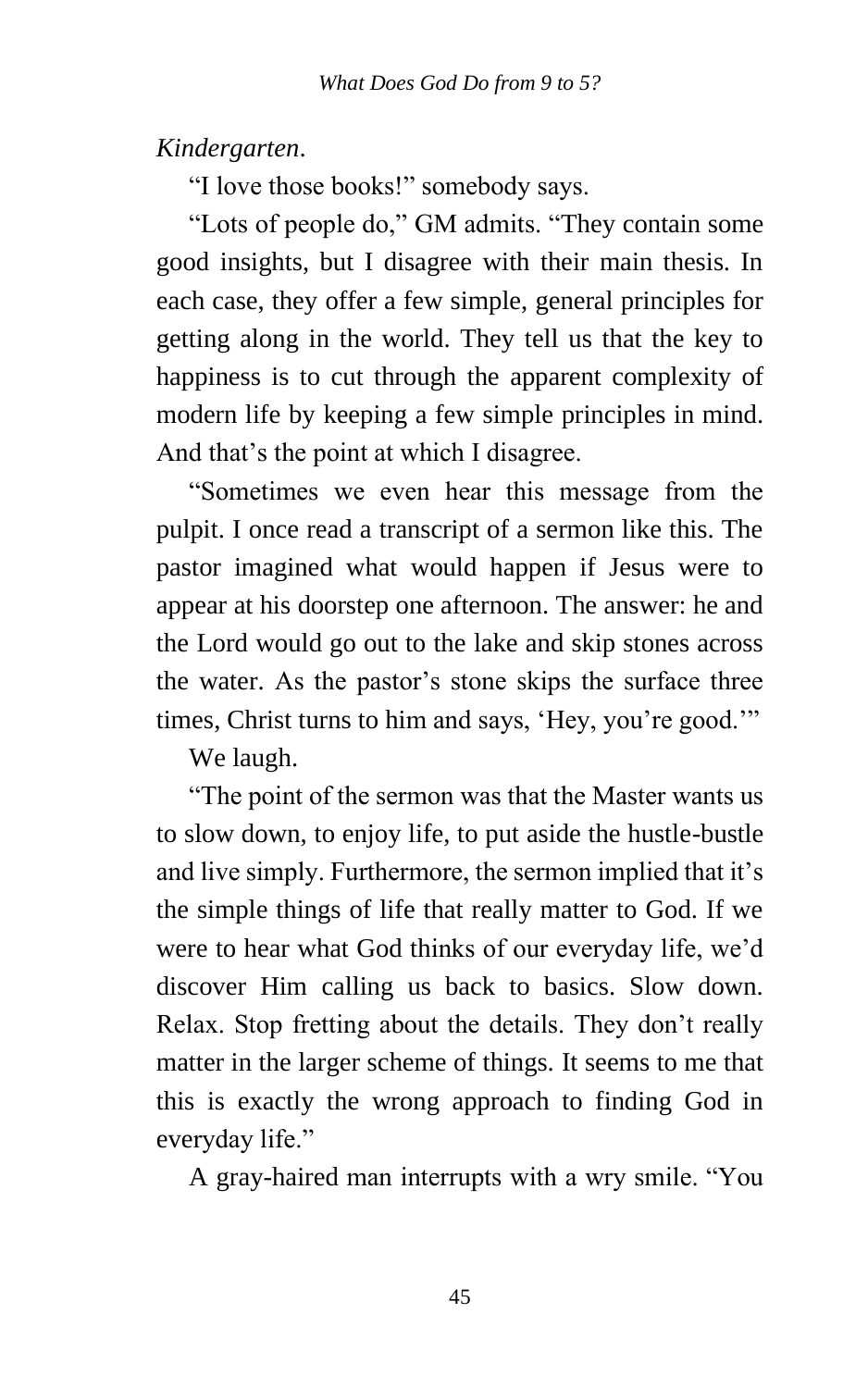*Kindergarten*.

"I love those books!" somebody says.

"Lots of people do," GM admits. "They contain some good insights, but I disagree with their main thesis. In each case, they offer a few simple, general principles for getting along in the world. They tell us that the key to happiness is to cut through the apparent complexity of modern life by keeping a few simple principles in mind. And that's the point at which I disagree.

"Sometimes we even hear this message from the pulpit. I once read a transcript of a sermon like this. The pastor imagined what would happen if Jesus were to appear at his doorstep one afternoon. The answer: he and the Lord would go out to the lake and skip stones across the water. As the pastor's stone skips the surface three times, Christ turns to him and says, 'Hey, you're good.'"

We laugh.

"The point of the sermon was that the Master wants us to slow down, to enjoy life, to put aside the hustle-bustle and live simply. Furthermore, the sermon implied that it's the simple things of life that really matter to God. If we were to hear what God thinks of our everyday life, we'd discover Him calling us back to basics. Slow down. Relax. Stop fretting about the details. They don't really matter in the larger scheme of things. It seems to me that this is exactly the wrong approach to finding God in everyday life."

A gray-haired man interrupts with a wry smile. "You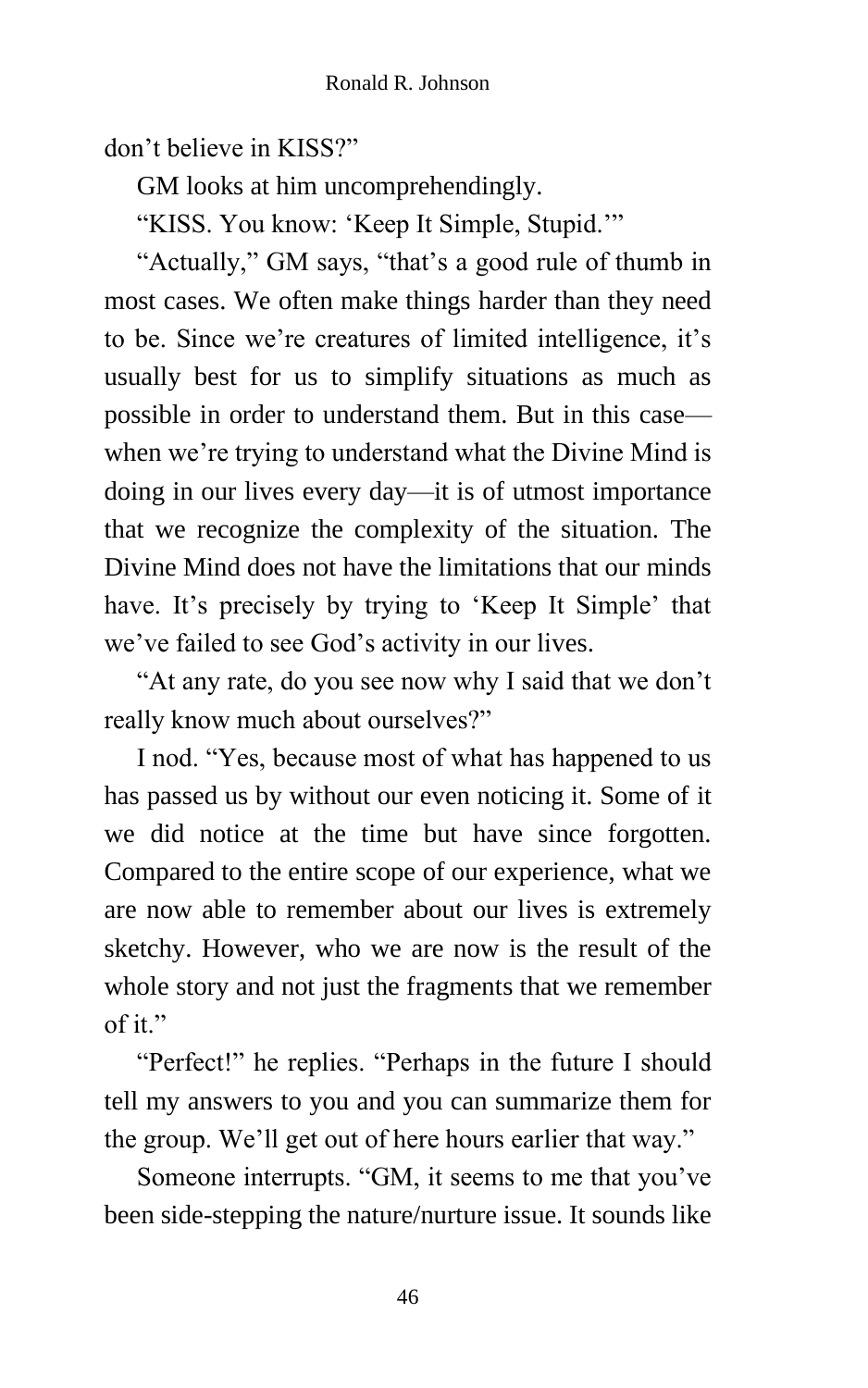don't believe in KISS?"

GM looks at him uncomprehendingly.

"KISS. You know: 'Keep It Simple, Stupid.'"

"Actually," GM says, "that's a good rule of thumb in most cases. We often make things harder than they need to be. Since we're creatures of limited intelligence, it's usually best for us to simplify situations as much as possible in order to understand them. But in this case when we're trying to understand what the Divine Mind is doing in our lives every day—it is of utmost importance that we recognize the complexity of the situation. The Divine Mind does not have the limitations that our minds have. It's precisely by trying to 'Keep It Simple' that we've failed to see God's activity in our lives.

"At any rate, do you see now why I said that we don't really know much about ourselves?"

I nod. "Yes, because most of what has happened to us has passed us by without our even noticing it. Some of it we did notice at the time but have since forgotten. Compared to the entire scope of our experience, what we are now able to remember about our lives is extremely sketchy. However, who we are now is the result of the whole story and not just the fragments that we remember of it."

"Perfect!" he replies. "Perhaps in the future I should tell my answers to you and you can summarize them for the group. We'll get out of here hours earlier that way."

Someone interrupts. "GM, it seems to me that you've been side-stepping the nature/nurture issue. It sounds like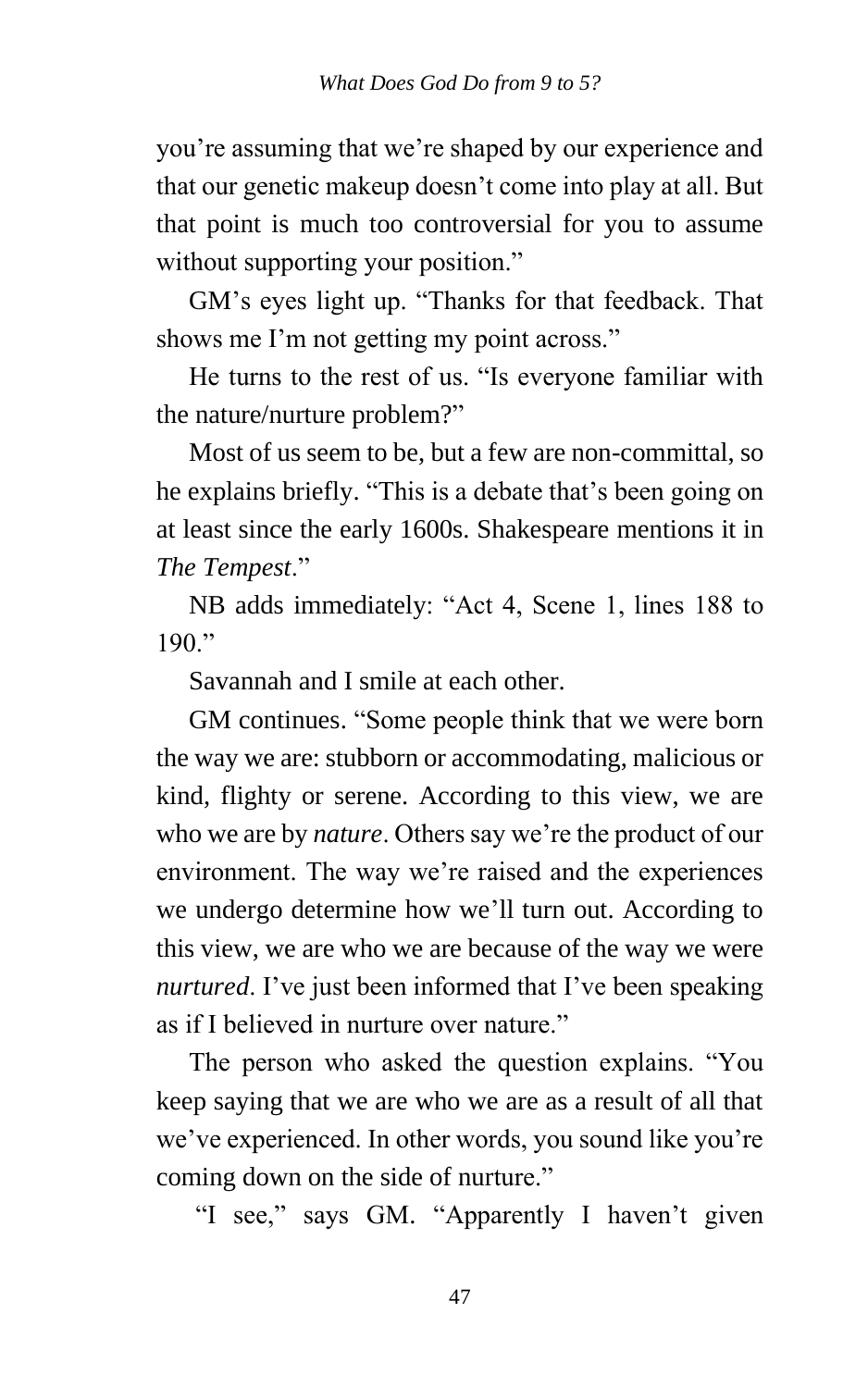you're assuming that we're shaped by our experience and that our genetic makeup doesn't come into play at all. But that point is much too controversial for you to assume without supporting your position."

GM's eyes light up. "Thanks for that feedback. That shows me I'm not getting my point across."

He turns to the rest of us. "Is everyone familiar with the nature/nurture problem?"

Most of us seem to be, but a few are non-committal, so he explains briefly. "This is a debate that's been going on at least since the early 1600s. Shakespeare mentions it in *The Tempest*."

NB adds immediately: "Act 4, Scene 1, lines 188 to  $190$  "

Savannah and I smile at each other.

GM continues. "Some people think that we were born the way we are: stubborn or accommodating, malicious or kind, flighty or serene. According to this view, we are who we are by *nature*. Others say we're the product of our environment. The way we're raised and the experiences we undergo determine how we'll turn out. According to this view, we are who we are because of the way we were *nurtured*. I've just been informed that I've been speaking as if I believed in nurture over nature."

The person who asked the question explains. "You keep saying that we are who we are as a result of all that we've experienced. In other words, you sound like you're coming down on the side of nurture."

"I see," says GM. "Apparently I haven't given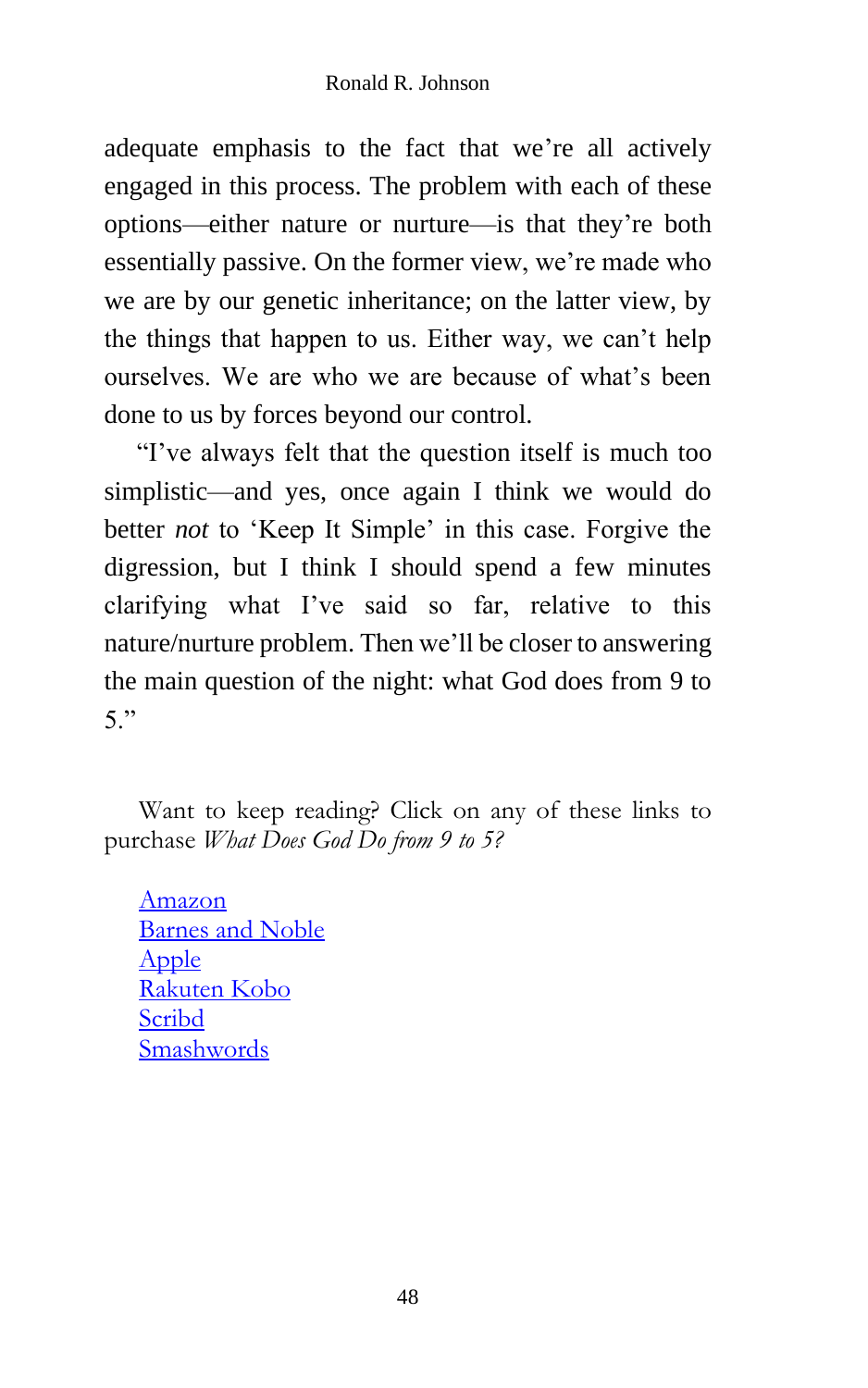adequate emphasis to the fact that we're all actively engaged in this process. The problem with each of these options—either nature or nurture—is that they're both essentially passive. On the former view, we're made who we are by our genetic inheritance; on the latter view, by the things that happen to us. Either way, we can't help ourselves. We are who we are because of what's been done to us by forces beyond our control.

"I've always felt that the question itself is much too simplistic—and yes, once again I think we would do better *not* to 'Keep It Simple' in this case. Forgive the digression, but I think I should spend a few minutes clarifying what I've said so far, relative to this nature/nurture problem. Then we'll be closer to answering the main question of the night: what God does from 9 to 5."

Want to keep reading? Click on any of these links to purchase *What Does God Do from 9 to 5?*

[Amazon](https://www.amazon.com/What-Does-God-Ronald-Johnson/dp/1505869641/ref=sr_1_2?dchild=1&keywords=%22what+does+god+do+from+9+to+5%22&qid=1621612222&sr=8-2) [Barnes and Noble](https://www.barnesandnoble.com/s/2940153688374) [Apple](https://books.apple.com/us/book/what-does-god-do-from-9-to-5/id1147062741) [Rakuten Kobo](https://store.kobobooks.com/en-us/Search?Query=9781370206377) [Scribd](https://www.scribd.com/book/322033007/What-Does-God-Do-from-9-to-5) [Smashwords](https://www.smashwords.com/books/view/659831)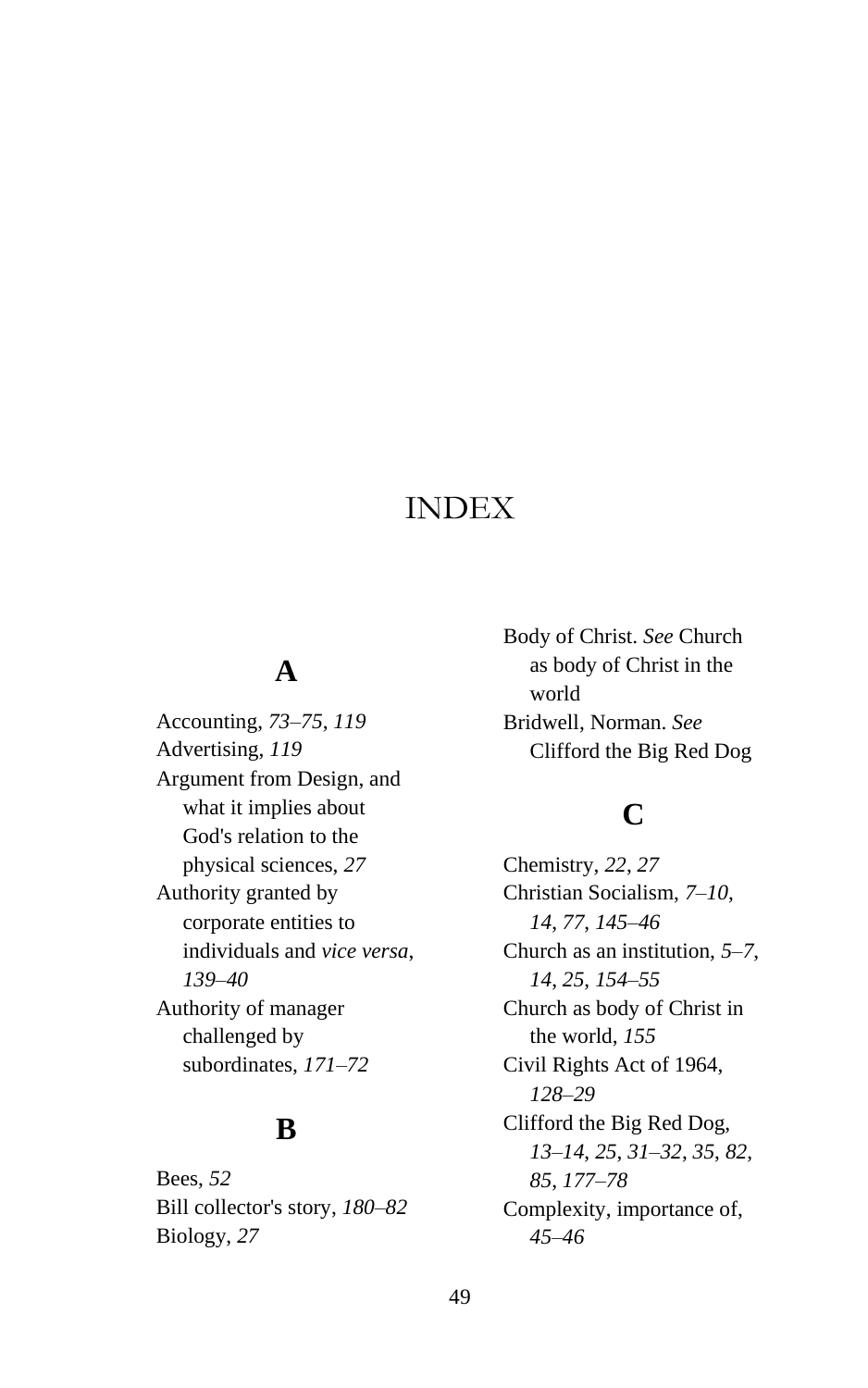## INDEX

#### **A**

Accounting, *73*–*75*, *119* Advertising, *119* Argument from Design, and what it implies about God's relation to the physical sciences, *27* Authority granted by corporate entities to individuals and *vice versa*, *139*–*40* Authority of manager challenged by subordinates, *171*–*72*

#### **B**

Bees, *52* Bill collector's story, *180*–*82* Biology, *27*

Body of Christ. *See* Church as body of Christ in the world Bridwell, Norman. *See* Clifford the Big Red Dog

## **C**

Chemistry, *22*, *27* Christian Socialism, *7*–*10*, *14*, *77*, *145*–*46* Church as an institution, *5*–*7*, *14*, *25*, *154*–*55* Church as body of Christ in the world, *155* Civil Rights Act of 1964, *128*–*29* Clifford the Big Red Dog, *13*–*14*, *25*, *31*–*32*, *35*, *82*, *85*, *177*–*78* Complexity, importance of, *45*–*46*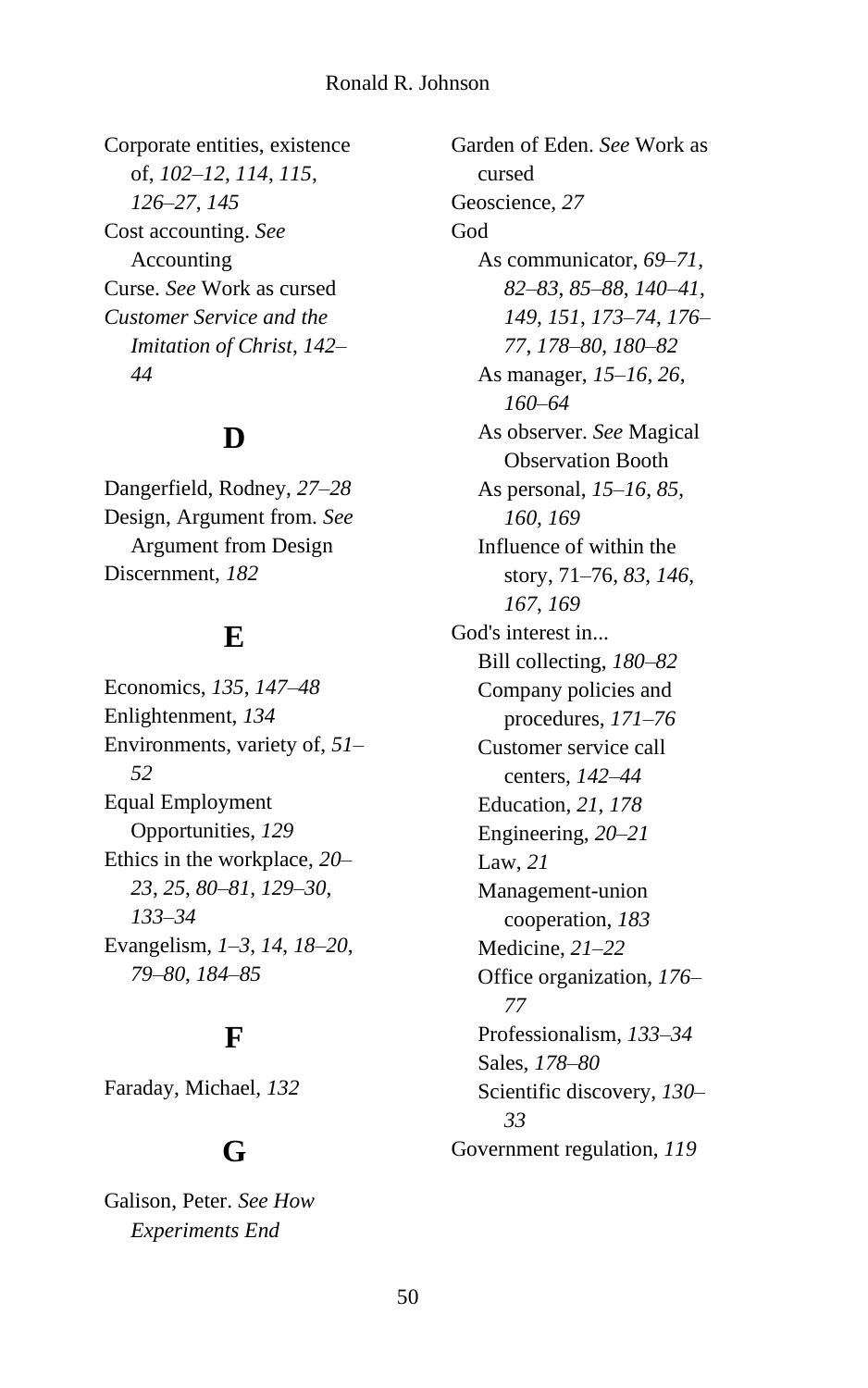#### Ronald R. Johnson

Corporate entities, existence of, *102*–*12*, *114*, *115*, *126*–*27*, *145* Cost accounting. *See* Accounting Curse. *See* Work as cursed *Customer Service and the Imitation of Christ*, *142*– *44*

## **D**

Dangerfield, Rodney, *27*–*28* Design, Argument from. *See* Argument from Design Discernment, *182*

#### **E**

Economics, *135*, *147*–*48* Enlightenment, *134* Environments, variety of, *51*– *52* Equal Employment Opportunities, *129* Ethics in the workplace, *20*– *23*, *25*, *80*–*81*, *129*–*30*, *133*–*34* Evangelism, *1*–*3*, *14*, *18*–*20*, *79*–*80*, *184*–*85*

#### **F**

Faraday, Michael, *132*

#### **G**

Galison, Peter. *See How Experiments End*

Garden of Eden. *See* Work as cursed Geoscience, *27* God As communicator, *69*–*71*, *82*–*83*, *85*–*88*, *140*–*41*, *149*, *151*, *173*–*74*, *176*– *77*, *178*–*80*, *180*–*82* As manager, *15*–*16*, *26*, *160*–*64* As observer. *See* Magical Observation Booth As personal, *15*–*16*, *85*, *160*, *169* Influence of within the story, 71–76, *83*, *146*, *167*, *169* God's interest in... Bill collecting, *180*–*82* Company policies and procedures, *171*–*76* Customer service call centers, *142*–*44* Education, *21*, *178* Engineering, *20*–*21* Law, *21* Management-union cooperation, *183* Medicine, *21*–*22* Office organization, *176*– *77* Professionalism, *133*–*34* Sales, *178*–*80* Scientific discovery, *130*– *33* Government regulation, *119*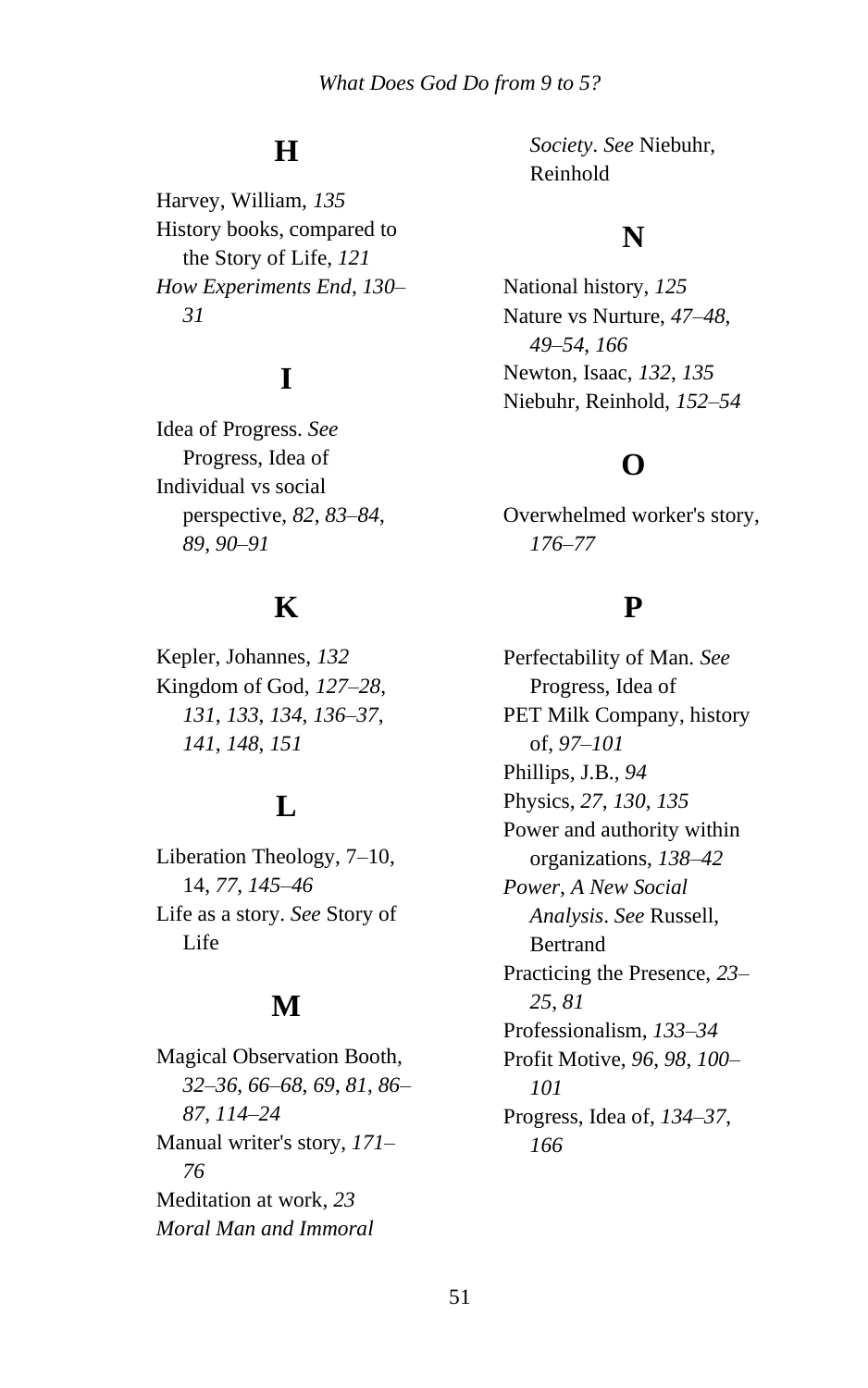# **H**

Harvey, William, *135* History books, compared to the Story of Life, *121 How Experiments End*, *130*– *31*

# **I**

Idea of Progress. *See* Progress, Idea of Individual vs social perspective, *82*, *83*–*84*, *89*, *90*–*91*

## **K**

Kepler, Johannes, *132* Kingdom of God, *127*–*28*, *131*, *133*, *134*, *136*–*37*, *141*, *148*, *151*

# **L**

Liberation Theology, 7–10, 14, *77*, *145*–*46* Life as a story. *See* Story of Life

## **M**

Magical Observation Booth, *32*–*36*, *66*–*68*, *69*, *81*, *86*– *87*, *114*–*24* Manual writer's story, *171*– *76* Meditation at work, *23 Moral Man and Immoral* 

*Society*. *See* Niebuhr, Reinhold

#### **N**

National history, *125* Nature vs Nurture, *47*–*48*, *49*–*54*, *166* Newton, Isaac, *132*, *135* Niebuhr, Reinhold, *152*–*54*

#### **O**

Overwhelmed worker's story, *176*–*77*

## **P**

Perfectability of Man. *See* Progress, Idea of PET Milk Company, history of, *97*–*101* Phillips, J.B., *94* Physics, *27*, *130*, *135* Power and authority within organizations, *138*–*42 Power, A New Social Analysis*. *See* Russell, Bertrand Practicing the Presence, *23*– *25*, *81* Professionalism, *133*–*34* Profit Motive, *96*, *98*, *100*– *101* Progress, Idea of, *134*–*37*, *166*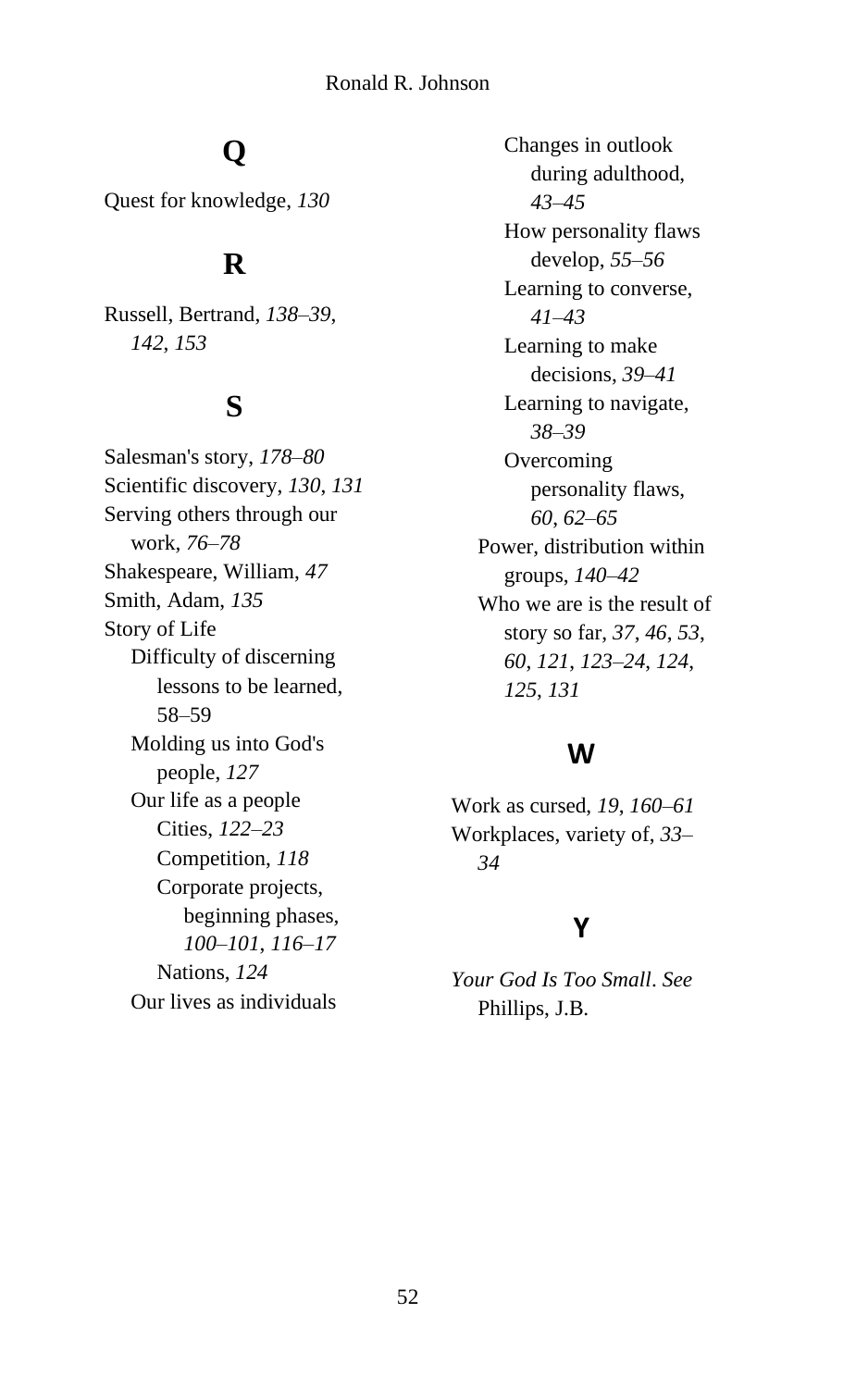# **Q**

Quest for knowledge, *130*

#### **R**

Russell, Bertrand, *138*–*39*, *142*, *153*

#### **S**

Salesman's story, *178*–*80* Scientific discovery, *130*, *131* Serving others through our work, *76*–*78* Shakespeare, William, *47* Smith, Adam, *135* Story of Life Difficulty of discerning lessons to be learned, 58–59 Molding us into God's people, *127* Our life as a people Cities, *122*–*23* Competition, *118* Corporate projects, beginning phases, *100*–*101*, *116*–*17* Nations, *124* Our lives as individuals

Changes in outlook during adulthood, *43*–*45* How personality flaws develop, *55*–*56* Learning to converse, *41*–*43* Learning to make decisions, *39*–*41* Learning to navigate, *38*–*39* **Overcoming** personality flaws, *60*, *62*–*65* Power, distribution within groups, *140*–*42* Who we are is the result of story so far, *37*, *46*, *53*, *60*, *121*, *123*–*24*, *124*, *125*, *131*

#### **W**

Work as cursed, *19*, *160*–*61* Workplaces, variety of, *33*– *34*

#### **Y**

*Your God Is Too Small*. *See* Phillips, J.B.